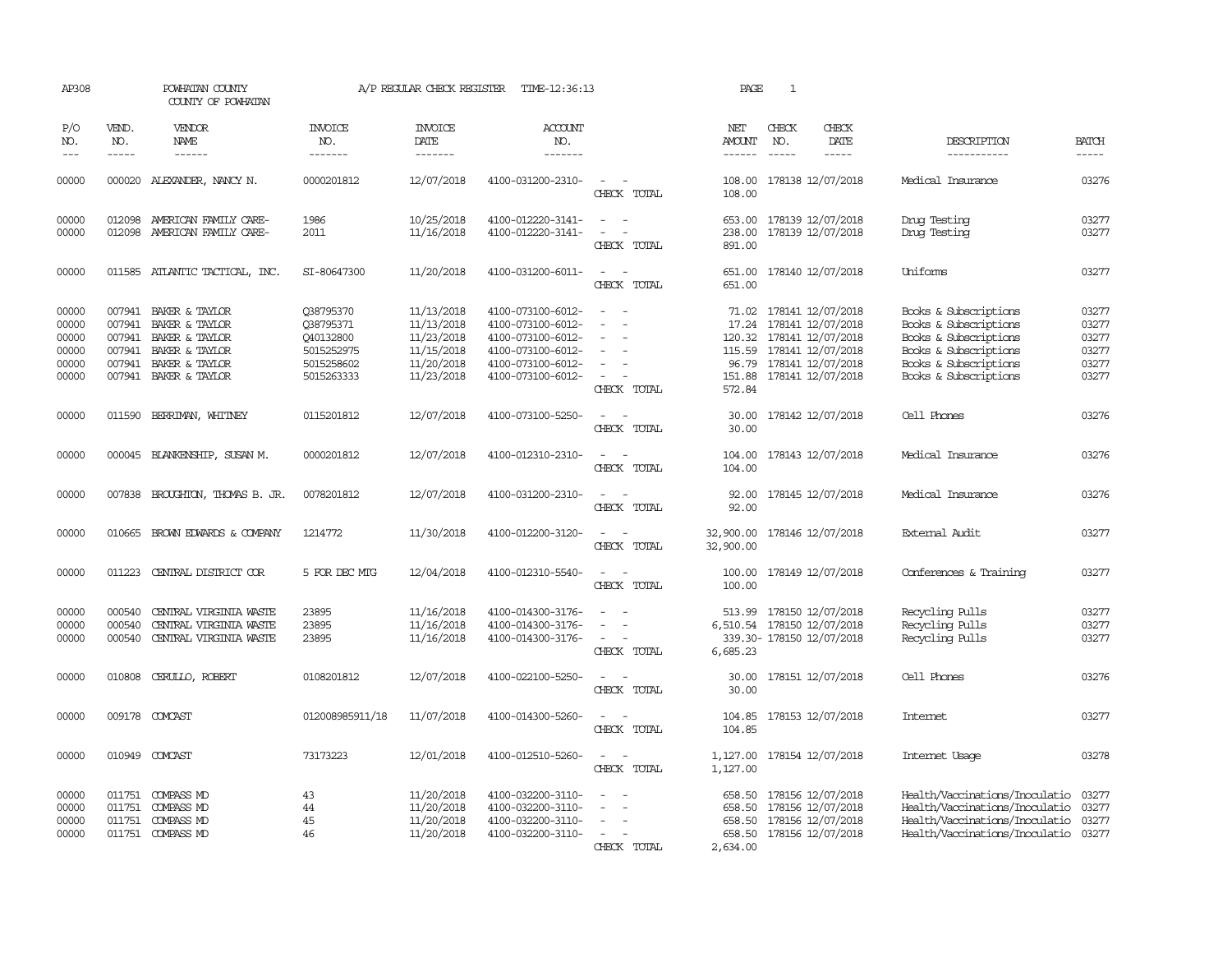| AP308                                              |                            | POWHATAN COUNTY<br>COUNTY OF POWHATAN                                                                                         |                                                                               | A/P REGULAR CHECK REGISTER                                                       | TIME-12:36:13                                                                                                              |                                                                                                                       | PAGE                       | $\mathbf{1}$ |                                                                                                                                                            |                                                                                                                                                    |                                                                                                                                                                                                                                                                                             |
|----------------------------------------------------|----------------------------|-------------------------------------------------------------------------------------------------------------------------------|-------------------------------------------------------------------------------|----------------------------------------------------------------------------------|----------------------------------------------------------------------------------------------------------------------------|-----------------------------------------------------------------------------------------------------------------------|----------------------------|--------------|------------------------------------------------------------------------------------------------------------------------------------------------------------|----------------------------------------------------------------------------------------------------------------------------------------------------|---------------------------------------------------------------------------------------------------------------------------------------------------------------------------------------------------------------------------------------------------------------------------------------------|
| P/O<br>NO.                                         | VEND.<br>NO.               | <b>VENDOR</b><br>NAME                                                                                                         | <b>INVOICE</b><br>NO.                                                         | <b>INVOICE</b><br>DATE                                                           | ACCOUNT<br>NO.                                                                                                             |                                                                                                                       | NET<br>AMOUNT              | CHECK<br>NO. | CHECK<br>DATE                                                                                                                                              | DESCRIPTION                                                                                                                                        | <b>BATCH</b>                                                                                                                                                                                                                                                                                |
| $---$                                              | $- - - - -$                | $- - - - - -$                                                                                                                 | -------                                                                       |                                                                                  | -------                                                                                                                    |                                                                                                                       |                            | $- - - - -$  | -----                                                                                                                                                      | -----------                                                                                                                                        | $\begin{tabular}{ccccc} \multicolumn{2}{c }{\multicolumn{2}{c }{\multicolumn{2}{c }{\multicolumn{2}{c}}{\hspace{-2.2cm}}}} \multicolumn{2}{c }{\end{tabular}} \end{tabular} \begin{tabular}{c c }{\multicolumn{2}{c }{\multicolumn{2}{c }{\hspace{-2.2cm}}\hspace{-2.2cm}}}} \end{tabular}$ |
| 00000                                              |                            | 000020 ALEXANDER, NANCY N.                                                                                                    | 0000201812                                                                    | 12/07/2018                                                                       | 4100-031200-2310-                                                                                                          | $\sim$ $\sim$<br>CHECK TOTAL                                                                                          | 108.00                     |              | 108.00 178138 12/07/2018                                                                                                                                   | Medical Insurance                                                                                                                                  | 03276                                                                                                                                                                                                                                                                                       |
| 00000<br>00000                                     | 012098                     | AMERICAN FAMILY CARE-<br>012098 AMERICAN FAMILY CARE-                                                                         | 1986<br>2011                                                                  | 10/25/2018<br>11/16/2018                                                         | 4100-012220-3141-<br>4100-012220-3141-                                                                                     | $\sim$<br>$\sim$<br>$\sim$<br>$\overline{a}$<br>CHECK TOTAL                                                           | 653.00<br>238.00<br>891.00 |              | 178139 12/07/2018<br>178139 12/07/2018                                                                                                                     | Drug Testing<br>Drug Testing                                                                                                                       | 03277<br>03277                                                                                                                                                                                                                                                                              |
| 00000                                              |                            | 011585 ATLANTIC TACTICAL, INC.                                                                                                | SI-80647300                                                                   | 11/20/2018                                                                       | 4100-031200-6011-                                                                                                          | $\overline{\phantom{a}}$<br>CHECK TOTAL                                                                               | 651.00                     |              | 651.00 178140 12/07/2018                                                                                                                                   | Uniforms                                                                                                                                           | 03277                                                                                                                                                                                                                                                                                       |
| 00000<br>00000<br>00000<br>00000<br>00000<br>00000 | 007941<br>007941<br>007941 | BAKER & TAYLOR<br>BAKER & TAYLOR<br>007941 BAKER & TAYLOR<br>BAKER & TAYLOR<br>007941 BAKER & TAYLOR<br>007941 BAKER & TAYLOR | 038795370<br>Q38795371<br>Q40132800<br>5015252975<br>5015258602<br>5015263333 | 11/13/2018<br>11/13/2018<br>11/23/2018<br>11/15/2018<br>11/20/2018<br>11/23/2018 | 4100-073100-6012-<br>4100-073100-6012-<br>4100-073100-6012-<br>4100-073100-6012-<br>4100-073100-6012-<br>4100-073100-6012- | $\sim$<br>$\overline{\phantom{a}}$<br>$\sim$<br>$\sim$<br>CHECK TOTAL                                                 | 115.59<br>572.84           |              | 71.02 178141 12/07/2018<br>17.24 178141 12/07/2018<br>120.32 178141 12/07/2018<br>178141 12/07/2018<br>96.79 178141 12/07/2018<br>151.88 178141 12/07/2018 | Books & Subscriptions<br>Books & Subscriptions<br>Books & Subscriptions<br>Books & Subscriptions<br>Books & Subscriptions<br>Books & Subscriptions | 03277<br>03277<br>03277<br>03277<br>03277<br>03277                                                                                                                                                                                                                                          |
| 00000                                              | 011590                     | BERRIMAN, WHITNEY                                                                                                             | 0115201812                                                                    | 12/07/2018                                                                       | 4100-073100-5250-                                                                                                          | $\overline{\phantom{a}}$<br>CHECK TOTAL                                                                               | 30.00<br>30.00             |              | 178142 12/07/2018                                                                                                                                          | Cell Phones                                                                                                                                        | 03276                                                                                                                                                                                                                                                                                       |
| 00000                                              |                            | 000045 BLANKENSHIP, SUSAN M.                                                                                                  | 0000201812                                                                    | 12/07/2018                                                                       | 4100-012310-2310-                                                                                                          | $\sim$<br>$\sim$<br>CHECK TOTAL                                                                                       | 104.00<br>104.00           |              | 178143 12/07/2018                                                                                                                                          | Medical Insurance                                                                                                                                  | 03276                                                                                                                                                                                                                                                                                       |
| 00000                                              |                            | 007838 BROUGHTON, THOMAS B. JR.                                                                                               | 0078201812                                                                    | 12/07/2018                                                                       | 4100-031200-2310-                                                                                                          | CHECK TOTAL                                                                                                           | 92.00<br>92.00             |              | 178145 12/07/2018                                                                                                                                          | Medical Insurance                                                                                                                                  | 03276                                                                                                                                                                                                                                                                                       |
| 00000                                              |                            | 010665 BROWN EDWARDS & COMPANY                                                                                                | 1214772                                                                       | 11/30/2018                                                                       | 4100-012200-3120-                                                                                                          | CHECK TOTAL                                                                                                           | 32,900.00<br>32,900.00     |              | 178146 12/07/2018                                                                                                                                          | External Audit                                                                                                                                     | 03277                                                                                                                                                                                                                                                                                       |
| 00000                                              |                            | 011223 CENTRAL DISTRICT COR                                                                                                   | 5 FOR DEC MTG                                                                 | 12/04/2018                                                                       | 4100-012310-5540-                                                                                                          | $\overline{\phantom{a}}$<br>CHECK TOTAL                                                                               | 100.00                     |              | 100.00 178149 12/07/2018                                                                                                                                   | Conferences & Training                                                                                                                             | 03277                                                                                                                                                                                                                                                                                       |
| 00000<br>00000<br>00000                            | 000540<br>000540<br>000540 | CENTRAL VIRGINIA WASTE<br>CENTRAL VIRGINIA WASTE<br>CENTRAL VIRGINIA WASTE                                                    | 23895<br>23895<br>23895                                                       | 11/16/2018<br>11/16/2018<br>11/16/2018                                           | 4100-014300-3176-<br>4100-014300-3176-<br>4100-014300-3176-                                                                | $\sim$<br>$\overline{\phantom{a}}$<br>$\overline{\phantom{a}}$<br>$\overline{\phantom{a}}$<br>$\equiv$<br>CHECK TOTAL | 6,685.23                   |              | 513.99 178150 12/07/2018<br>6,510.54 178150 12/07/2018<br>339.30- 178150 12/07/2018                                                                        | Recycling Pulls<br>Recycling Pulls<br>Recycling Pulls                                                                                              | 03277<br>03277<br>03277                                                                                                                                                                                                                                                                     |
| 00000                                              | 010808                     | CERULLO, ROBERT                                                                                                               | 0108201812                                                                    | 12/07/2018                                                                       | 4100-022100-5250-                                                                                                          | CHECK TOTAL                                                                                                           | 30.00<br>30.00             |              | 178151 12/07/2018                                                                                                                                          | Cell Phones                                                                                                                                        | 03276                                                                                                                                                                                                                                                                                       |
| 00000                                              |                            | 009178 COMCAST                                                                                                                | 012008985911/18                                                               | 11/07/2018                                                                       | 4100-014300-5260-                                                                                                          | $\overline{\phantom{a}}$<br>$\overline{\phantom{a}}$<br>CHECK TOTAL                                                   | 104.85<br>104.85           |              | 178153 12/07/2018                                                                                                                                          | Internet                                                                                                                                           | 03277                                                                                                                                                                                                                                                                                       |
| 00000                                              |                            | 010949 COMCAST                                                                                                                | 73173223                                                                      | 12/01/2018                                                                       | 4100-012510-5260-                                                                                                          | $\sim$<br>$\sim$<br>CHECK TOTAL                                                                                       | 1,127.00<br>1,127.00       |              | 178154 12/07/2018                                                                                                                                          | Internet Usage                                                                                                                                     | 03278                                                                                                                                                                                                                                                                                       |
| 00000<br>00000<br>00000<br>00000                   | 011751                     | 011751 COMPASS MD<br><b>COMPASS MD</b><br>011751 COMPASS MD<br>011751 COMPASS MD                                              | 43<br>44<br>45<br>46                                                          | 11/20/2018<br>11/20/2018<br>11/20/2018<br>11/20/2018                             | 4100-032200-3110-<br>4100-032200-3110-<br>4100-032200-3110-<br>4100-032200-3110-                                           | $\overline{\phantom{a}}$<br>$\equiv$<br>$\overline{\phantom{a}}$<br>CHECK TOTAL                                       | 658.50<br>2,634.00         |              | 658.50 178156 12/07/2018<br>178156 12/07/2018<br>658.50 178156 12/07/2018<br>658.50 178156 12/07/2018                                                      | Health/Vaccinations/Inoculatio<br>Health/Vaccinations/Inoculatio<br>Health/Vaccinations/Inoculatio<br>Health/Vaccinations/Inoculatio               | 03277<br>03277<br>03277<br>03277                                                                                                                                                                                                                                                            |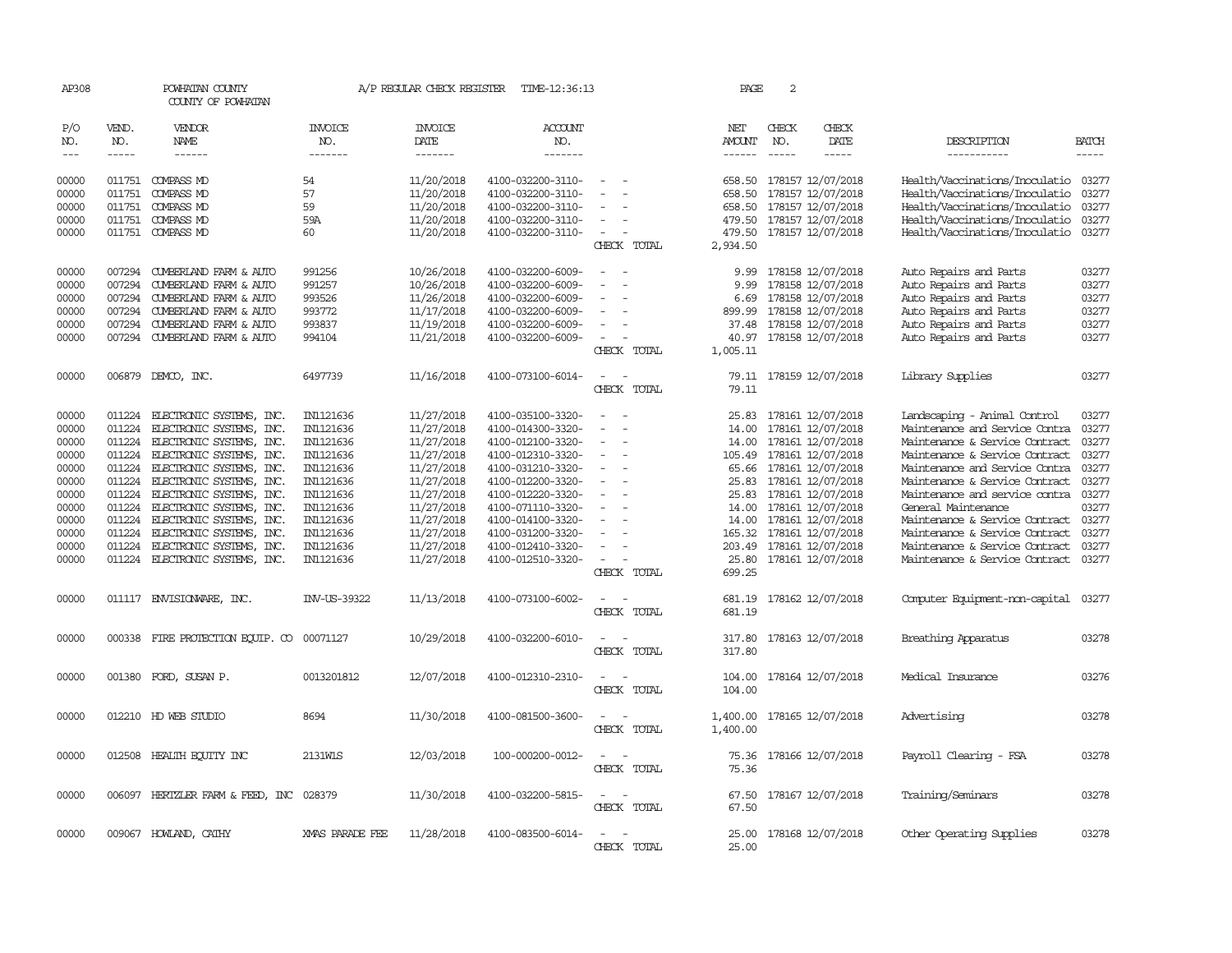| AP308          |              | POWHATAN COUNTY<br>COUNTY OF POWHATAN                |                        | A/P REGULAR CHECK REGISTER | TIME-12:36:13                          |                                         | PAGE                 | $\overline{c}$ |                                        |                                                                  |                |
|----------------|--------------|------------------------------------------------------|------------------------|----------------------------|----------------------------------------|-----------------------------------------|----------------------|----------------|----------------------------------------|------------------------------------------------------------------|----------------|
| P/O<br>NO.     | VEND.<br>NO. | VENDOR<br><b>NAME</b>                                | INVOICE<br>NO.         | <b>INVOICE</b><br>DATE     | ACCOUNT<br>NO.                         |                                         | NET<br>AMOUNT        | CHECK<br>NO.   | CHECK<br>DATE                          | DESCRIPTION                                                      | <b>BATCH</b>   |
| $---$          | $- - - - -$  | $- - - - - -$                                        | -------                | -------                    | -------                                |                                         | $- - - - - -$        | $- - - - -$    | -----                                  | -----------                                                      | $- - - - -$    |
| 00000<br>00000 | 011751       | 011751 COMPASS MD<br><b>COMPASS MD</b>               | 54<br>57               | 11/20/2018<br>11/20/2018   | 4100-032200-3110-<br>4100-032200-3110- |                                         | 658.50<br>658.50     |                | 178157 12/07/2018<br>178157 12/07/2018 | Health/Vaccinations/Inoculatio<br>Health/Vaccinations/Inoculatio | 03277<br>03277 |
| 00000          | 011751       | COMPASS MD                                           | 59                     | 11/20/2018                 | 4100-032200-3110-                      |                                         | 658.50               |                | 178157 12/07/2018                      | Health/Vaccinations/Inoculatio                                   | 03277          |
| 00000          | 011751       | COMPASS MD                                           | 59A                    | 11/20/2018                 | 4100-032200-3110-                      |                                         | 479.50               |                | 178157 12/07/2018                      | Health/Vaccinations/Inoculatio                                   | 03277          |
| 00000          |              | 011751 COMPASS MD                                    | 60                     | 11/20/2018                 | 4100-032200-3110-                      | $\sim$<br>CHECK TOTAL                   | 479.50<br>2,934.50   |                | 178157 12/07/2018                      | Health/Vaccinations/Inoculatio                                   | 03277          |
| 00000          | 007294       | CUMBERLAND FARM & AUTO                               | 991256                 | 10/26/2018                 | 4100-032200-6009-                      |                                         | 9.99                 |                | 178158 12/07/2018                      | Auto Repairs and Parts                                           | 03277          |
| 00000          | 007294       | CUMBERLAND FARM & AUTO                               | 991257                 | 10/26/2018                 | 4100-032200-6009-                      |                                         | 9.99                 |                | 178158 12/07/2018                      | Auto Repairs and Parts                                           | 03277          |
| 00000          | 007294       | CUMBERLAND FARM & AUTO                               | 993526                 | 11/26/2018                 | 4100-032200-6009-                      |                                         | 6.69                 |                | 178158 12/07/2018                      | Auto Repairs and Parts                                           | 03277          |
| 00000          | 007294       | CUMBERLAND FARM & AUTO                               | 993772                 | 11/17/2018                 | 4100-032200-6009-                      |                                         | 899.99               |                | 178158 12/07/2018                      | Auto Repairs and Parts                                           | 03277          |
| 00000          | 007294       | CUMBERLAND FARM & AUTO                               | 993837                 | 11/19/2018                 | 4100-032200-6009-                      | $\overline{\phantom{a}}$                | 37.48                |                | 178158 12/07/2018                      | Auto Repairs and Parts                                           | 03277          |
| 00000          |              | 007294 CUMBERLAND FARM & AUTO                        | 994104                 | 11/21/2018                 | 4100-032200-6009-                      | $\overline{\phantom{a}}$                | 40.97                |                | 178158 12/07/2018                      | Auto Repairs and Parts                                           | 03277          |
|                |              |                                                      |                        |                            |                                        | CHECK TOTAL                             | 1,005.11             |                |                                        |                                                                  |                |
| 00000          |              | 006879 DEMCO, INC.                                   | 6497739                | 11/16/2018                 | 4100-073100-6014-                      | $\overline{\phantom{a}}$<br>CHECK TOTAL | 79.11<br>79.11       |                | 178159 12/07/2018                      | Library Supplies                                                 | 03277          |
| 00000          | 011224       | ELECTRONIC SYSTEMS, INC.                             | IN1121636              | 11/27/2018                 | 4100-035100-3320-                      |                                         | 25.83                |                | 178161 12/07/2018                      | Landscaping - Animal Control                                     | 03277          |
| 00000          | 011224       | ELECTRONIC SYSTEMS, INC.                             | IN1121636              | 11/27/2018                 | 4100-014300-3320-                      |                                         | 14.00                |                | 178161 12/07/2018                      | Maintenance and Service Contra                                   | 03277          |
| 00000          | 011224       | ELECTRONIC SYSTEMS, INC.                             | IN1121636              | 11/27/2018                 | 4100-012100-3320-                      |                                         | 14.00                |                | 178161 12/07/2018                      | Maintenance & Service Contract                                   | 03277          |
| 00000          | 011224       | ELECTRONIC SYSTEMS, INC.                             | IN1121636              | 11/27/2018                 | 4100-012310-3320-                      |                                         | 105.49               |                | 178161 12/07/2018                      | Maintenance & Service Contract                                   | 03277          |
| 00000          | 011224       | ELECTRONIC SYSTEMS, INC.                             | IN1121636              | 11/27/2018                 | 4100-031210-3320-                      | $\sim$                                  |                      |                | 65.66 178161 12/07/2018                | Maintenance and Service Contra                                   | 03277          |
| 00000          | 011224       | 011224 ELECTRONIC SYSTEMS, INC.                      | IN1121636              | 11/27/2018                 | 4100-012200-3320-                      |                                         | 25.83                |                | 178161 12/07/2018                      | Maintenance & Service Contract                                   | 03277<br>03277 |
| 00000          | 011224       | ELECTRONIC SYSTEMS, INC.<br>ELECTRONIC SYSTEMS, INC. | IN1121636<br>IN1121636 | 11/27/2018                 | 4100-012220-3320-                      |                                         | 25.83                |                | 178161 12/07/2018<br>178161 12/07/2018 | Maintenance and service contra<br>General Maintenance            | 03277          |
| 00000<br>00000 | 011224       | ELECTRONIC SYSTEMS, INC.                             | IN1121636              | 11/27/2018<br>11/27/2018   | 4100-071110-3320-<br>4100-014100-3320- |                                         | 14.00<br>14.00       |                | 178161 12/07/2018                      | Maintenance & Service Contract                                   | 03277          |
| 00000          | 011224       | ELECTRONIC SYSTEMS, INC.                             | IN1121636              | 11/27/2018                 | 4100-031200-3320-                      |                                         | 165.32               |                | 178161 12/07/2018                      | Maintenance & Service Contract                                   | 03277          |
| 00000          | 011224       | ELECTRONIC SYSTEMS, INC.                             | IN1121636              | 11/27/2018                 | 4100-012410-3320-                      |                                         | 203.49               |                | 178161 12/07/2018                      | Maintenance & Service Contract                                   | 03277          |
| 00000          |              | 011224 ELECTRONIC SYSTEMS, INC.                      | IN1121636              | 11/27/2018                 | 4100-012510-3320-                      |                                         | 25.80                |                | 178161 12/07/2018                      | Maintenance & Service Contract                                   | 03277          |
|                |              |                                                      |                        |                            |                                        | CHECK TOTAL                             | 699.25               |                |                                        |                                                                  |                |
| 00000          |              | 011117 ENVISIONARE, INC.                             | INV-US-39322           | 11/13/2018                 | 4100-073100-6002-                      |                                         | 681.19               |                | 178162 12/07/2018                      | Computer Equipment-non-capital                                   | 03277          |
|                |              |                                                      |                        |                            |                                        | CHECK TOTAL                             | 681.19               |                |                                        |                                                                  |                |
| 00000          | 000338       | FIRE PROTECTION EQUIP. CO                            | 00071127               | 10/29/2018                 | 4100-032200-6010-                      | CHECK TOTAL                             | 317.80<br>317.80     |                | 178163 12/07/2018                      | Breathing Apparatus                                              | 03278          |
| 00000          |              | 001380 FORD, SUSAN P.                                | 0013201812             | 12/07/2018                 | 4100-012310-2310-                      | CHECK TOTAL                             | 104.00<br>104.00     |                | 178164 12/07/2018                      | Medical Insurance                                                | 03276          |
| 00000          |              | 012210 HD WEB STUDIO                                 | 8694                   | 11/30/2018                 | 4100-081500-3600-                      | CHECK TOTAL                             | 1,400.00<br>1,400.00 |                | 178165 12/07/2018                      | Advertising                                                      | 03278          |
| 00000          |              | 012508 HEALTH ECUTTY INC                             | 2131W1S                | 12/03/2018                 | 100-000200-0012-                       | CHECK TOTAL                             | 75.36<br>75.36       |                | 178166 12/07/2018                      | Payroll Clearing - FSA                                           | 03278          |
| 00000          |              | 006097 HERTZLER FARM & FEED, INC                     | 028379                 | 11/30/2018                 | 4100-032200-5815-                      | CHECK TOTAL                             | 67.50<br>67.50       |                | 178167 12/07/2018                      | Training/Seminars                                                | 03278          |
| 00000          |              | 009067 HOWLAND, CATHY                                | XMAS PARADE FEE        | 11/28/2018                 | 4100-083500-6014-                      | CHECK<br>TOTAL                          | 25.00                |                | 25.00 178168 12/07/2018                | Other Operating Supplies                                         | 03278          |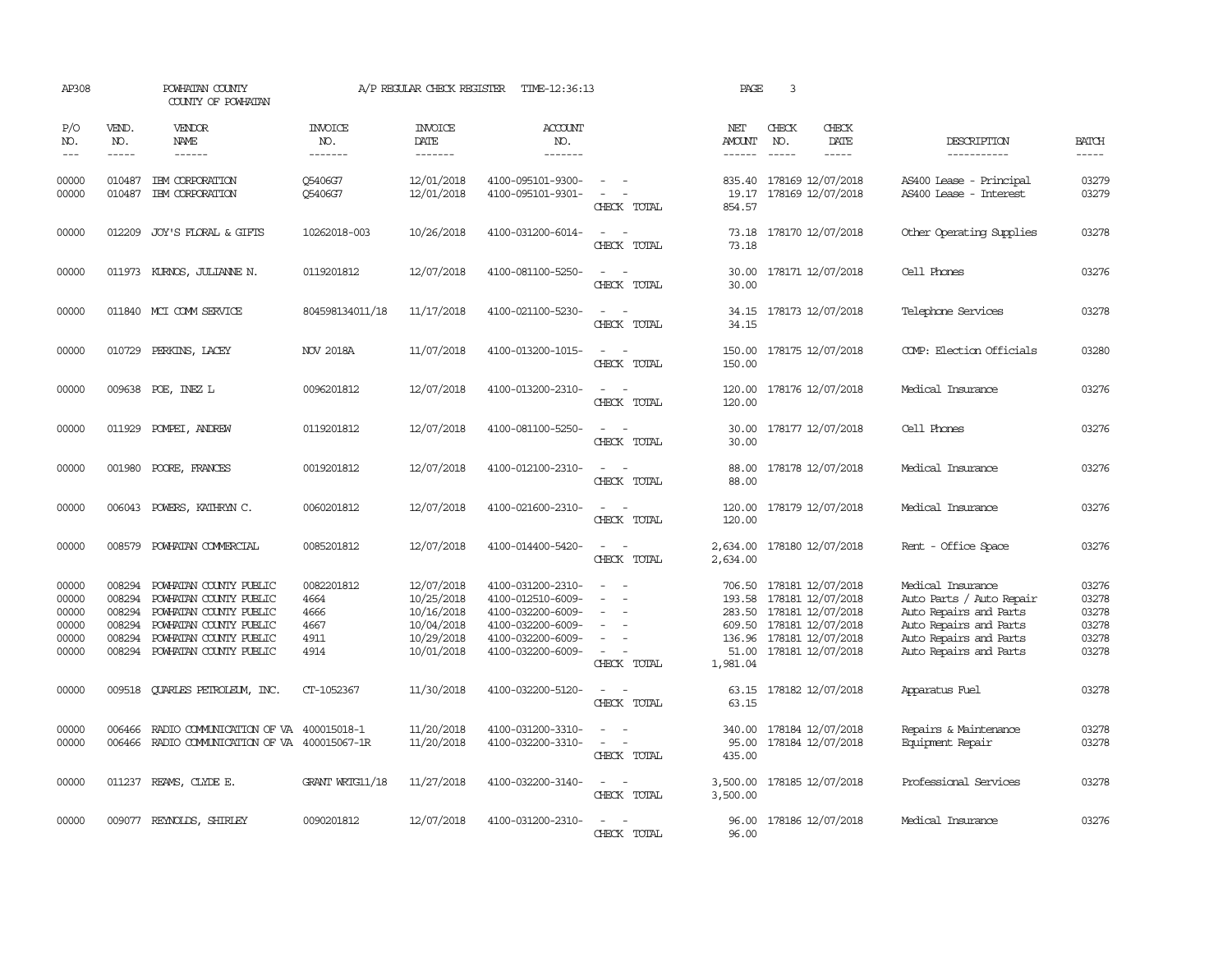| AP308                                              |                                                          | POWHATAN COUNTY<br>COUNTY OF POWHATAN                                                                                                                    |                                                    | A/P REGULAR CHECK REGISTER                                                       | TIME-12:36:13                                                                                                              |                                         | PAGE                                  | $\overline{3}$                                                                                                                                  |                                                                                                                                                       |                                                    |
|----------------------------------------------------|----------------------------------------------------------|----------------------------------------------------------------------------------------------------------------------------------------------------------|----------------------------------------------------|----------------------------------------------------------------------------------|----------------------------------------------------------------------------------------------------------------------------|-----------------------------------------|---------------------------------------|-------------------------------------------------------------------------------------------------------------------------------------------------|-------------------------------------------------------------------------------------------------------------------------------------------------------|----------------------------------------------------|
| P/O<br>NO.<br>$---$                                | VEND.<br>NO.<br>$\frac{1}{2}$                            | VENDOR<br>NAME                                                                                                                                           | <b>INVOICE</b><br>NO.<br>-------                   | <b>INVOICE</b><br>DATE<br>--------                                               | <b>ACCOUNT</b><br>NO.<br>-------                                                                                           |                                         | NET<br>AMOUNT<br>$\frac{1}{2}$        | CHECK<br>CHECK<br>NO.<br>DATE<br>$\frac{1}{2}$<br>$\frac{1}{2}$                                                                                 | DESCRIPTION<br>-----------                                                                                                                            | <b>BATCH</b><br>-----                              |
| 00000<br>00000                                     | 010487<br>010487                                         | IBM CORPORATION<br>IBM CORPORATION                                                                                                                       | 05406G7<br>Q5406G7                                 | 12/01/2018<br>12/01/2018                                                         | 4100-095101-9300-<br>4100-095101-9301-                                                                                     | $\sim$ $ -$<br>$\sim$<br>CHECK TOTAL    | 854.57                                | 835.40 178169 12/07/2018<br>19.17 178169 12/07/2018                                                                                             | AS400 Lease - Principal<br>AS400 Lease - Interest                                                                                                     | 03279<br>03279                                     |
| 00000                                              | 012209                                                   | JOY'S FLORAL & GIFTS                                                                                                                                     | 10262018-003                                       | 10/26/2018                                                                       | 4100-031200-6014-                                                                                                          | $\sim$<br>CHECK TOTAL                   | 73.18<br>73.18                        | 178170 12/07/2018                                                                                                                               | Other Operating Supplies                                                                                                                              | 03278                                              |
| 00000                                              | 011973                                                   | KURNOS, JULIANNE N.                                                                                                                                      | 0119201812                                         | 12/07/2018                                                                       | 4100-081100-5250-                                                                                                          | $\overline{\phantom{a}}$<br>CHECK TOTAL | 30.00<br>30.00                        | 178171 12/07/2018                                                                                                                               | Cell Phones                                                                                                                                           | 03276                                              |
| 00000                                              |                                                          | 011840 MCI COMM SERVICE                                                                                                                                  | 804598134011/18                                    | 11/17/2018                                                                       | 4100-021100-5230-                                                                                                          | CHECK TOTAL                             | 34.15                                 | 34.15 178173 12/07/2018                                                                                                                         | Telephone Services                                                                                                                                    | 03278                                              |
| 00000                                              |                                                          | 010729 PERKINS, LACEY                                                                                                                                    | <b>NOV 2018A</b>                                   | 11/07/2018                                                                       | 4100-013200-1015-                                                                                                          | CHECK TOTAL                             | 150.00<br>150.00                      | 178175 12/07/2018                                                                                                                               | COMP: Election Officials                                                                                                                              | 03280                                              |
| 00000                                              |                                                          | 009638 POE, INEZ L                                                                                                                                       | 0096201812                                         | 12/07/2018                                                                       | 4100-013200-2310-                                                                                                          | $\sim$<br>$\sim$<br>CHECK TOTAL         | 120.00<br>120.00                      | 178176 12/07/2018                                                                                                                               | Medical Insurance                                                                                                                                     | 03276                                              |
| 00000                                              | 011929                                                   | POMPEI, ANDREW                                                                                                                                           | 0119201812                                         | 12/07/2018                                                                       | 4100-081100-5250-                                                                                                          | CHECK TOTAL                             | 30.00<br>30.00                        | 178177 12/07/2018                                                                                                                               | Cell Phones                                                                                                                                           | 03276                                              |
| 00000                                              | 001980                                                   | POORE, FRANCES                                                                                                                                           | 0019201812                                         | 12/07/2018                                                                       | 4100-012100-2310-                                                                                                          | CHECK TOTAL                             | 88.00<br>88.00                        | 178178 12/07/2018                                                                                                                               | Medical Insurance                                                                                                                                     | 03276                                              |
| 00000                                              | 006043                                                   | POWERS, KATHRYN C.                                                                                                                                       | 0060201812                                         | 12/07/2018                                                                       | 4100-021600-2310-                                                                                                          | $\equiv$<br>CHECK TOTAL                 | 120.00<br>120.00                      | 178179 12/07/2018                                                                                                                               | Medical Insurance                                                                                                                                     | 03276                                              |
| 00000                                              |                                                          | 008579 POWHATAN COMMERCIAL                                                                                                                               | 0085201812                                         | 12/07/2018                                                                       | 4100-014400-5420-                                                                                                          | $\sim$<br>CHECK TOTAL                   | 2,634.00<br>2,634.00                  | 178180 12/07/2018                                                                                                                               | Rent - Office Space                                                                                                                                   | 03276                                              |
| 00000<br>00000<br>00000<br>00000<br>00000<br>00000 | 008294<br>008294<br>008294<br>008294<br>008294<br>008294 | POWHATAN COUNTY PUBLIC<br>POWHATAN COUNTY PUBLIC<br>POWHATAN COUNTY PUBLIC<br>POWHATAN COUNTY PUBLIC<br>POWHATAN COUNTY PUBLIC<br>POWHATAN COUNTY PUBLIC | 0082201812<br>4664<br>4666<br>4667<br>4911<br>4914 | 12/07/2018<br>10/25/2018<br>10/16/2018<br>10/04/2018<br>10/29/2018<br>10/01/2018 | 4100-031200-2310-<br>4100-012510-6009-<br>4100-032200-6009-<br>4100-032200-6009-<br>4100-032200-6009-<br>4100-032200-6009- | $\equiv$<br>$\sim$<br>CHECK TOTAL       | 193.58<br>283.50<br>51.00<br>1,981.04 | 706.50 178181 12/07/2018<br>178181 12/07/2018<br>178181 12/07/2018<br>609.50 178181 12/07/2018<br>136.96 178181 12/07/2018<br>178181 12/07/2018 | Medical Insurance<br>Auto Parts / Auto Repair<br>Auto Repairs and Parts<br>Auto Repairs and Parts<br>Auto Repairs and Parts<br>Auto Repairs and Parts | 03276<br>03278<br>03278<br>03278<br>03278<br>03278 |
| 00000                                              |                                                          | 009518 CUARLES PETROLEUM, INC.                                                                                                                           | CT-1052367                                         | 11/30/2018                                                                       | 4100-032200-5120-                                                                                                          | $\sim$<br>CHECK TOTAL                   | 63.15                                 | 63.15 178182 12/07/2018                                                                                                                         | Apparatus Fuel                                                                                                                                        | 03278                                              |
| 00000<br>00000                                     | 006466<br>006466                                         | RADIO COMMUNICATION OF VA 400015018-1<br>RADIO COMMUNICATION OF VA 400015067-1R                                                                          |                                                    | 11/20/2018<br>11/20/2018                                                         | 4100-031200-3310-<br>4100-032200-3310-                                                                                     | CHECK TOTAL                             | 340.00<br>95.00<br>435.00             | 178184 12/07/2018<br>178184 12/07/2018                                                                                                          | Repairs & Maintenance<br>Equipment Repair                                                                                                             | 03278<br>03278                                     |
| 00000                                              |                                                          | 011237 REAMS, CLYDE E.                                                                                                                                   | GRANT WRIG11/18                                    | 11/27/2018                                                                       | 4100-032200-3140-                                                                                                          | $\sim$ $\sim$<br>CHECK TOTAL            | 3,500.00<br>3,500.00                  | 178185 12/07/2018                                                                                                                               | Professional Services                                                                                                                                 | 03278                                              |
| 00000                                              |                                                          | 009077 REYNOLDS, SHIRLEY                                                                                                                                 | 0090201812                                         | 12/07/2018                                                                       | 4100-031200-2310-                                                                                                          | $\sim 100$<br>CHECK TOTAL               | 96.00<br>96.00                        | 178186 12/07/2018                                                                                                                               | Medical Insurance                                                                                                                                     | 03276                                              |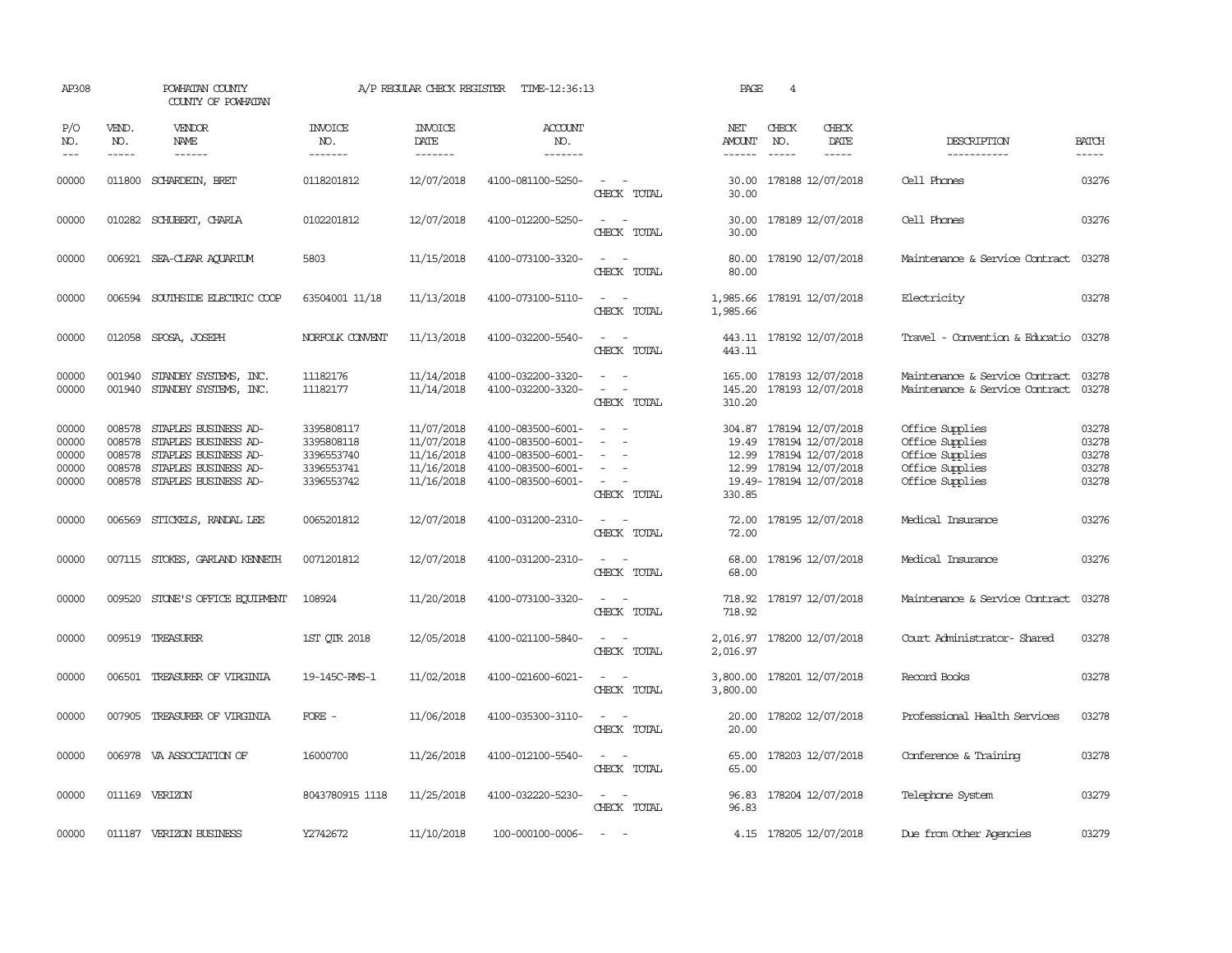| AP308                                     |                                      | POWHATAN COUNTY<br>COUNTY OF POWHATAN                                                                                       |                                                                    | A/P REGULAR CHECK REGISTER                                         | TIME-12:36:13                                                                                         |                                                                                                                             | PAGE                               | $\overline{4}$                                                                                                    |                              |                                                                                             |                                           |
|-------------------------------------------|--------------------------------------|-----------------------------------------------------------------------------------------------------------------------------|--------------------------------------------------------------------|--------------------------------------------------------------------|-------------------------------------------------------------------------------------------------------|-----------------------------------------------------------------------------------------------------------------------------|------------------------------------|-------------------------------------------------------------------------------------------------------------------|------------------------------|---------------------------------------------------------------------------------------------|-------------------------------------------|
| P/O<br>NO.<br>$---$                       | VEND.<br>NO.<br>$- - - - -$          | VENDOR<br><b>NAME</b><br>$- - - - - -$                                                                                      | <b>INVOICE</b><br>NO.<br>-------                                   | <b>INVOICE</b><br>DATE<br>-------                                  | <b>ACCOUNT</b><br>NO.<br>$- - - - - - -$                                                              |                                                                                                                             | NET<br>AMOUNT<br>------            | CHECK<br>NO.<br>$\frac{1}{2}$                                                                                     | CHECK<br>DATE<br>$- - - - -$ | DESCRIPTION<br>-----------                                                                  | <b>BATCH</b><br>$- - - - -$               |
| 00000                                     |                                      | 011800 SCHARDEIN, BRET                                                                                                      | 0118201812                                                         | 12/07/2018                                                         | 4100-081100-5250-                                                                                     | $\sim$<br>CHECK TOTAL                                                                                                       | 30.00<br>30.00                     | 178188 12/07/2018                                                                                                 |                              | Cell Phones                                                                                 | 03276                                     |
| 00000                                     |                                      | 010282 SCHUBERT, CHARLA                                                                                                     | 0102201812                                                         | 12/07/2018                                                         | 4100-012200-5250-                                                                                     | $\overline{\phantom{a}}$<br>CHECK TOTAL                                                                                     | 30.00<br>30.00                     | 178189 12/07/2018                                                                                                 |                              | Cell Phones                                                                                 | 03276                                     |
| 00000                                     |                                      | 006921 SEA-CLEAR AQUARIUM                                                                                                   | 5803                                                               | 11/15/2018                                                         | 4100-073100-3320-                                                                                     | $\sim$ $-$<br>CHECK TOTAL                                                                                                   | 80.00<br>80.00                     | 178190 12/07/2018                                                                                                 |                              | Maintenance & Service Contract                                                              | 03278                                     |
| 00000                                     |                                      | 006594 SOUTHSIDE ELECTRIC COOP                                                                                              | 63504001 11/18                                                     | 11/13/2018                                                         | 4100-073100-5110-                                                                                     | $\sim$<br>$\sim$<br>CHECK TOTAL                                                                                             | 1,985.66<br>1,985.66               | 178191 12/07/2018                                                                                                 |                              | Electricity                                                                                 | 03278                                     |
| 00000                                     |                                      | 012058 SPOSA, JOSEPH                                                                                                        | NORFOLK CONVENT                                                    | 11/13/2018                                                         | 4100-032200-5540-                                                                                     | $\frac{1}{2} \left( \frac{1}{2} \right) \left( \frac{1}{2} \right) = \frac{1}{2} \left( \frac{1}{2} \right)$<br>CHECK TOTAL | 443.11                             | 443.11 178192 12/07/2018                                                                                          |                              | Travel - Convention & Educatio                                                              | 03278                                     |
| 00000<br>00000                            |                                      | 001940 STANDBY SYSTEMS, INC.<br>001940 STANDBY SYSTEMS, INC.                                                                | 11182176<br>11182177                                               | 11/14/2018<br>11/14/2018                                           | 4100-032200-3320-<br>4100-032200-3320-                                                                | $\sim$<br>$\equiv$<br>CHECK TOTAL                                                                                           | 165.00<br>145.20<br>310.20         | 178193 12/07/2018<br>178193 12/07/2018                                                                            |                              | Maintenance & Service Contract<br>Maintenance & Service Contract                            | 03278<br>03278                            |
| 00000<br>00000<br>00000<br>00000<br>00000 | 008578<br>008578<br>008578<br>008578 | STAPLES BUSINESS AD-<br>STAPLES BUSINESS AD-<br>STAPLES BUSINESS AD-<br>STAPLES BUSINESS AD-<br>008578 STAPLES BUSINESS AD- | 3395808117<br>3395808118<br>3396553740<br>3396553741<br>3396553742 | 11/07/2018<br>11/07/2018<br>11/16/2018<br>11/16/2018<br>11/16/2018 | 4100-083500-6001-<br>4100-083500-6001-<br>4100-083500-6001-<br>4100-083500-6001-<br>4100-083500-6001- | $\sim$<br>$\overline{\phantom{a}}$<br>$\sim$<br>CHECK TOTAL                                                                 | 304.87<br>19.49<br>12.99<br>330.85 | 178194 12/07/2018<br>178194 12/07/2018<br>178194 12/07/2018<br>12.99 178194 12/07/2018<br>19.49-178194 12/07/2018 |                              | Office Supplies<br>Office Supplies<br>Office Supplies<br>Office Supplies<br>Office Supplies | 03278<br>03278<br>03278<br>03278<br>03278 |
| 00000                                     |                                      | 006569 STICKELS, RANDAL LEE                                                                                                 | 0065201812                                                         | 12/07/2018                                                         | 4100-031200-2310-                                                                                     | $\sim$ $\sim$<br>CHECK TOTAL                                                                                                | 72.00<br>72.00                     | 178195 12/07/2018                                                                                                 |                              | Medical Insurance                                                                           | 03276                                     |
| 00000                                     |                                      | 007115 STOKES, GARLAND KENNETH                                                                                              | 0071201812                                                         | 12/07/2018                                                         | 4100-031200-2310-                                                                                     | $\sim$ 100 $\sim$<br>CHECK TOTAL                                                                                            | 68.00<br>68.00                     | 178196 12/07/2018                                                                                                 |                              | Medical Insurance                                                                           | 03276                                     |
| 00000                                     |                                      | 009520 STONE'S OFFICE EQUIPMENT                                                                                             | 108924                                                             | 11/20/2018                                                         | 4100-073100-3320-                                                                                     | $\sim$ 100 $\sim$<br>CHECK TOTAL                                                                                            | 718.92                             | 718.92 178197 12/07/2018                                                                                          |                              | Maintenance & Service Contract                                                              | 03278                                     |
| 00000                                     |                                      | 009519 TREASURER                                                                                                            | 1ST QTR 2018                                                       | 12/05/2018                                                         | 4100-021100-5840-                                                                                     | CHECK TOTAL                                                                                                                 | 2,016.97<br>2,016.97               | 178200 12/07/2018                                                                                                 |                              | Court Administrator- Shared                                                                 | 03278                                     |
| 00000                                     |                                      | 006501 TREASURER OF VIRGINIA                                                                                                | 19-145C-RMS-1                                                      | 11/02/2018                                                         | 4100-021600-6021-                                                                                     | $\overline{\phantom{a}}$<br>CHECK TOTAL                                                                                     | 3,800.00<br>3,800.00               | 178201 12/07/2018                                                                                                 |                              | Record Books                                                                                | 03278                                     |
| 00000                                     |                                      | 007905 TREASURER OF VIRGINIA                                                                                                | $\overline{FORE}$ -                                                | 11/06/2018                                                         | 4100-035300-3110-                                                                                     | $\overline{\phantom{a}}$<br>$\sim$<br>CHECK TOTAL                                                                           | 20.00<br>20.00                     | 178202 12/07/2018                                                                                                 |                              | Professional Health Services                                                                | 03278                                     |
| 00000                                     |                                      | 006978 VA ASSOCIATION OF                                                                                                    | 16000700                                                           | 11/26/2018                                                         | 4100-012100-5540-                                                                                     | $\sim$ $\sim$<br>CHECK TOTAL                                                                                                | 65.00<br>65.00                     | 178203 12/07/2018                                                                                                 |                              | Conference & Training                                                                       | 03278                                     |
| 00000                                     |                                      | 011169 VERIZON                                                                                                              | 8043780915 1118                                                    | 11/25/2018                                                         | 4100-032220-5230-                                                                                     | $\sim$<br>CHECK TOTAL                                                                                                       | 96.83                              | 96.83 178204 12/07/2018                                                                                           |                              | Telephone System                                                                            | 03279                                     |
| 00000                                     |                                      | 011187 VERIZON BUSINESS                                                                                                     | Y2742672                                                           | 11/10/2018                                                         | 100-000100-0006-                                                                                      | <b><i><u>Participate</u></i></b>                                                                                            |                                    | 4.15 178205 12/07/2018                                                                                            |                              | Due from Other Agencies                                                                     | 03279                                     |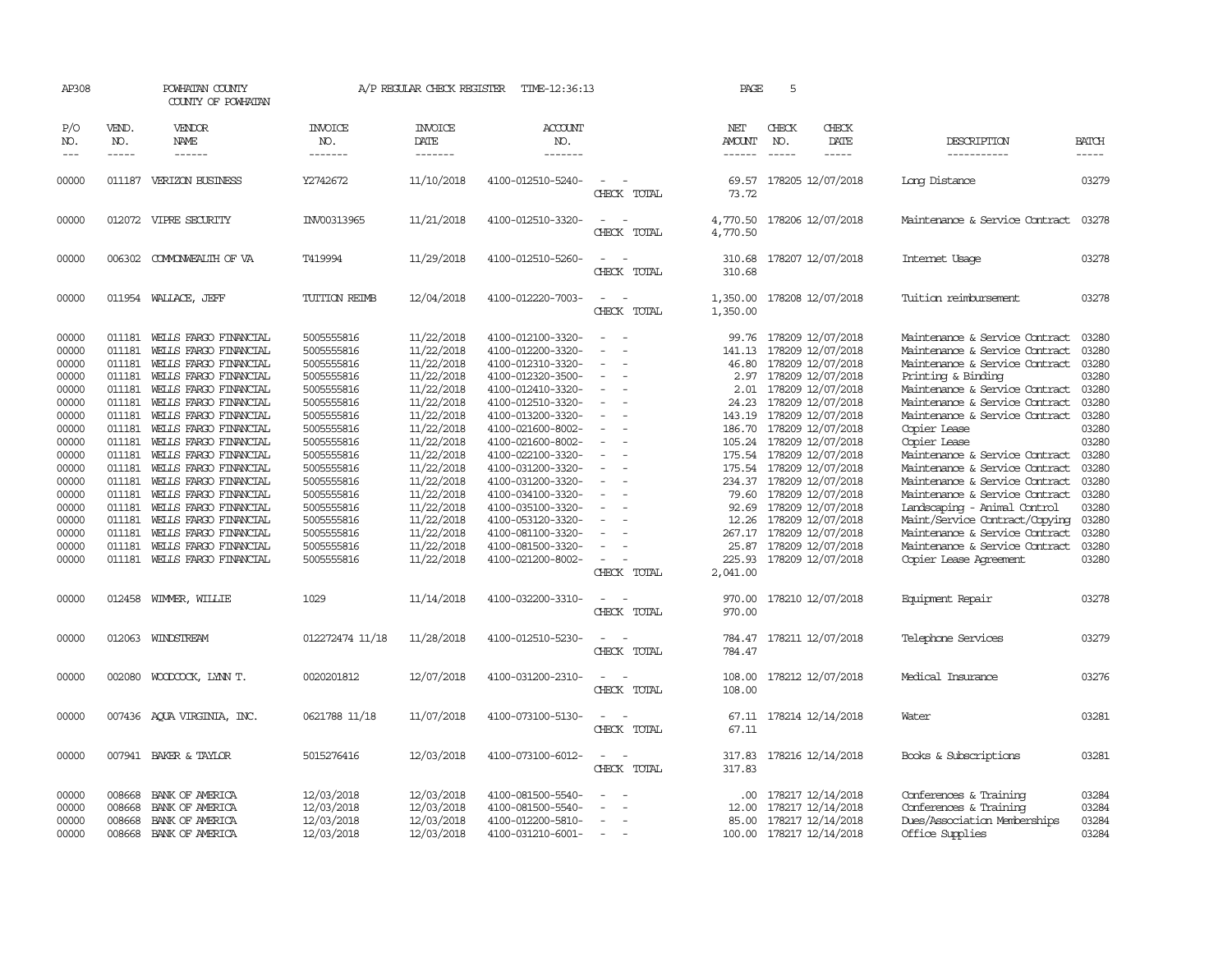| AP308                                                                                                                                                                   |                                                                                                                                                                        | POWHATAN COUNTY<br>COUNTY OF POWHATAN                                                                                                                                                                                                                                                                                                                                                                                                                                                          |                                                                                                                                                                                                                                                                  | A/P REGULAR CHECK REGISTER                                                                                                                                                                                                                                             | TIME-12:36:13                                                                                                                                                                                                                                                                                                                                                                                               |                                                                                                                                                                                                                 | PAGE                                                                                                                                                 | 5                                                                                                                                                                                                                                                                                                                                                                                                                                      |                              |                                                                                                                                                                                                                                                                                                                                                                                                                                                                                                                                                                                            |                                                                                                                                                                         |
|-------------------------------------------------------------------------------------------------------------------------------------------------------------------------|------------------------------------------------------------------------------------------------------------------------------------------------------------------------|------------------------------------------------------------------------------------------------------------------------------------------------------------------------------------------------------------------------------------------------------------------------------------------------------------------------------------------------------------------------------------------------------------------------------------------------------------------------------------------------|------------------------------------------------------------------------------------------------------------------------------------------------------------------------------------------------------------------------------------------------------------------|------------------------------------------------------------------------------------------------------------------------------------------------------------------------------------------------------------------------------------------------------------------------|-------------------------------------------------------------------------------------------------------------------------------------------------------------------------------------------------------------------------------------------------------------------------------------------------------------------------------------------------------------------------------------------------------------|-----------------------------------------------------------------------------------------------------------------------------------------------------------------------------------------------------------------|------------------------------------------------------------------------------------------------------------------------------------------------------|----------------------------------------------------------------------------------------------------------------------------------------------------------------------------------------------------------------------------------------------------------------------------------------------------------------------------------------------------------------------------------------------------------------------------------------|------------------------------|--------------------------------------------------------------------------------------------------------------------------------------------------------------------------------------------------------------------------------------------------------------------------------------------------------------------------------------------------------------------------------------------------------------------------------------------------------------------------------------------------------------------------------------------------------------------------------------------|-------------------------------------------------------------------------------------------------------------------------------------------------------------------------|
| P/O<br>NO.<br>$---$                                                                                                                                                     | VEND.<br>NO.<br>$- - - - -$                                                                                                                                            | VENDOR<br>NAME<br>------                                                                                                                                                                                                                                                                                                                                                                                                                                                                       | INVOICE<br>NO.<br>-------                                                                                                                                                                                                                                        | <b>INVOICE</b><br>DATE<br>-------                                                                                                                                                                                                                                      | <b>ACCOUNT</b><br>NO.<br>-------                                                                                                                                                                                                                                                                                                                                                                            |                                                                                                                                                                                                                 | NET<br>AMOUNT<br>------                                                                                                                              | CHECK<br>NO.                                                                                                                                                                                                                                                                                                                                                                                                                           | CHECK<br>DATE<br>$- - - - -$ | DESCRIPTION<br>-----------                                                                                                                                                                                                                                                                                                                                                                                                                                                                                                                                                                 | <b>BATCH</b><br>-----                                                                                                                                                   |
| 00000                                                                                                                                                                   | 011187                                                                                                                                                                 | VERIZON BUSINESS                                                                                                                                                                                                                                                                                                                                                                                                                                                                               | Y2742672                                                                                                                                                                                                                                                         | 11/10/2018                                                                                                                                                                                                                                                             | 4100-012510-5240-                                                                                                                                                                                                                                                                                                                                                                                           | $\equiv$<br>CHECK TOTAL                                                                                                                                                                                         | 69.57<br>73.72                                                                                                                                       | 178205 12/07/2018                                                                                                                                                                                                                                                                                                                                                                                                                      |                              | Long Distance                                                                                                                                                                                                                                                                                                                                                                                                                                                                                                                                                                              | 03279                                                                                                                                                                   |
| 00000                                                                                                                                                                   |                                                                                                                                                                        | 012072 VIPRE SECURITY                                                                                                                                                                                                                                                                                                                                                                                                                                                                          | INV00313965                                                                                                                                                                                                                                                      | 11/21/2018                                                                                                                                                                                                                                                             | 4100-012510-3320-                                                                                                                                                                                                                                                                                                                                                                                           | $\equiv$<br>CHECK TOTAL                                                                                                                                                                                         | 4,770.50<br>4,770.50                                                                                                                                 | 178206 12/07/2018                                                                                                                                                                                                                                                                                                                                                                                                                      |                              | Maintenance & Service Contract                                                                                                                                                                                                                                                                                                                                                                                                                                                                                                                                                             | 03278                                                                                                                                                                   |
| 00000                                                                                                                                                                   |                                                                                                                                                                        | 006302 COMMONWEALTH OF VA                                                                                                                                                                                                                                                                                                                                                                                                                                                                      | T419994                                                                                                                                                                                                                                                          | 11/29/2018                                                                                                                                                                                                                                                             | 4100-012510-5260-                                                                                                                                                                                                                                                                                                                                                                                           | $\overline{\phantom{a}}$<br>CHECK TOTAL                                                                                                                                                                         | 310.68                                                                                                                                               | 310.68 178207 12/07/2018                                                                                                                                                                                                                                                                                                                                                                                                               |                              | Internet Usage                                                                                                                                                                                                                                                                                                                                                                                                                                                                                                                                                                             | 03278                                                                                                                                                                   |
| 00000                                                                                                                                                                   |                                                                                                                                                                        | 011954 WALLACE, JEFF                                                                                                                                                                                                                                                                                                                                                                                                                                                                           | TUITION REIMB                                                                                                                                                                                                                                                    | 12/04/2018                                                                                                                                                                                                                                                             | 4100-012220-7003-                                                                                                                                                                                                                                                                                                                                                                                           | $\sim$<br>$\sim$<br>CHECK TOTAL                                                                                                                                                                                 | 1,350.00                                                                                                                                             | 1,350.00 178208 12/07/2018                                                                                                                                                                                                                                                                                                                                                                                                             |                              | Tuition reimbursement                                                                                                                                                                                                                                                                                                                                                                                                                                                                                                                                                                      | 03278                                                                                                                                                                   |
| 00000<br>00000<br>00000<br>00000<br>00000<br>00000<br>00000<br>00000<br>00000<br>00000<br>00000<br>00000<br>00000<br>00000<br>00000<br>00000<br>00000<br>00000<br>00000 | 011181<br>011181<br>011181<br>011181<br>011181<br>011181<br>011181<br>011181<br>011181<br>011181<br>011181<br>011181<br>011181<br>011181<br>011181<br>011181<br>011181 | WELLS FARGO FINANCIAL<br>WELLS FARGO FINANCIAL<br>WELLS FARGO FINANCIAL<br>WELLS FARGO FINANCIAL<br>WELLS FARGO FINANCIAL<br>WELLS FARGO FINANCIAL<br>WELLS FARGO FINANCIAL<br>WELLS FARGO FINANCIAL<br>WELLS FARGO FINANCIAL<br>WELLS FARGO FINANCIAL<br>WEILS FARGO FINANCIAL<br>WELLS FARGO FINANCIAL<br>WELLS FARGO FINANCIAL<br>WELLS FARGO FINANCIAL<br>WELLS FARGO FINANCIAL<br>WELLS FARGO FINANCIAL<br>WELLS FARGO FINANCIAL<br>011181 WELLS FARGO FINANCIAL<br>012458 WIMMER, WILLIE | 5005555816<br>5005555816<br>5005555816<br>5005555816<br>5005555816<br>5005555816<br>5005555816<br>5005555816<br>5005555816<br>5005555816<br>5005555816<br>5005555816<br>5005555816<br>5005555816<br>5005555816<br>5005555816<br>5005555816<br>5005555816<br>1029 | 11/22/2018<br>11/22/2018<br>11/22/2018<br>11/22/2018<br>11/22/2018<br>11/22/2018<br>11/22/2018<br>11/22/2018<br>11/22/2018<br>11/22/2018<br>11/22/2018<br>11/22/2018<br>11/22/2018<br>11/22/2018<br>11/22/2018<br>11/22/2018<br>11/22/2018<br>11/22/2018<br>11/14/2018 | 4100-012100-3320-<br>4100-012200-3320-<br>4100-012310-3320-<br>4100-012320-3500-<br>4100-012410-3320-<br>4100-012510-3320-<br>4100-013200-3320-<br>4100-021600-8002-<br>4100-021600-8002-<br>4100-022100-3320-<br>4100-031200-3320-<br>4100-031200-3320-<br>4100-034100-3320-<br>4100-035100-3320-<br>4100-053120-3320-<br>4100-081100-3320-<br>4100-081500-3320-<br>4100-021200-8002-<br>4100-032200-3310- | $\equiv$<br>$\sim$<br>$\equiv$<br>$\sim$<br>$\equiv$<br>$\equiv$<br>$\sim$<br>$\sim$<br>$\sim$<br>$\overline{\phantom{a}}$<br>$\overline{\phantom{a}}$<br>$\sim$<br>$\equiv$<br>$\sim$<br>CHECK TOTAL<br>$\sim$ | 99.76<br>141.13<br>46.80<br>2.97<br>2.01<br>24.23<br>143.19<br>186.70<br>175.54<br>234.37<br>92.69<br>12.26<br>25.87<br>225.93<br>2,041.00<br>970.00 | 178209 12/07/2018<br>178209 12/07/2018<br>178209 12/07/2018<br>178209 12/07/2018<br>178209 12/07/2018<br>178209 12/07/2018<br>178209 12/07/2018<br>178209 12/07/2018<br>105.24 178209 12/07/2018<br>175.54 178209 12/07/2018<br>178209 12/07/2018<br>178209 12/07/2018<br>79.60 178209 12/07/2018<br>178209 12/07/2018<br>178209 12/07/2018<br>267.17 178209 12/07/2018<br>178209 12/07/2018<br>178209 12/07/2018<br>178210 12/07/2018 |                              | Maintenance & Service Contract<br>Maintenance & Service Contract<br>Maintenance & Service Contract<br>Printing & Binding<br>Maintenance & Service Contract<br>Maintenance & Service Contract<br>Maintenance & Service Contract<br>Copier Lease<br>Copier Lease<br>Maintenance & Service Contract<br>Maintenance & Service Contract<br>Maintenance & Service Contract<br>Maintenance & Service Contract<br>Landscaping - Animal Control<br>Maint/Service Contract/Copying<br>Maintenance & Service Contract<br>Maintenance & Service Contract<br>Copier Lease Agreement<br>Equipment Repair | 03280<br>03280<br>03280<br>03280<br>03280<br>03280<br>03280<br>03280<br>03280<br>03280<br>03280<br>03280<br>03280<br>03280<br>03280<br>03280<br>03280<br>03280<br>03278 |
| 00000                                                                                                                                                                   |                                                                                                                                                                        | 012063 WINDSTREAM                                                                                                                                                                                                                                                                                                                                                                                                                                                                              | 012272474 11/18                                                                                                                                                                                                                                                  | 11/28/2018                                                                                                                                                                                                                                                             | 4100-012510-5230-                                                                                                                                                                                                                                                                                                                                                                                           | CHECK TOTAL<br>$\sim$<br>CHECK TOTAL                                                                                                                                                                            | 970.00<br>784.47<br>784.47                                                                                                                           | 178211 12/07/2018                                                                                                                                                                                                                                                                                                                                                                                                                      |                              | Telephone Services                                                                                                                                                                                                                                                                                                                                                                                                                                                                                                                                                                         | 03279                                                                                                                                                                   |
| 00000                                                                                                                                                                   | 002080                                                                                                                                                                 | WOODCOCK, LYNN T.                                                                                                                                                                                                                                                                                                                                                                                                                                                                              | 0020201812                                                                                                                                                                                                                                                       | 12/07/2018                                                                                                                                                                                                                                                             | 4100-031200-2310-                                                                                                                                                                                                                                                                                                                                                                                           | $\overline{\phantom{a}}$<br>CHECK TOTAL                                                                                                                                                                         | 108.00<br>108.00                                                                                                                                     | 178212 12/07/2018                                                                                                                                                                                                                                                                                                                                                                                                                      |                              | Medical Insurance                                                                                                                                                                                                                                                                                                                                                                                                                                                                                                                                                                          | 03276                                                                                                                                                                   |
| 00000                                                                                                                                                                   |                                                                                                                                                                        | 007436 AQUA VIRGINIA, INC.                                                                                                                                                                                                                                                                                                                                                                                                                                                                     | 0621788 11/18                                                                                                                                                                                                                                                    | 11/07/2018                                                                                                                                                                                                                                                             | 4100-073100-5130-                                                                                                                                                                                                                                                                                                                                                                                           | $\sim$<br>CHECK TOTAL                                                                                                                                                                                           | 67.11                                                                                                                                                | 67.11 178214 12/14/2018                                                                                                                                                                                                                                                                                                                                                                                                                |                              | Water                                                                                                                                                                                                                                                                                                                                                                                                                                                                                                                                                                                      | 03281                                                                                                                                                                   |
| 00000                                                                                                                                                                   |                                                                                                                                                                        | 007941 BAKER & TAYLOR                                                                                                                                                                                                                                                                                                                                                                                                                                                                          | 5015276416                                                                                                                                                                                                                                                       | 12/03/2018                                                                                                                                                                                                                                                             | 4100-073100-6012-                                                                                                                                                                                                                                                                                                                                                                                           | $\sim$<br>CHECK TOTAL                                                                                                                                                                                           | 317.83<br>317.83                                                                                                                                     | 178216 12/14/2018                                                                                                                                                                                                                                                                                                                                                                                                                      |                              | Books & Subscriptions                                                                                                                                                                                                                                                                                                                                                                                                                                                                                                                                                                      | 03281                                                                                                                                                                   |
| 00000<br>00000<br>00000<br>00000                                                                                                                                        | 008668<br>008668                                                                                                                                                       | BANK OF AMERICA<br>BANK OF AMERICA<br>008668 BANK OF AMERICA<br>008668 BANK OF AMERICA                                                                                                                                                                                                                                                                                                                                                                                                         | 12/03/2018<br>12/03/2018<br>12/03/2018<br>12/03/2018                                                                                                                                                                                                             | 12/03/2018<br>12/03/2018<br>12/03/2018<br>12/03/2018                                                                                                                                                                                                                   | 4100-081500-5540-<br>4100-081500-5540-<br>4100-012200-5810-<br>4100-031210-6001-                                                                                                                                                                                                                                                                                                                            | $\equiv$<br>$\sim$<br>$\sim$                                                                                                                                                                                    | .00<br>12.00                                                                                                                                         | 178217 12/14/2018<br>178217 12/14/2018<br>85.00 178217 12/14/2018<br>100.00 178217 12/14/2018                                                                                                                                                                                                                                                                                                                                          |                              | Conferences & Training<br>Conferences & Training<br>Dues/Association Memberships<br>Office Supplies                                                                                                                                                                                                                                                                                                                                                                                                                                                                                        | 03284<br>03284<br>03284<br>03284                                                                                                                                        |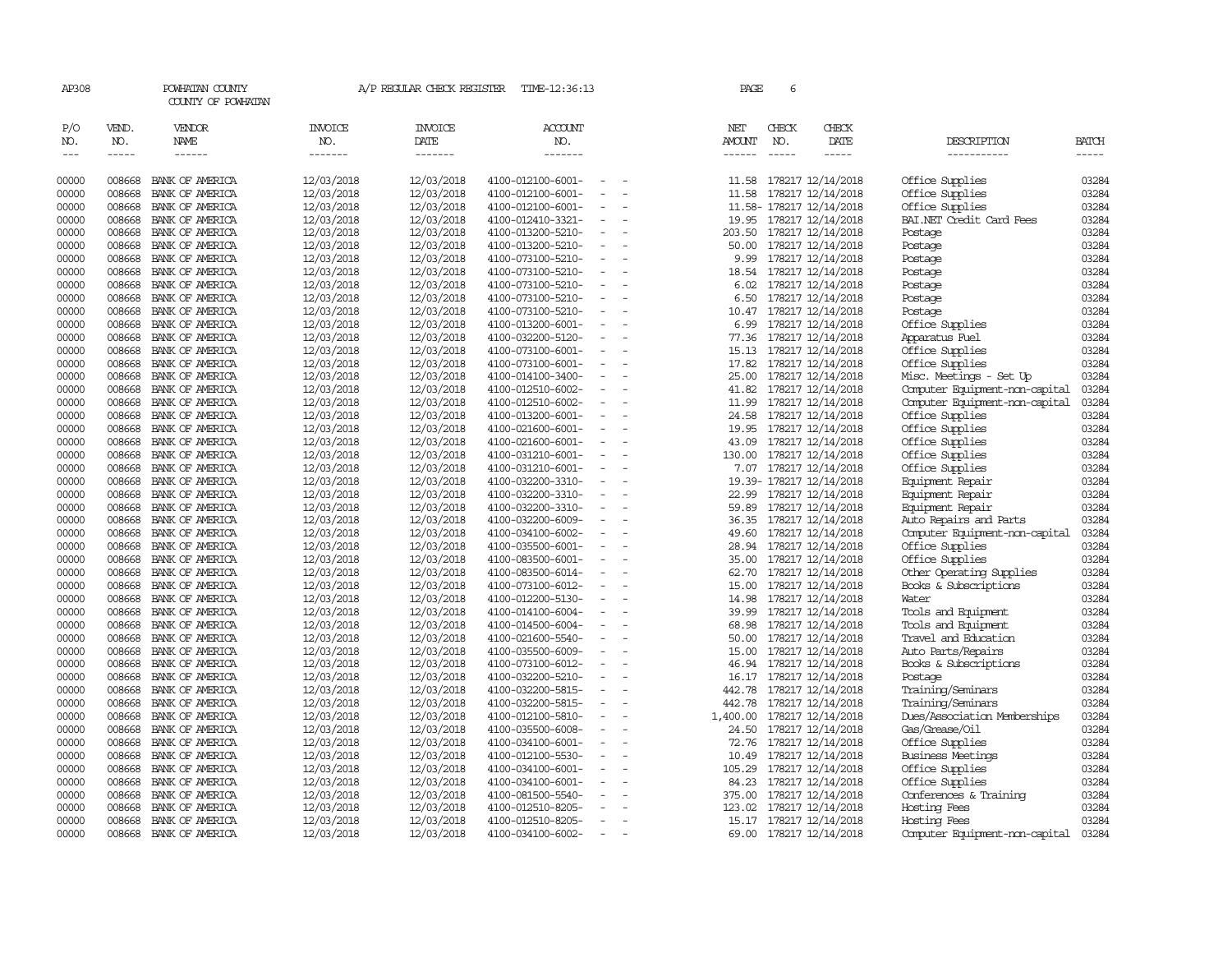| AP308               |                       | POWHATAN COUNTY<br>COUNTY OF POWHATAN |                                  | A/P REGULAR CHECK REGISTER               | TIME-12:36:13             |                          | PAGE                                  | 6            |                          |                                |                       |
|---------------------|-----------------------|---------------------------------------|----------------------------------|------------------------------------------|---------------------------|--------------------------|---------------------------------------|--------------|--------------------------|--------------------------------|-----------------------|
| P/O<br>NO.<br>$---$ | VEND.<br>NO.<br>----- | VENDOR<br>NAME<br>$- - - - - -$       | <b>INVOICE</b><br>NO.<br>------- | <b>INVOICE</b><br><b>DATE</b><br>------- | ACCOUNT<br>NO.<br>------- |                          | NET<br><b>AMOUNT</b><br>$- - - - - -$ | CHECK<br>NO. | CHECK<br>DATE<br>-----   | DESCRIPTION<br>-----------     | <b>BATCH</b><br>----- |
| 00000               | 008668                | BANK OF AMERICA                       | 12/03/2018                       | 12/03/2018                               | 4100-012100-6001-         | $\overline{\phantom{a}}$ | 11.58                                 |              | 178217 12/14/2018        | Office Supplies                | 03284                 |
| 00000               | 008668                | BANK OF AMERICA                       | 12/03/2018                       | 12/03/2018                               | 4100-012100-6001-         |                          | 11.58                                 |              | 178217 12/14/2018        | Office Supplies                | 03284                 |
| 00000               | 008668                | BANK OF AMERICA                       | 12/03/2018                       | 12/03/2018                               | 4100-012100-6001-         | $\overline{\phantom{a}}$ |                                       |              | 11.58-178217 12/14/2018  | Office Supplies                | 03284                 |
| 00000               | 008668                | BANK OF AMERICA                       | 12/03/2018                       | 12/03/2018                               | 4100-012410-3321-         | $\sim$                   |                                       |              | 19.95 178217 12/14/2018  | BAI.NET Credit Card Fees       | 03284                 |
| 00000               | 008668                | BANK OF AMERICA                       | 12/03/2018                       | 12/03/2018                               | 4100-013200-5210-         | $\overline{\phantom{a}}$ |                                       |              | 203.50 178217 12/14/2018 | Postage                        | 03284                 |
| 00000               | 008668                | BANK OF AMERICA                       | 12/03/2018                       | 12/03/2018                               | 4100-013200-5210-         | $\overline{\phantom{a}}$ | 50.00                                 |              | 178217 12/14/2018        | Postage                        | 03284                 |
| 00000               | 008668                | BANK OF AMERICA                       | 12/03/2018                       | 12/03/2018                               | 4100-073100-5210-         | $\sim$                   |                                       |              | 9.99 178217 12/14/2018   | Postage                        | 03284                 |
| 00000               | 008668                | BANK OF AMERICA                       | 12/03/2018                       | 12/03/2018                               | 4100-073100-5210-         | $\overline{\phantom{a}}$ |                                       |              | 18.54 178217 12/14/2018  | Postage                        | 03284                 |
| 00000               | 008668                | BANK OF AMERICA                       | 12/03/2018                       | 12/03/2018                               | 4100-073100-5210-         | $\overline{\phantom{a}}$ | 6.02                                  |              | 178217 12/14/2018        | Postage                        | 03284                 |
| 00000               | 008668                | BANK OF AMERICA                       | 12/03/2018                       | 12/03/2018                               | 4100-073100-5210-         | $\overline{\phantom{a}}$ | 6.50                                  |              | 178217 12/14/2018        | Postage                        | 03284                 |
| 00000               | 008668                | BANK OF AMERICA                       | 12/03/2018                       | 12/03/2018                               | 4100-073100-5210-         | $\overline{\phantom{a}}$ |                                       |              | 10.47 178217 12/14/2018  | Postage                        | 03284                 |
| 00000               | 008668                | BANK OF AMERICA                       | 12/03/2018                       | 12/03/2018                               | 4100-013200-6001-         | $\overline{\phantom{a}}$ | 6.99                                  |              | 178217 12/14/2018        | Office Supplies                | 03284                 |
| 00000               | 008668                | BANK OF AMERICA                       | 12/03/2018                       | 12/03/2018                               | 4100-032200-5120-         | $\overline{\phantom{a}}$ |                                       |              | 77.36 178217 12/14/2018  | Apparatus Fuel                 | 03284                 |
| 00000               | 008668                | BANK OF AMERICA                       | 12/03/2018                       | 12/03/2018                               | 4100-073100-6001-         | $\sim$                   |                                       |              | 15.13 178217 12/14/2018  | Office Supplies                | 03284                 |
| 00000               | 008668                | BANK OF AMERICA                       | 12/03/2018                       | 12/03/2018                               | 4100-073100-6001-         | $\overline{\phantom{a}}$ | 17.82                                 |              | 178217 12/14/2018        | Office Supplies                | 03284                 |
| 00000               | 008668                | BANK OF AMERICA                       | 12/03/2018                       | 12/03/2018                               | 4100-014100-3400-         |                          | 25.00                                 |              | 178217 12/14/2018        | Misc. Meetings - Set Up        | 03284                 |
| 00000               | 008668                | BANK OF AMERICA                       | 12/03/2018                       | 12/03/2018                               | 4100-012510-6002-         | $\overline{\phantom{a}}$ |                                       |              | 41.82 178217 12/14/2018  | Computer Equipment-non-capital | 03284                 |
| 00000               | 008668                | BANK OF AMERICA                       | 12/03/2018                       | 12/03/2018                               | 4100-012510-6002-         | $\overline{\phantom{a}}$ | 11.99                                 |              | 178217 12/14/2018        | Computer Equipment-non-capital | 03284                 |
| 00000               | 008668                | BANK OF AMERICA                       | 12/03/2018                       | 12/03/2018                               | 4100-013200-6001-         | $\overline{\phantom{a}}$ | 24.58                                 |              | 178217 12/14/2018        | Office Supplies                | 03284                 |
| 00000               | 008668                | BANK OF AMERICA                       | 12/03/2018                       | 12/03/2018                               | 4100-021600-6001-         | $\overline{\phantom{a}}$ |                                       |              | 19.95 178217 12/14/2018  | Office Supplies                | 03284                 |
| 00000               | 008668                | BANK OF AMERICA                       | 12/03/2018                       | 12/03/2018                               | 4100-021600-6001-         | $\sim$                   | 43.09                                 |              | 178217 12/14/2018        | Office Supplies                | 03284                 |
| 00000               | 008668                | BANK OF AMERICA                       | 12/03/2018                       | 12/03/2018                               | 4100-031210-6001-         |                          | 130.00                                |              | 178217 12/14/2018        | Office Supplies                | 03284                 |
| 00000               | 008668                | BANK OF AMERICA                       | 12/03/2018                       | 12/03/2018                               | 4100-031210-6001-         |                          |                                       |              | 7.07 178217 12/14/2018   | Office Supplies                | 03284                 |
| 00000               | 008668                | BANK OF AMERICA                       | 12/03/2018                       | 12/03/2018                               | 4100-032200-3310-         | $\overline{\phantom{a}}$ |                                       |              | 19.39-178217 12/14/2018  | Equipment Repair               | 03284                 |
| 00000               | 008668                | BANK OF AMERICA                       | 12/03/2018                       | 12/03/2018                               | 4100-032200-3310-         | $\overline{\phantom{a}}$ |                                       |              | 22.99 178217 12/14/2018  | Equipment Repair               | 03284                 |
| 00000               | 008668                | BANK OF AMERICA                       | 12/03/2018                       | 12/03/2018                               | 4100-032200-3310-         | $\sim$                   |                                       |              | 59.89 178217 12/14/2018  | Equipment Repair               | 03284                 |
| 00000               | 008668                | BANK OF AMERICA                       | 12/03/2018                       | 12/03/2018                               | 4100-032200-6009-         | $\overline{\phantom{a}}$ | 36.35                                 |              | 178217 12/14/2018        | Auto Repairs and Parts         | 03284                 |
| 00000               | 008668                | BANK OF AMERICA                       | 12/03/2018                       | 12/03/2018                               | 4100-034100-6002-         | $\overline{\phantom{a}}$ |                                       |              | 49.60 178217 12/14/2018  | Computer Equipment-non-capital | 03284                 |
| 00000               | 008668                | BANK OF AMERICA                       | 12/03/2018                       | 12/03/2018                               | 4100-035500-6001-         |                          | 28.94                                 |              | 178217 12/14/2018        | Office Supplies                | 03284                 |
| 00000               | 008668                | BANK OF AMERICA                       | 12/03/2018                       | 12/03/2018                               | 4100-083500-6001-         |                          |                                       |              | 35.00 178217 12/14/2018  | Office Supplies                | 03284                 |
| 00000               | 008668                | BANK OF AMERICA                       | 12/03/2018                       | 12/03/2018                               | 4100-083500-6014-         | $\equiv$                 |                                       |              | 62.70 178217 12/14/2018  | Other Operating Supplies       | 03284                 |
| 00000               | 008668                | BANK OF AMERICA                       | 12/03/2018                       | 12/03/2018                               | 4100-073100-6012-         | $\equiv$                 | 15.00                                 |              | 178217 12/14/2018        | Books & Subscriptions          | 03284                 |
| 00000               | 008668                | BANK OF AMERICA                       | 12/03/2018                       | 12/03/2018                               | 4100-012200-5130-         | $\overline{\phantom{a}}$ | 14.98                                 |              | 178217 12/14/2018        | Water                          | 03284                 |
| 00000               | 008668                | BANK OF AMERICA                       | 12/03/2018                       | 12/03/2018                               | 4100-014100-6004-         |                          | 39.99                                 |              | 178217 12/14/2018        | Tools and Equipment            | 03284                 |
| 00000               | 008668                | BANK OF AMERICA                       | 12/03/2018                       | 12/03/2018                               | 4100-014500-6004-         | $\equiv$                 |                                       |              | 68.98 178217 12/14/2018  | Tools and Equipment            | 03284                 |
| 00000               | 008668                | BANK OF AMERICA                       | 12/03/2018                       | 12/03/2018                               | 4100-021600-5540-         |                          | 50.00                                 |              | 178217 12/14/2018        | Travel and Education           | 03284                 |
| 00000               | 008668                | BANK OF AMERICA                       | 12/03/2018                       | 12/03/2018                               | 4100-035500-6009-         |                          | 15.00                                 |              | 178217 12/14/2018        | Auto Parts/Repairs             | 03284                 |
| 00000               | 008668                | BANK OF AMERICA                       | 12/03/2018                       | 12/03/2018                               | 4100-073100-6012-         | $\overline{\phantom{a}}$ |                                       |              | 46.94 178217 12/14/2018  | Books & Subscriptions          | 03284                 |
| 00000               | 008668                | BANK OF AMERICA                       | 12/03/2018                       | 12/03/2018                               | 4100-032200-5210-         | $\sim$                   |                                       |              | 16.17 178217 12/14/2018  | Postage                        | 03284                 |
| 00000               | 008668                | BANK OF AMERICA                       | 12/03/2018                       | 12/03/2018                               | 4100-032200-5815-         | $\equiv$                 | 442.78                                |              | 178217 12/14/2018        | Training/Seminars              | 03284                 |
| 00000               | 008668                | BANK OF AMERICA                       | 12/03/2018                       | 12/03/2018                               | 4100-032200-5815-         | $\equiv$                 | 442.78                                |              | 178217 12/14/2018        | Training/Seminars              | 03284                 |
| 00000               | 008668                | BANK OF AMERICA                       | 12/03/2018                       | 12/03/2018                               | 4100-012100-5810-         | $\overline{\phantom{a}}$ | 1,400.00                              |              | 178217 12/14/2018        | Dues/Association Memberships   | 03284                 |
| 00000               | 008668                | BANK OF AMERICA                       | 12/03/2018                       | 12/03/2018                               | 4100-035500-6008-         | $\overline{\phantom{a}}$ |                                       |              | 24.50 178217 12/14/2018  | Gas/Grease/Oil                 | 03284                 |
| 00000               | 008668                | BANK OF AMERICA                       | 12/03/2018                       | 12/03/2018                               | 4100-034100-6001-         | $\overline{\phantom{a}}$ | 72.76                                 |              | 178217 12/14/2018        | Office Supplies                | 03284                 |
| 00000               | 008668                | BANK OF AMERICA                       | 12/03/2018                       | 12/03/2018                               | 4100-012100-5530-         | $\sim$                   |                                       |              | 10.49 178217 12/14/2018  | <b>Business Meetings</b>       | 03284                 |
| 00000               | 008668                | BANK OF AMERICA                       | 12/03/2018                       | 12/03/2018                               | 4100-034100-6001-         | $\overline{\phantom{a}}$ | 105.29                                |              | 178217 12/14/2018        | Office Supplies                | 03284                 |
| 00000               | 008668                | BANK OF AMERICA                       | 12/03/2018                       | 12/03/2018                               | 4100-034100-6001-         | $\overline{\phantom{a}}$ |                                       |              | 84.23 178217 12/14/2018  | Office Supplies                | 03284                 |
| 00000               | 008668                | BANK OF AMERICA                       | 12/03/2018                       | 12/03/2018                               | 4100-081500-5540-         | $\equiv$                 | 375.00                                |              | 178217 12/14/2018        | Conferences & Training         | 03284                 |
| 00000               | 008668                | BANK OF AMERICA                       | 12/03/2018                       | 12/03/2018                               | 4100-012510-8205-         | $\equiv$                 | 123.02                                |              | 178217 12/14/2018        | Hosting Fees                   | 03284                 |
| 00000               | 008668                | BANK OF AMERICA                       | 12/03/2018                       | 12/03/2018                               | 4100-012510-8205-         | $\sim$                   |                                       |              | 15.17 178217 12/14/2018  | Hosting Fees                   | 03284                 |
| 00000               | 008668                | BANK OF AMERICA                       | 12/03/2018                       | 12/03/2018                               | 4100-034100-6002-         | $\sim$                   |                                       |              | 69.00 178217 12/14/2018  | Computer Equipment-non-capital | 03284                 |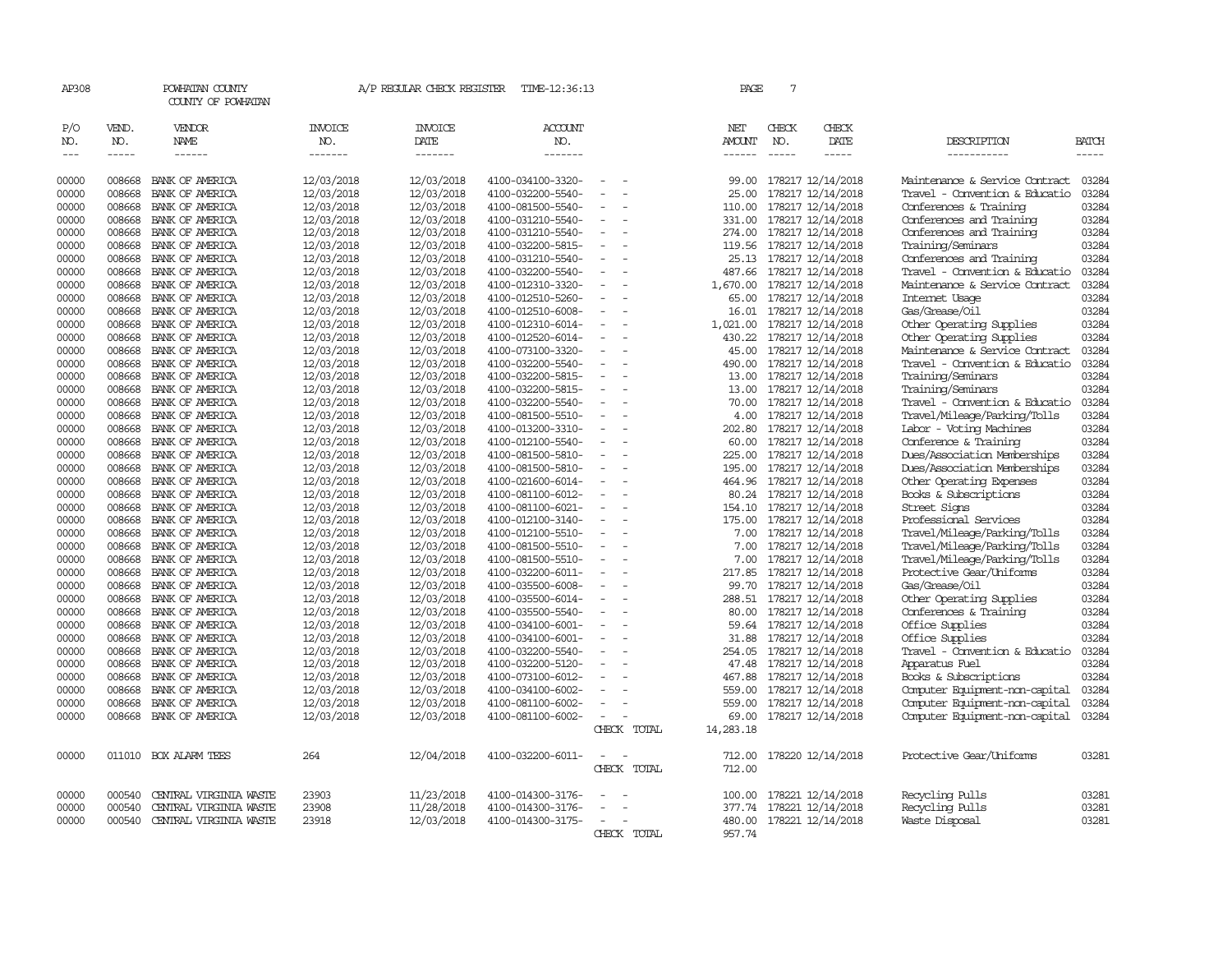| AP308                             |                          | POWHATAN COUNTY<br>COUNTY OF POWHATAN  |                                  | A/P REGULAR CHECK REGISTER        | TIME-12:36:13                          |                          | PAGE                    | 7                             |                              |                                |                             |
|-----------------------------------|--------------------------|----------------------------------------|----------------------------------|-----------------------------------|----------------------------------------|--------------------------|-------------------------|-------------------------------|------------------------------|--------------------------------|-----------------------------|
| P/O<br>NO.<br>$\qquad \qquad - -$ | VEND.<br>NO.<br>$\cdots$ | VENDOR<br><b>NAME</b><br>$- - - - - -$ | <b>INVOICE</b><br>NO.<br>------- | <b>INVOICE</b><br>DATE<br>------- | <b>ACCOUNT</b><br>NO.<br>-------       |                          | NET<br>AMOUNT<br>------ | CHECK<br>NO.<br>$\frac{1}{2}$ | CHECK<br>DATE<br>$- - - - -$ | DESCRIPTION<br>-----------     | <b>BATCH</b><br>$- - - - -$ |
| 00000                             | 008668                   | BANK OF AMERICA                        | 12/03/2018                       | 12/03/2018                        | 4100-034100-3320-                      |                          | 99.00                   |                               | 178217 12/14/2018            | Maintenance & Service Contract | 03284                       |
| 00000                             | 008668                   | BANK OF AMERICA                        | 12/03/2018                       | 12/03/2018                        | 4100-032200-5540-                      |                          | 25.00                   |                               | 178217 12/14/2018            | Travel - Convention & Educatio | 03284                       |
| 00000                             | 008668                   | BANK OF AMERICA                        | 12/03/2018                       | 12/03/2018                        | 4100-081500-5540-                      | $\sim$                   | 110.00                  |                               | 178217 12/14/2018            | Conferences & Training         | 03284                       |
| 00000                             | 008668                   | BANK OF AMERICA                        | 12/03/2018                       | 12/03/2018                        | 4100-031210-5540-                      | $\equiv$                 | 331.00                  |                               | 178217 12/14/2018            | Conferences and Training       | 03284                       |
| 00000                             | 008668                   | BANK OF AMERICA                        | 12/03/2018                       | 12/03/2018                        | 4100-031210-5540-                      | $\overline{\phantom{a}}$ | 274.00                  |                               | 178217 12/14/2018            | Conferences and Training       | 03284                       |
| 00000                             | 008668                   | BANK OF AMERICA                        | 12/03/2018                       | 12/03/2018                        | 4100-032200-5815-                      | $\overline{\phantom{a}}$ | 119.56                  |                               | 178217 12/14/2018            | Training/Seminars              | 03284                       |
| 00000                             | 008668                   | BANK OF AMERICA                        | 12/03/2018                       | 12/03/2018                        | 4100-031210-5540-                      | $\overline{\phantom{a}}$ | 25.13                   |                               | 178217 12/14/2018            | Conferences and Training       | 03284                       |
| 00000                             | 008668                   | BANK OF AMERICA                        | 12/03/2018                       | 12/03/2018                        | 4100-032200-5540-                      | $\overline{\phantom{a}}$ | 487.66                  |                               | 178217 12/14/2018            | Travel - Convention & Educatio | 03284                       |
| 00000                             | 008668                   | BANK OF AMERICA                        | 12/03/2018                       | 12/03/2018                        | 4100-012310-3320-                      |                          | 1,670.00                |                               | 178217 12/14/2018            | Maintenance & Service Contract | 03284                       |
| 00000                             | 008668                   | BANK OF AMERICA                        | 12/03/2018                       | 12/03/2018                        | 4100-012510-5260-                      | $\equiv$                 | 65.00                   |                               | 178217 12/14/2018            | Internet Usage                 | 03284                       |
| 00000                             | 008668                   | BANK OF AMERICA                        | 12/03/2018                       | 12/03/2018                        | 4100-012510-6008-                      | $\overline{\phantom{a}}$ | 16.01                   |                               | 178217 12/14/2018            | Gas/Grease/Oil                 | 03284                       |
| 00000                             | 008668                   | BANK OF AMERICA                        | 12/03/2018                       | 12/03/2018                        | 4100-012310-6014-                      |                          | 1,021.00                |                               | 178217 12/14/2018            | Other Operating Supplies       | 03284                       |
| 00000                             | 008668                   | BANK OF AMERICA                        |                                  | 12/03/2018                        |                                        | $\overline{\phantom{a}}$ |                         |                               | 178217 12/14/2018            | Other Operating Supplies       | 03284                       |
| 00000                             | 008668                   | BANK OF AMERICA                        | 12/03/2018<br>12/03/2018         | 12/03/2018                        | 4100-012520-6014-<br>4100-073100-3320- | $\overline{\phantom{a}}$ | 430.22<br>45.00         |                               | 178217 12/14/2018            | Maintenance & Service Contract | 03284                       |
| 00000                             | 008668                   | BANK OF AMERICA                        | 12/03/2018                       | 12/03/2018                        | 4100-032200-5540-                      | $\equiv$                 | 490.00                  |                               | 178217 12/14/2018            | Travel - Convention & Educatio | 03284                       |
| 00000                             | 008668                   | BANK OF AMERICA                        | 12/03/2018                       | 12/03/2018                        | 4100-032200-5815-                      |                          | 13.00                   |                               | 178217 12/14/2018            | Training/Seminars              | 03284                       |
| 00000                             | 008668                   | BANK OF AMERICA                        | 12/03/2018                       | 12/03/2018                        | 4100-032200-5815-                      | $\overline{\phantom{a}}$ | 13.00                   |                               | 178217 12/14/2018            | Training/Seminars              | 03284                       |
| 00000                             | 008668                   | BANK OF AMERICA                        | 12/03/2018                       | 12/03/2018                        | 4100-032200-5540-                      | $\overline{\phantom{a}}$ | 70.00                   |                               | 178217 12/14/2018            | Travel - Convention & Educatio | 03284                       |
| 00000                             | 008668                   | BANK OF AMERICA                        | 12/03/2018                       | 12/03/2018                        | 4100-081500-5510-                      |                          | 4.00                    |                               | 178217 12/14/2018            | Travel/Mileage/Parking/Tolls   | 03284                       |
| 00000                             | 008668                   | BANK OF AMERICA                        | 12/03/2018                       | 12/03/2018                        | 4100-013200-3310-                      | $\overline{\phantom{a}}$ | 202.80                  |                               | 178217 12/14/2018            | Labor - Voting Machines        | 03284                       |
| 00000                             | 008668                   | BANK OF AMERICA                        | 12/03/2018                       | 12/03/2018                        | 4100-012100-5540-                      | $\equiv$                 | 60.00                   |                               | 178217 12/14/2018            | Conference & Training          | 03284                       |
| 00000                             | 008668                   | BANK OF AMERICA                        | 12/03/2018                       | 12/03/2018                        | 4100-081500-5810-                      | $\equiv$                 | 225.00                  |                               | 178217 12/14/2018            | Dues/Association Memberships   | 03284                       |
| 00000                             | 008668                   | BANK OF AMERICA                        | 12/03/2018                       | 12/03/2018                        | 4100-081500-5810-                      | $\sim$                   | 195.00                  |                               | 178217 12/14/2018            | Dues/Association Memberships   | 03284                       |
| 00000                             | 008668                   | BANK OF AMERICA                        | 12/03/2018                       | 12/03/2018                        | 4100-021600-6014-                      | $\overline{\phantom{a}}$ | 464.96                  |                               | 178217 12/14/2018            | Other Operating Expenses       | 03284                       |
| 00000                             | 008668                   | BANK OF AMERICA                        | 12/03/2018                       | 12/03/2018                        | 4100-081100-6012-                      | $\overline{\phantom{a}}$ | 80.24                   |                               | 178217 12/14/2018            | Books & Subscriptions          | 03284                       |
| 00000                             | 008668                   | BANK OF AMERICA                        | 12/03/2018                       | 12/03/2018                        | 4100-081100-6021-                      |                          | 154.10                  |                               | 178217 12/14/2018            | Street Signs                   | 03284                       |
| 00000                             | 008668                   | BANK OF AMERICA                        | 12/03/2018                       | 12/03/2018                        | 4100-012100-3140-                      | $\equiv$                 | 175.00                  |                               | 178217 12/14/2018            | Professional Services          | 03284                       |
| 00000                             | 008668                   | BANK OF AMERICA                        | 12/03/2018                       | 12/03/2018                        | 4100-012100-5510-                      | $\overline{\phantom{a}}$ | 7.00                    |                               | 178217 12/14/2018            | Travel/Mileage/Parking/Tolls   | 03284                       |
| 00000                             | 008668                   | BANK OF AMERICA                        | 12/03/2018                       | 12/03/2018                        | 4100-081500-5510-                      | $\equiv$                 | 7.00                    |                               | 178217 12/14/2018            | Travel/Mileage/Parking/Tolls   | 03284                       |
| 00000                             | 008668                   | BANK OF AMERICA                        | 12/03/2018                       | 12/03/2018                        | 4100-081500-5510-                      | $\overline{\phantom{a}}$ | 7.00                    |                               | 178217 12/14/2018            | Travel/Mileage/Parking/Tolls   | 03284                       |
| 00000                             | 008668                   | BANK OF AMERICA                        | 12/03/2018                       | 12/03/2018                        | 4100-032200-6011-                      | $\overline{\phantom{a}}$ | 217.85                  |                               | 178217 12/14/2018            | Protective Gear/Uniforms       | 03284                       |
| 00000                             | 008668                   | BANK OF AMERICA                        | 12/03/2018                       | 12/03/2018                        | 4100-035500-6008-                      |                          | 99.70                   |                               | 178217 12/14/2018            | Gas/Grease/Oil                 | 03284                       |
| 00000                             | 008668                   | BANK OF AMERICA                        | 12/03/2018                       | 12/03/2018                        | 4100-035500-6014-                      |                          | 288.51                  |                               | 178217 12/14/2018            | Other Operating Supplies       | 03284                       |
| 00000                             | 008668                   | BANK OF AMERICA                        | 12/03/2018                       | 12/03/2018                        | 4100-035500-5540-                      | $\equiv$                 | 80.00                   |                               | 178217 12/14/2018            | Conferences & Training         | 03284                       |
| 00000                             | 008668                   | BANK OF AMERICA                        | 12/03/2018                       | 12/03/2018                        | 4100-034100-6001-                      | $\overline{\phantom{a}}$ |                         |                               | 59.64 178217 12/14/2018      | Office Supplies                | 03284                       |
| 00000                             | 008668                   | BANK OF AMERICA                        | 12/03/2018                       | 12/03/2018                        | 4100-034100-6001-                      |                          | 31.88                   |                               | 178217 12/14/2018            | Office Supplies                | 03284                       |
| 00000                             | 008668                   | BANK OF AMERICA                        | 12/03/2018                       | 12/03/2018                        | 4100-032200-5540-                      | $\overline{\phantom{a}}$ | 254.05                  |                               | 178217 12/14/2018            | Travel - Convention & Educatio | 03284                       |
| 00000                             | 008668                   | BANK OF AMERICA                        | 12/03/2018                       | 12/03/2018                        | 4100-032200-5120-                      | $\overline{\phantom{a}}$ | 47.48                   |                               | 178217 12/14/2018            | Apparatus Fuel                 | 03284                       |
| 00000                             | 008668                   | BANK OF AMERICA                        | 12/03/2018                       | 12/03/2018                        | 4100-073100-6012-                      |                          | 467.88                  |                               | 178217 12/14/2018            | Books & Subscriptions          | 03284                       |
| 00000                             | 008668                   | BANK OF AMERICA                        | 12/03/2018                       | 12/03/2018                        | 4100-034100-6002-                      |                          | 559.00                  |                               | 178217 12/14/2018            | Computer Equipment-non-capital | 03284                       |
| 00000                             | 008668                   | BANK OF AMERICA                        | 12/03/2018                       | 12/03/2018                        | 4100-081100-6002-                      | $\equiv$                 | 559.00                  |                               | 178217 12/14/2018            | Computer Equipment-non-capital | 03284                       |
| 00000                             | 008668                   | BANK OF AMERICA                        | 12/03/2018                       | 12/03/2018                        | 4100-081100-6002-                      | $\overline{\phantom{a}}$ | 69.00                   |                               | 178217 12/14/2018            | Computer Equipment-non-capital | 03284                       |
|                                   |                          |                                        |                                  |                                   |                                        | CHECK TOTAL              | 14,283.18               |                               |                              |                                |                             |
| 00000                             | 011010                   | BOX ALARM TEES                         | 264                              | 12/04/2018                        | 4100-032200-6011-                      |                          | 712.00                  |                               | 178220 12/14/2018            | Protective Gear/Uniforms       | 03281                       |
|                                   |                          |                                        |                                  |                                   |                                        | CHECK TOTAL              | 712.00                  |                               |                              |                                |                             |
| 00000                             | 000540                   | CENTRAL VIRGINIA WASTE                 | 23903                            | 11/23/2018                        | 4100-014300-3176-                      |                          | 100.00                  |                               | 178221 12/14/2018            | Recycling Pulls                | 03281                       |
| 00000                             | 000540                   | CENTRAL VIRGINIA WASTE                 | 23908                            | 11/28/2018                        | 4100-014300-3176-                      |                          | 377.74                  |                               | 178221 12/14/2018            | Recycling Pulls                | 03281                       |
| 00000                             | 000540                   | CENTRAL VIRGINIA WASTE                 | 23918                            | 12/03/2018                        | 4100-014300-3175-                      | $\overline{\phantom{a}}$ |                         |                               | 480.00 178221 12/14/2018     | Waste Disposal                 | 03281                       |
|                                   |                          |                                        |                                  |                                   |                                        | CHECK TOTAL              | 957.74                  |                               |                              |                                |                             |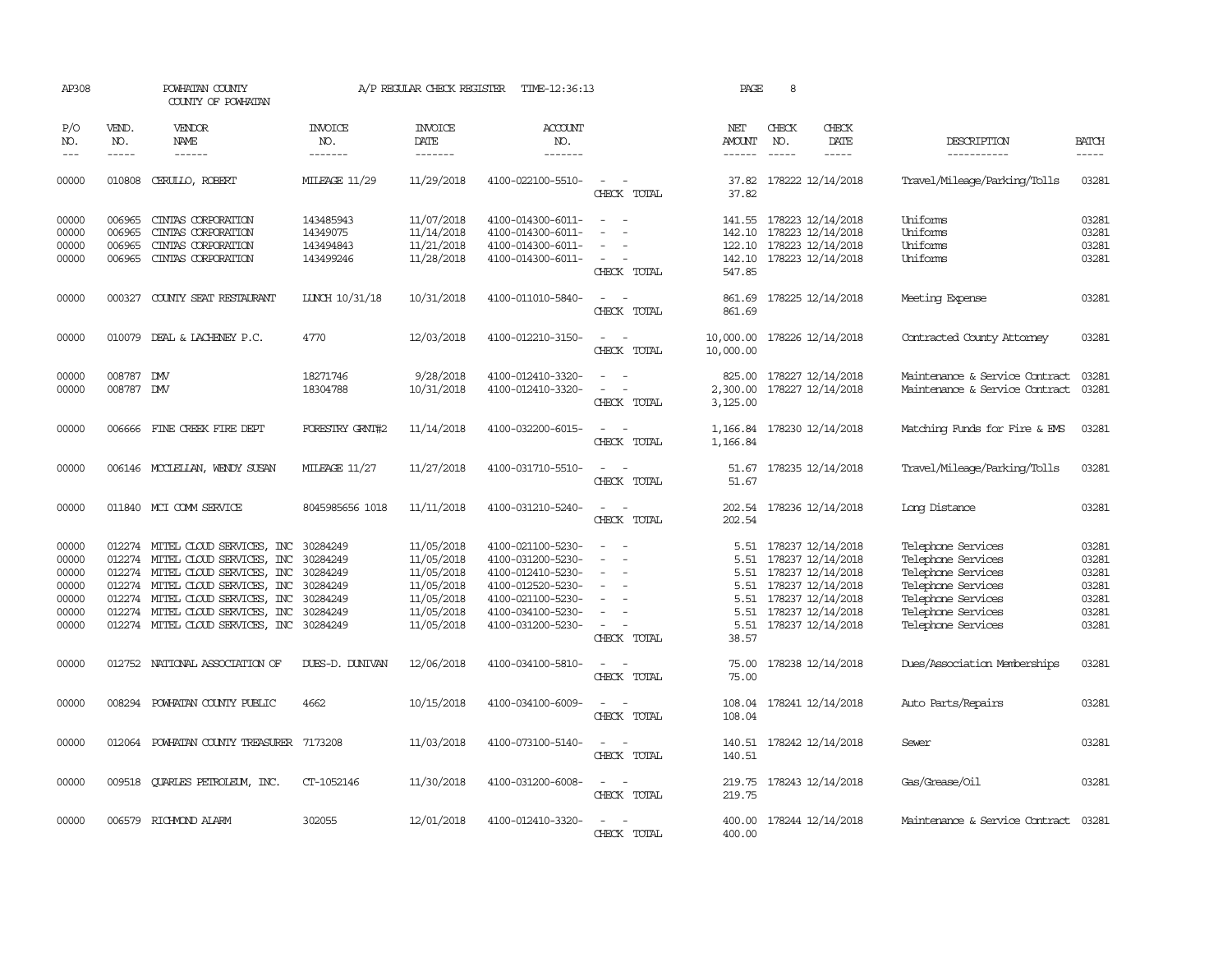| AP308                                                       |                             | POWHATAN COUNTY<br>COUNTY OF POWHATAN                                                                                                                                                                                                                    |                                                                                  | A/P REGULAR CHECK REGISTER                                                                     | TIME-12:36:13                                                                                                                                   |                                                                                                               | PAGE                                                          | 8            |                                                                                                                                                 |                                                                                                                                                        |                                                             |
|-------------------------------------------------------------|-----------------------------|----------------------------------------------------------------------------------------------------------------------------------------------------------------------------------------------------------------------------------------------------------|----------------------------------------------------------------------------------|------------------------------------------------------------------------------------------------|-------------------------------------------------------------------------------------------------------------------------------------------------|---------------------------------------------------------------------------------------------------------------|---------------------------------------------------------------|--------------|-------------------------------------------------------------------------------------------------------------------------------------------------|--------------------------------------------------------------------------------------------------------------------------------------------------------|-------------------------------------------------------------|
| P/O<br>NO.<br>$---$                                         | VEND.<br>NO.<br>$- - - - -$ | VENDOR<br>NAME<br>------                                                                                                                                                                                                                                 | INVOICE<br>NO.<br>-------                                                        | <b>INVOICE</b><br>DATE<br>-------                                                              | <b>ACCOUNT</b><br>NO.<br>-------                                                                                                                |                                                                                                               | NET<br>AMOUNT<br>$- - - - - -$                                | CHECK<br>NO. | CHECK<br>DATE<br>-----                                                                                                                          | DESCRIPTION<br>-----------                                                                                                                             | <b>BATCH</b><br>-----                                       |
| 00000                                                       | 010808                      | CERULLO, ROBERT                                                                                                                                                                                                                                          | <b>MILEAGE 11/29</b>                                                             | 11/29/2018                                                                                     | 4100-022100-5510-                                                                                                                               | $\hspace{0.1mm}-\hspace{0.1mm}$<br>$\sim$<br>CHECK TOTAL                                                      | 37.82                                                         |              | 37.82 178222 12/14/2018                                                                                                                         | Travel/Mileage/Parking/Tolls                                                                                                                           | 03281                                                       |
| 00000<br>00000<br>00000<br>00000                            | 006965<br>006965<br>006965  | CINIAS CORPORATION<br>CINIAS CORPORATION<br>CINIAS CORPORATION<br>006965 CINIAS CORPORATION                                                                                                                                                              | 143485943<br>14349075<br>143494843<br>143499246                                  | 11/07/2018<br>11/14/2018<br>11/21/2018<br>11/28/2018                                           | 4100-014300-6011-<br>4100-014300-6011-<br>4100-014300-6011-<br>4100-014300-6011-                                                                | $\overline{\phantom{a}}$<br>$\sim$<br>$\equiv$<br>$\overline{\phantom{a}}$<br>$\sim$<br>CHECK TOTAL           | 142.10<br>547.85                                              |              | 141.55 178223 12/14/2018<br>178223 12/14/2018<br>122.10 178223 12/14/2018<br>142.10 178223 12/14/2018                                           | Uniforms<br>Uniforms<br>Uniforms<br>Uniforms                                                                                                           | 03281<br>03281<br>03281<br>03281                            |
| 00000                                                       |                             | 000327 COUNTY SEAT RESTAURANT                                                                                                                                                                                                                            | LUNCH 10/31/18                                                                   | 10/31/2018                                                                                     | 4100-011010-5840-                                                                                                                               | $\overline{\phantom{a}}$<br>$\overline{\phantom{a}}$<br>CHECK TOTAL                                           | 861.69                                                        |              | 861.69 178225 12/14/2018                                                                                                                        | Meeting Expense                                                                                                                                        | 03281                                                       |
| 00000                                                       |                             | 010079 DEAL & LACHENEY P.C.                                                                                                                                                                                                                              | 4770                                                                             | 12/03/2018                                                                                     | 4100-012210-3150-                                                                                                                               | $\sim$<br>$\sim$<br>CHECK TOTAL                                                                               | 10,000.00                                                     |              | 10,000.00 178226 12/14/2018                                                                                                                     | Contracted County Attorney                                                                                                                             | 03281                                                       |
| 00000<br>00000                                              | 008787 DW<br>008787 DW      |                                                                                                                                                                                                                                                          | 18271746<br>18304788                                                             | 9/28/2018<br>10/31/2018                                                                        | 4100-012410-3320-<br>4100-012410-3320-                                                                                                          | $\sim$<br>CHECK TOTAL                                                                                         | 825.00<br>2,300.00<br>3,125.00                                |              | 178227 12/14/2018<br>178227 12/14/2018                                                                                                          | Maintenance & Service Contract<br>Maintenance & Service Contract                                                                                       | 03281<br>03281                                              |
| 00000                                                       |                             | 006666 FINE CREEK FIRE DEPT                                                                                                                                                                                                                              | FORESTRY GRNT#2                                                                  | 11/14/2018                                                                                     | 4100-032200-6015-                                                                                                                               | $\overline{\phantom{a}}$<br>$\overline{\phantom{a}}$<br>CHECK TOTAL                                           | 1,166.84<br>1,166.84                                          |              | 178230 12/14/2018                                                                                                                               | Matching Funds for Fire & EMS                                                                                                                          | 03281                                                       |
| 00000                                                       |                             | 006146 MCCLELLAN, WENDY SUSAN                                                                                                                                                                                                                            | MILEAGE 11/27                                                                    | 11/27/2018                                                                                     | 4100-031710-5510-                                                                                                                               | $\sim$ $\sim$<br>CHECK TOTAL                                                                                  | 51.67                                                         |              | 51.67 178235 12/14/2018                                                                                                                         | Travel/Mileage/Parking/Tolls                                                                                                                           | 03281                                                       |
| 00000                                                       |                             | 011840 MCI COMM SERVICE                                                                                                                                                                                                                                  | 8045985656 1018                                                                  | 11/11/2018                                                                                     | 4100-031210-5240-                                                                                                                               | $\sim$<br>CHECK TOTAL                                                                                         | 202.54                                                        |              | 202.54 178236 12/14/2018                                                                                                                        | Long Distance                                                                                                                                          | 03281                                                       |
| 00000<br>00000<br>00000<br>00000<br>00000<br>00000<br>00000 |                             | 012274 MITEL CLOUD SERVICES, INC<br>012274 MITEL CLOUD SERVICES, INC<br>012274 MITEL CLOUD SERVICES, INC<br>012274 MITEL CLOUD SERVICES, INC<br>012274 MITEL CLOUD SERVICES, INC<br>012274 MITEL CLOUD SERVICES, INC<br>012274 MITEL CLOUD SERVICES, INC | 30284249<br>30284249<br>30284249<br>30284249<br>30284249<br>30284249<br>30284249 | 11/05/2018<br>11/05/2018<br>11/05/2018<br>11/05/2018<br>11/05/2018<br>11/05/2018<br>11/05/2018 | 4100-021100-5230-<br>4100-031200-5230-<br>4100-012410-5230-<br>4100-012520-5230-<br>4100-021100-5230-<br>4100-034100-5230-<br>4100-031200-5230- | $\overline{\phantom{a}}$<br>$\sim$<br>$\sim$<br>$\equiv$<br>$\overline{\phantom{a}}$<br>$\sim$<br>CHECK TOTAL | 5.51<br>5.51<br>5.51<br>5.51<br>5.51<br>5.51<br>5.51<br>38.57 |              | 178237 12/14/2018<br>178237 12/14/2018<br>178237 12/14/2018<br>178237 12/14/2018<br>178237 12/14/2018<br>178237 12/14/2018<br>178237 12/14/2018 | Telephone Services<br>Telephone Services<br>Telephone Services<br>Telephone Services<br>Telephone Services<br>Telephone Services<br>Telephone Services | 03281<br>03281<br>03281<br>03281<br>03281<br>03281<br>03281 |
| 00000                                                       |                             | 012752 NATIONAL ASSOCIATION OF                                                                                                                                                                                                                           | DUES-D. DUNIVAN                                                                  | 12/06/2018                                                                                     | 4100-034100-5810-                                                                                                                               | CHECK TOTAL                                                                                                   | 75.00<br>75.00                                                |              | 178238 12/14/2018                                                                                                                               | Dues/Association Memberships                                                                                                                           | 03281                                                       |
| 00000                                                       |                             | 008294 POWHATAN COUNTY PUBLIC                                                                                                                                                                                                                            | 4662                                                                             | 10/15/2018                                                                                     | 4100-034100-6009-                                                                                                                               | $\overline{\phantom{a}}$<br>$\overline{\phantom{a}}$<br>CHECK TOTAL                                           | 108.04                                                        |              | 108.04 178241 12/14/2018                                                                                                                        | Auto Parts/Repairs                                                                                                                                     | 03281                                                       |
| 00000                                                       |                             | 012064 POWHATAN COUNTY TREASURER 7173208                                                                                                                                                                                                                 |                                                                                  | 11/03/2018                                                                                     | 4100-073100-5140-                                                                                                                               | CHECK TOTAL                                                                                                   | 140.51                                                        |              | 140.51 178242 12/14/2018                                                                                                                        | Sewer                                                                                                                                                  | 03281                                                       |
| 00000                                                       |                             | 009518 QUARLES PETROLEUM, INC.                                                                                                                                                                                                                           | CT-1052146                                                                       | 11/30/2018                                                                                     | 4100-031200-6008-                                                                                                                               | $\overline{\phantom{a}}$<br>CHECK TOTAL                                                                       | 219.75                                                        |              | 219.75 178243 12/14/2018                                                                                                                        | Gas/Grease/Oil                                                                                                                                         | 03281                                                       |
| 00000                                                       |                             | 006579 RICHMOND ALARM                                                                                                                                                                                                                                    | 302055                                                                           | 12/01/2018                                                                                     | 4100-012410-3320-                                                                                                                               | CHECK<br>TOTAL                                                                                                | 400.00                                                        |              | 400.00 178244 12/14/2018                                                                                                                        | Maintenance & Service Contract                                                                                                                         | 03281                                                       |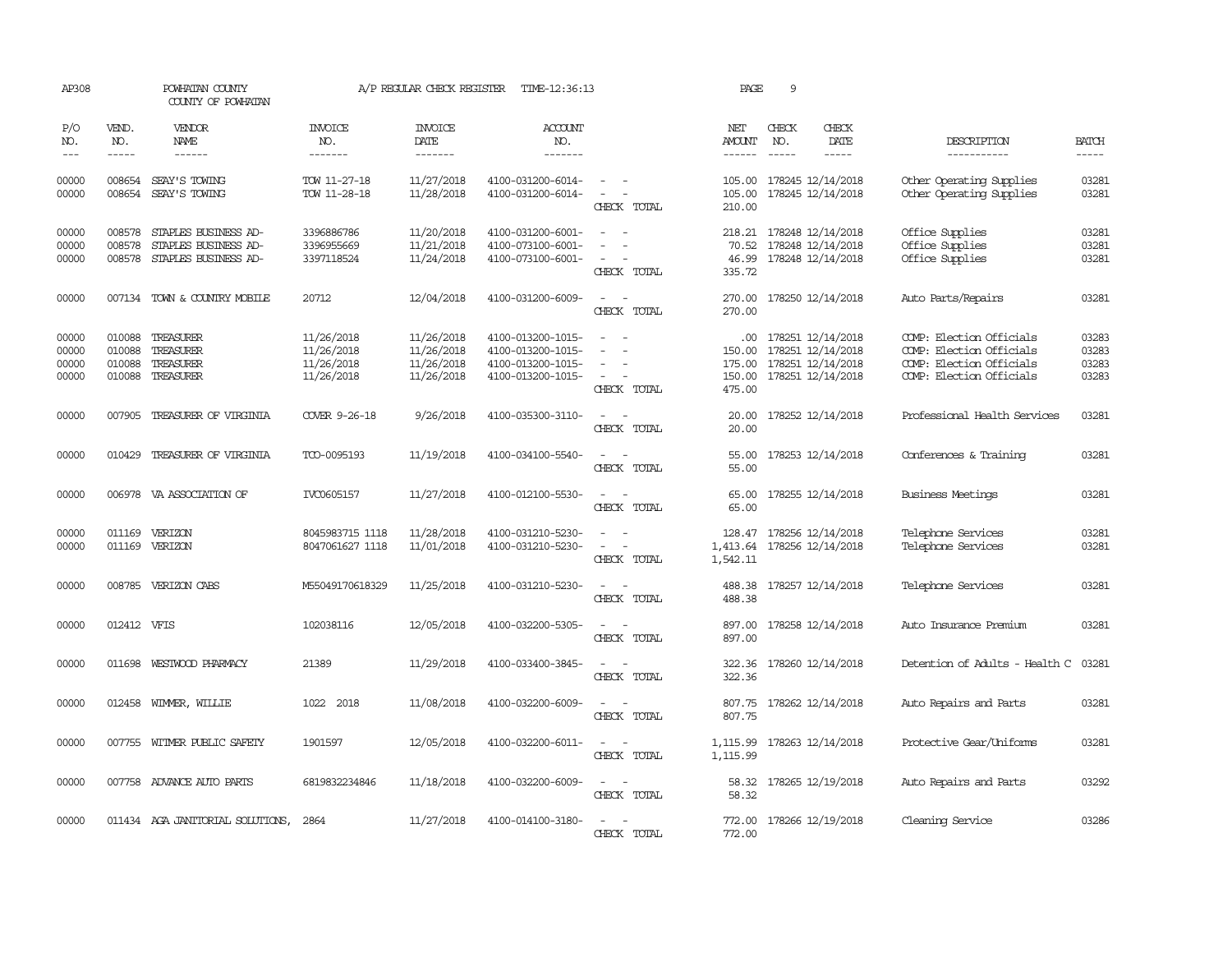| AP308                            |                                      | POWHATAN COUNTY<br>COUNTY OF POWHATAN                                |                                                      | A/P REGULAR CHECK REGISTER                           | TIME-12:36:13                                                                    |                                                                                                                             | PAGE                                 | 9                           |                                                                                      |                                                                                                              |                                  |
|----------------------------------|--------------------------------------|----------------------------------------------------------------------|------------------------------------------------------|------------------------------------------------------|----------------------------------------------------------------------------------|-----------------------------------------------------------------------------------------------------------------------------|--------------------------------------|-----------------------------|--------------------------------------------------------------------------------------|--------------------------------------------------------------------------------------------------------------|----------------------------------|
| P/O<br>NO.<br>$---$              | VEND.<br>NO.<br>$- - - - -$          | <b>VENDOR</b><br>NAME<br>$- - - - - -$                               | <b>INVOICE</b><br>NO.<br>-------                     | <b>INVOICE</b><br>DATE<br>-------                    | <b>ACCOUNT</b><br>NO.<br>-------                                                 |                                                                                                                             | NET<br>AMOUNT<br>$- - - - - -$       | CHECK<br>NO.<br>$- - - - -$ | CHECK<br>DATE<br>$- - - - -$                                                         | DESCRIPTION<br>-----------                                                                                   | <b>BATCH</b><br>$- - - - -$      |
| 00000<br>00000                   | 008654                               | SEAY'S TOWING<br>008654 SEAY'S TOWING                                | TOW 11-27-18<br>TOW 11-28-18                         | 11/27/2018<br>11/28/2018                             | 4100-031200-6014-<br>4100-031200-6014-                                           | $\sim$<br>$\equiv$<br>CHECK TOTAL                                                                                           | 105.00<br>105.00<br>210.00           |                             | 178245 12/14/2018<br>178245 12/14/2018                                               | Other Operating Supplies<br>Other Operating Supplies                                                         | 03281<br>03281                   |
| 00000<br>00000<br>00000          | 008578<br>008578<br>008578           | STAPLES BUSINESS AD-<br>STAPLES BUSINESS AD-<br>STAPLES BUSINESS AD- | 3396886786<br>3396955669<br>3397118524               | 11/20/2018<br>11/21/2018<br>11/24/2018               | 4100-031200-6001-<br>4100-073100-6001-<br>4100-073100-6001-                      | $\overline{\phantom{a}}$<br>CHECK TOTAL                                                                                     | 218.21<br>70.52<br>46.99<br>335.72   |                             | 178248 12/14/2018<br>178248 12/14/2018<br>178248 12/14/2018                          | Office Supplies<br>Office Supplies<br>Office Supplies                                                        | 03281<br>03281<br>03281          |
| 00000                            |                                      | 007134 TOWN & COUNTRY MOBILE                                         | 20712                                                | 12/04/2018                                           | 4100-031200-6009-                                                                | $\sim$<br>$\sim$<br>CHECK TOTAL                                                                                             | 270.00<br>270.00                     |                             | 178250 12/14/2018                                                                    | Auto Parts/Repairs                                                                                           | 03281                            |
| 00000<br>00000<br>00000<br>00000 | 010088<br>010088<br>010088<br>010088 | TREASURER<br>TREASURER<br>TREASURER<br>TREASURER                     | 11/26/2018<br>11/26/2018<br>11/26/2018<br>11/26/2018 | 11/26/2018<br>11/26/2018<br>11/26/2018<br>11/26/2018 | 4100-013200-1015-<br>4100-013200-1015-<br>4100-013200-1015-<br>4100-013200-1015- | $\overline{\phantom{a}}$<br>CHECK TOTAL                                                                                     | 150.00<br>175.00<br>150.00<br>475.00 |                             | .00 178251 12/14/2018<br>178251 12/14/2018<br>178251 12/14/2018<br>178251 12/14/2018 | COMP: Election Officials<br>COMP: Election Officials<br>COMP: Election Officials<br>COMP: Election Officials | 03283<br>03283<br>03283<br>03283 |
| 00000                            | 007905                               | TREASURER OF VIRGINIA                                                | COVER 9-26-18                                        | 9/26/2018                                            | 4100-035300-3110-                                                                | CHECK TOTAL                                                                                                                 | 20.00<br>20.00                       |                             | 178252 12/14/2018                                                                    | Professional Health Services                                                                                 | 03281                            |
| 00000                            | 010429                               | TREASURER OF VIRGINIA                                                | TCO-0095193                                          | 11/19/2018                                           | 4100-034100-5540-                                                                | $\equiv$<br>CHECK TOTAL                                                                                                     | 55.00<br>55.00                       |                             | 178253 12/14/2018                                                                    | Conferences & Training                                                                                       | 03281                            |
| 00000                            |                                      | 006978 VA ASSOCIATION OF                                             | IVC0605157                                           | 11/27/2018                                           | 4100-012100-5530-                                                                | $\sim$<br>$\overline{\phantom{a}}$<br>CHECK TOTAL                                                                           | 65.00<br>65.00                       |                             | 178255 12/14/2018                                                                    | Business Meetings                                                                                            | 03281                            |
| 00000<br>00000                   | 011169                               | VERIZON<br>011169 VERIZON                                            | 8045983715 1118<br>8047061627 1118                   | 11/28/2018<br>11/01/2018                             | 4100-031210-5230-<br>4100-031210-5230-                                           | $\sim$<br>$\overline{\phantom{a}}$<br>CHECK TOTAL                                                                           | 128.47<br>1,542.11                   |                             | 178256 12/14/2018<br>1,413.64 178256 12/14/2018                                      | Telephone Services<br>Telephone Services                                                                     | 03281<br>03281                   |
| 00000                            |                                      | 008785 VERIZON CABS                                                  | M55049170618329                                      | 11/25/2018                                           | 4100-031210-5230-                                                                | $\frac{1}{2} \left( \frac{1}{2} \right) \left( \frac{1}{2} \right) = \frac{1}{2} \left( \frac{1}{2} \right)$<br>CHECK TOTAL | 488.38<br>488.38                     |                             | 178257 12/14/2018                                                                    | Telephone Services                                                                                           | 03281                            |
| 00000                            | 012412 VFIS                          |                                                                      | 102038116                                            | 12/05/2018                                           | 4100-032200-5305-                                                                | $\sim$<br>$\overline{\phantom{a}}$<br>CHECK TOTAL                                                                           | 897.00<br>897.00                     |                             | 178258 12/14/2018                                                                    | Auto Insurance Premium                                                                                       | 03281                            |
| 00000                            | 011698                               | WESTWOOD PHARMACY                                                    | 21389                                                | 11/29/2018                                           | 4100-033400-3845-                                                                | CHECK TOTAL                                                                                                                 | 322.36<br>322.36                     |                             | 178260 12/14/2018                                                                    | Detention of Adults - Health C                                                                               | 03281                            |
| 00000                            |                                      | 012458 WIMMER, WILLIE                                                | 1022<br>2018                                         | 11/08/2018                                           | 4100-032200-6009-                                                                | $\overline{\phantom{a}}$<br>$\sim$<br>CHECK TOTAL                                                                           | 807.75<br>807.75                     |                             | 178262 12/14/2018                                                                    | Auto Repairs and Parts                                                                                       | 03281                            |
| 00000                            |                                      | 007755 WITMER PUBLIC SAFETY                                          | 1901597                                              | 12/05/2018                                           | 4100-032200-6011-                                                                | $\overline{\phantom{a}}$<br>$\sim$<br>CHECK TOTAL                                                                           | 1,115.99<br>1,115.99                 |                             | 178263 12/14/2018                                                                    | Protective Gear/Uniforms                                                                                     | 03281                            |
| 00000                            |                                      | 007758 ADVANCE AUTO PARTS                                            | 6819832234846                                        | 11/18/2018                                           | 4100-032200-6009-                                                                | CHECK TOTAL                                                                                                                 | 58.32<br>58.32                       |                             | 178265 12/19/2018                                                                    | Auto Repairs and Parts                                                                                       | 03292                            |
| 00000                            |                                      | 011434 AGA JANITORIAL SOLUTIONS,                                     | 2864                                                 | 11/27/2018                                           | 4100-014100-3180-                                                                | CHECK TOTAL                                                                                                                 | 772.00<br>772.00                     |                             | 178266 12/19/2018                                                                    | Cleaning Service                                                                                             | 03286                            |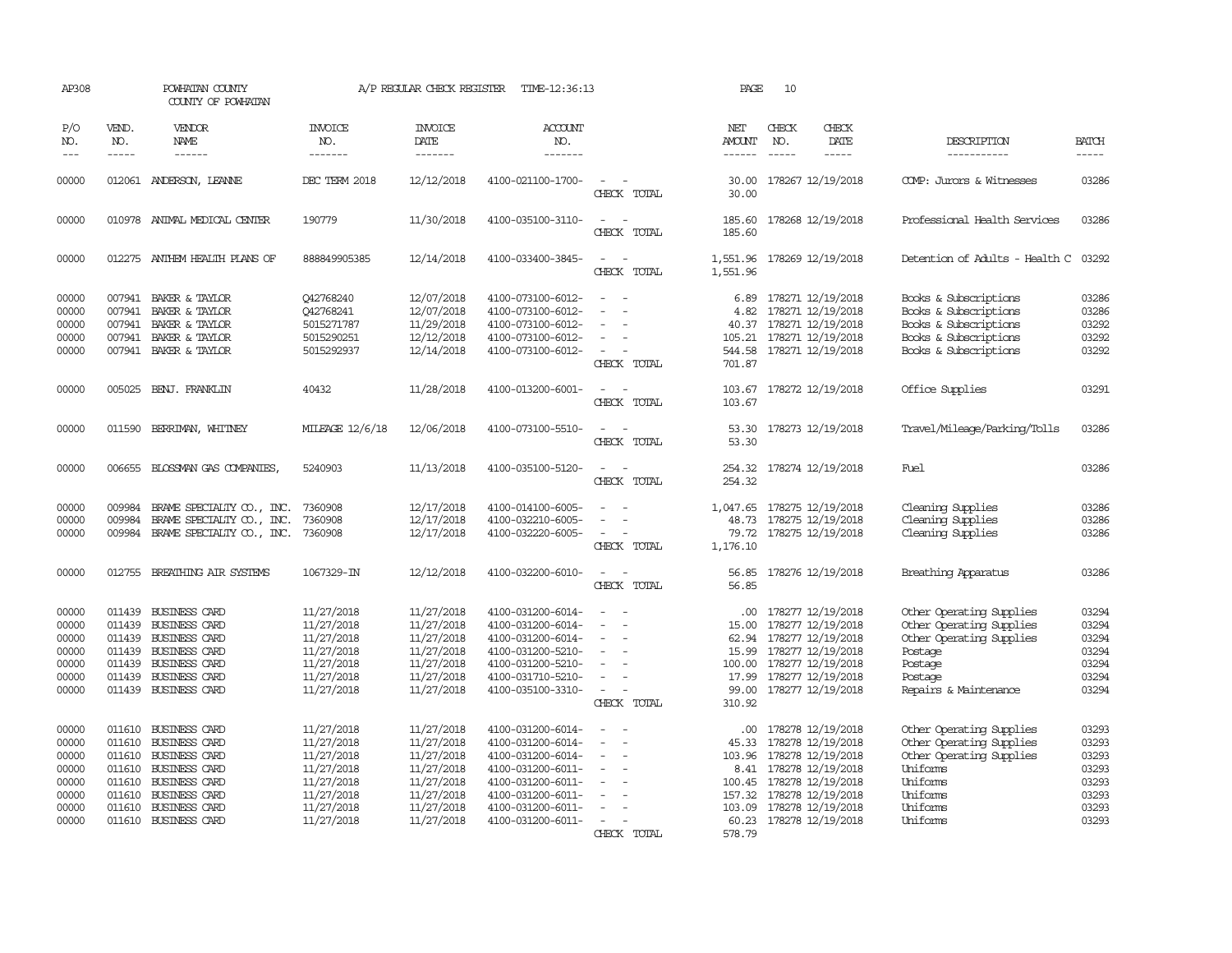| AP308                                                                |                             | POWHATAN COUNTY<br>COUNTY OF POWHATAN                                                                                                                                                        |                                                                                                              | A/P REGULAR CHECK REGISTER                                                                                   | TIME-12:36:13                                                                                                                                                        |                                         | PAGE                                                | 10                            |                                                                                                                                                                                          |                                                                                                                                              |                                                                      |
|----------------------------------------------------------------------|-----------------------------|----------------------------------------------------------------------------------------------------------------------------------------------------------------------------------------------|--------------------------------------------------------------------------------------------------------------|--------------------------------------------------------------------------------------------------------------|----------------------------------------------------------------------------------------------------------------------------------------------------------------------|-----------------------------------------|-----------------------------------------------------|-------------------------------|------------------------------------------------------------------------------------------------------------------------------------------------------------------------------------------|----------------------------------------------------------------------------------------------------------------------------------------------|----------------------------------------------------------------------|
| P/O<br>NO.<br>$---$                                                  | VEND.<br>NO.<br>$- - - - -$ | <b>VENDOR</b><br>NAME<br>$- - - - - -$                                                                                                                                                       | <b>INVOICE</b><br>NO.<br>-------                                                                             | <b>INVOICE</b><br><b>DATE</b><br>-------                                                                     | <b>ACCOUNT</b><br>NO.<br>-------                                                                                                                                     |                                         | NET<br>AMOUNT<br>$- - - - - -$                      | CHECK<br>NO.<br>$\frac{1}{2}$ | CHECK<br>DATE<br>-----                                                                                                                                                                   | DESCRIPTION<br>-----------                                                                                                                   | <b>BATCH</b><br>-----                                                |
| 00000                                                                |                             | 012061 ANDERSON, LEANNE                                                                                                                                                                      | DEC TERM 2018                                                                                                | 12/12/2018                                                                                                   | 4100-021100-1700-                                                                                                                                                    | $\overline{\phantom{a}}$<br>CHECK TOTAL | 30.00<br>30.00                                      |                               | 178267 12/19/2018                                                                                                                                                                        | COMP: Jurors & Witnesses                                                                                                                     | 03286                                                                |
| 00000                                                                |                             | 010978 ANIMAL MEDICAL CENTER                                                                                                                                                                 | 190779                                                                                                       | 11/30/2018                                                                                                   | 4100-035100-3110-                                                                                                                                                    | CHECK TOTAL                             | 185.60                                              |                               | 185.60 178268 12/19/2018                                                                                                                                                                 | Professional Health Services                                                                                                                 | 03286                                                                |
| 00000                                                                |                             | 012275 ANTHEM HEALTH PLANS OF                                                                                                                                                                | 888849905385                                                                                                 | 12/14/2018                                                                                                   | 4100-033400-3845-                                                                                                                                                    | $\sim$ $\sim$<br>CHECK TOTAL            | 1,551.96                                            |                               | 1,551.96 178269 12/19/2018                                                                                                                                                               | Detention of Adults - Health C                                                                                                               | 03292                                                                |
| 00000<br>00000<br>00000<br>00000<br>00000                            | 007941<br>007941            | BAKER & TAYLOR<br>BAKER & TAYLOR<br>007941 BAKER & TAYLOR<br>007941 BAKER & TAYLOR<br>007941 BAKER & TAYLOR                                                                                  | 042768240<br>042768241<br>5015271787<br>5015290251<br>5015292937                                             | 12/07/2018<br>12/07/2018<br>11/29/2018<br>12/12/2018<br>12/14/2018                                           | 4100-073100-6012-<br>4100-073100-6012-<br>4100-073100-6012-<br>4100-073100-6012-<br>4100-073100-6012-                                                                | CHECK TOTAL                             | 6.89<br>4.82<br>701.87                              |                               | 178271 12/19/2018<br>178271 12/19/2018<br>40.37 178271 12/19/2018<br>105.21 178271 12/19/2018<br>544.58 178271 12/19/2018                                                                | Books & Subscriptions<br>Books & Subscriptions<br>Books & Subscriptions<br>Books & Subscriptions<br>Books & Subscriptions                    | 03286<br>03286<br>03292<br>03292<br>03292                            |
| 00000                                                                |                             | 005025 BENJ. FRANKLIN                                                                                                                                                                        | 40432                                                                                                        | 11/28/2018                                                                                                   | 4100-013200-6001-                                                                                                                                                    | $\sim$<br>$\sim$<br>CHECK TOTAL         | 103.67                                              |                               | 103.67 178272 12/19/2018                                                                                                                                                                 | Office Supplies                                                                                                                              | 03291                                                                |
| 00000                                                                |                             | 011590 BERRIMAN, WHITNEY                                                                                                                                                                     | MILEAGE 12/6/18                                                                                              | 12/06/2018                                                                                                   | 4100-073100-5510-                                                                                                                                                    | CHECK TOTAL                             | 53.30                                               |                               | 53.30 178273 12/19/2018                                                                                                                                                                  | Travel/Mileage/Parking/Tolls                                                                                                                 | 03286                                                                |
| 00000                                                                | 006655                      | BLOSSMAN GAS COMPANIES                                                                                                                                                                       | 5240903                                                                                                      | 11/13/2018                                                                                                   | 4100-035100-5120-                                                                                                                                                    | CHECK TOTAL                             | 254.32<br>254.32                                    |                               | 178274 12/19/2018                                                                                                                                                                        | Fuel                                                                                                                                         | 03286                                                                |
| 00000<br>00000<br>00000                                              | 009984<br>009984            | BRAME SPECIALITY CO., INC.<br>BRAME SPECIALITY CO., INC.<br>009984 BRAME SPECIALITY CO., INC.                                                                                                | 7360908<br>7360908<br>7360908                                                                                | 12/17/2018<br>12/17/2018<br>12/17/2018                                                                       | 4100-014100-6005-<br>4100-032210-6005-<br>4100-032220-6005-                                                                                                          | CHECK TOTAL                             | 48.73<br>1,176.10                                   |                               | 1,047.65 178275 12/19/2018<br>178275 12/19/2018<br>79.72 178275 12/19/2018                                                                                                               | Cleaning Supplies<br>Cleaning Supplies<br>Cleaning Supplies                                                                                  | 03286<br>03286<br>03286                                              |
| 00000                                                                |                             | 012755 BREATHING AIR SYSTEMS                                                                                                                                                                 | 1067329-IN                                                                                                   | 12/12/2018                                                                                                   | 4100-032200-6010-                                                                                                                                                    | CHECK TOTAL                             | 56.85                                               |                               | 56.85 178276 12/19/2018                                                                                                                                                                  | Breathing Apparatus                                                                                                                          | 03286                                                                |
| 00000<br>00000<br>00000<br>00000<br>00000<br>00000<br>00000          |                             | 011439 BUSINESS CARD<br>011439 BUSINESS CARD<br>011439 BUSINESS CARD<br>011439 BUSINESS CARD<br>011439 BUSINESS CARD<br>011439 BUSINESS CARD<br>011439 BUSINESS CARD                         | 11/27/2018<br>11/27/2018<br>11/27/2018<br>11/27/2018<br>11/27/2018<br>11/27/2018<br>11/27/2018               | 11/27/2018<br>11/27/2018<br>11/27/2018<br>11/27/2018<br>11/27/2018<br>11/27/2018<br>11/27/2018               | 4100-031200-6014-<br>4100-031200-6014-<br>4100-031200-6014-<br>4100-031200-5210-<br>4100-031200-5210-<br>4100-031710-5210-<br>4100-035100-3310-                      | $\equiv$<br>CHECK TOTAL                 | $.00 \cdot$<br>15.00<br>15.99<br>17.99<br>310.92    |                               | 178277 12/19/2018<br>178277 12/19/2018<br>62.94 178277 12/19/2018<br>178277 12/19/2018<br>100.00 178277 12/19/2018<br>178277 12/19/2018<br>99.00 178277 12/19/2018                       | Other Operating Supplies<br>Other Operating Supplies<br>Other Operating Supplies<br>Postage<br>Postage<br>Postage<br>Repairs & Maintenance   | 03294<br>03294<br>03294<br>03294<br>03294<br>03294<br>03294          |
| 00000<br>00000<br>00000<br>00000<br>00000<br>00000<br>00000<br>00000 |                             | 011610 BUSINESS CARD<br>011610 BUSINESS CARD<br>011610 BUSINESS CARD<br>011610 BUSINESS CARD<br>011610 BUSINESS CARD<br>011610 BUSINESS CARD<br>011610 BUSINESS CARD<br>011610 BUSINESS CARD | 11/27/2018<br>11/27/2018<br>11/27/2018<br>11/27/2018<br>11/27/2018<br>11/27/2018<br>11/27/2018<br>11/27/2018 | 11/27/2018<br>11/27/2018<br>11/27/2018<br>11/27/2018<br>11/27/2018<br>11/27/2018<br>11/27/2018<br>11/27/2018 | 4100-031200-6014-<br>4100-031200-6014-<br>4100-031200-6014-<br>4100-031200-6011-<br>4100-031200-6011-<br>4100-031200-6011-<br>4100-031200-6011-<br>4100-031200-6011- | $\equiv$<br>$\equiv$<br>CHECK TOTAL     | .00.<br>45.33<br>103.96<br>8.41<br>157.32<br>578.79 |                               | 178278 12/19/2018<br>178278 12/19/2018<br>178278 12/19/2018<br>178278 12/19/2018<br>100.45 178278 12/19/2018<br>178278 12/19/2018<br>103.09 178278 12/19/2018<br>60.23 178278 12/19/2018 | Other Operating Supplies<br>Other Operating Supplies<br>Other Operating Supplies<br>Uniforms<br>Uniforms<br>Uniforms<br>Uniforms<br>Uniforms | 03293<br>03293<br>03293<br>03293<br>03293<br>03293<br>03293<br>03293 |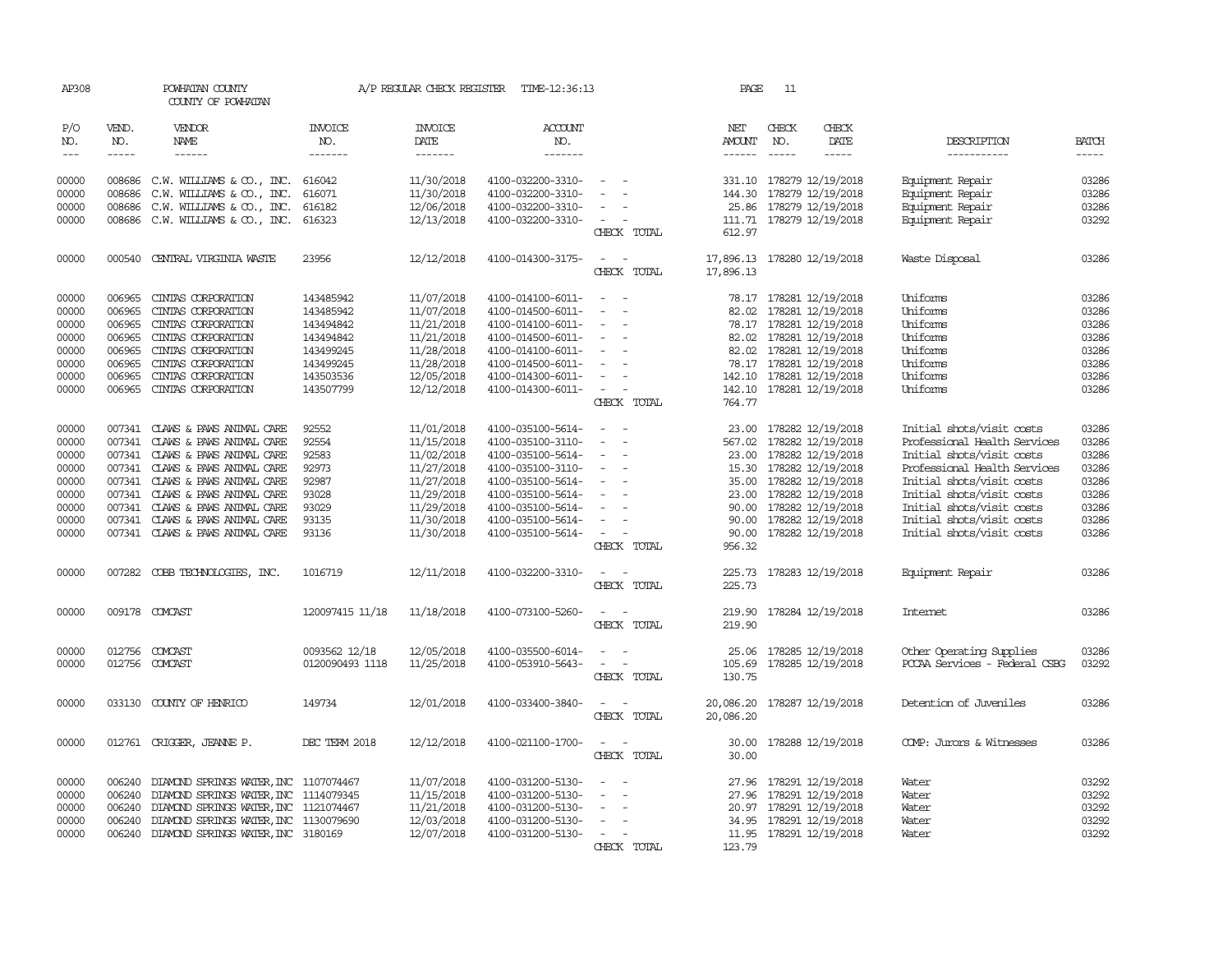| AP308                                                                         |                                                                              | POWHATAN COUNTY<br>COUNTY OF POWHATAN                                                                                                                                                                                                                                                                                   |                                                                                                      |                                                                                                                            | A/P REGULAR CHECK REGISTER TIME-12:36:13                                                                                                                                                  |                                                                                                                                                                                                         | PAGE                                     | -11                           |                                                                                                                                                                                                                                                                                                                                                                                                                                                                          |                                                                                                                                                                                                                                                                         |                                                                               |
|-------------------------------------------------------------------------------|------------------------------------------------------------------------------|-------------------------------------------------------------------------------------------------------------------------------------------------------------------------------------------------------------------------------------------------------------------------------------------------------------------------|------------------------------------------------------------------------------------------------------|----------------------------------------------------------------------------------------------------------------------------|-------------------------------------------------------------------------------------------------------------------------------------------------------------------------------------------|---------------------------------------------------------------------------------------------------------------------------------------------------------------------------------------------------------|------------------------------------------|-------------------------------|--------------------------------------------------------------------------------------------------------------------------------------------------------------------------------------------------------------------------------------------------------------------------------------------------------------------------------------------------------------------------------------------------------------------------------------------------------------------------|-------------------------------------------------------------------------------------------------------------------------------------------------------------------------------------------------------------------------------------------------------------------------|-------------------------------------------------------------------------------|
| P/O<br>NO.<br>$---$                                                           | VEND.<br>NO.<br>-----                                                        | VENDOR<br>NAME<br>------                                                                                                                                                                                                                                                                                                | <b>INVOICE</b><br>NO.<br>-------                                                                     | <b>INVOICE</b><br>DATE<br>-------                                                                                          | <b>ACCOUNT</b><br>NO.<br>-------                                                                                                                                                          |                                                                                                                                                                                                         | NET<br>AMOUNT                            | CHECK<br>NO.<br>$\frac{1}{2}$ | CHECK<br>DATE<br>$\begin{tabular}{ccccc} \multicolumn{2}{c }{\multicolumn{2}{c }{\multicolumn{2}{c }{\multicolumn{2}{c}}{\hspace{-2.2cm}}}} \multicolumn{2}{c }{\multicolumn{2}{c }{\hspace{-2.2cm}}\hline} \multicolumn{2}{c }{\hspace{-2.2cm}}\hline \multicolumn{2}{c }{\hspace{-2.2cm}}\hline \multicolumn{2}{c }{\hspace{-2.2cm}}\hline \multicolumn{2}{c }{\hspace{-2.2cm}}\hline \multicolumn{2}{c }{\hspace{-2.2cm}}\hline \multicolumn{2}{c }{\hspace{-2.2cm}}$ | DESCRIPTION<br>-----------                                                                                                                                                                                                                                              | <b>BATCH</b><br>-----                                                         |
| 00000<br>00000<br>00000<br>00000                                              | 008686<br>008686<br>008686<br>008686                                         | $C.W.$ WILLIAMS & $CO.$ , INC.<br>C.W. WILLIAMS & CO., INC.<br>C.W. WILLIAMS & CO., INC.<br>C.W. WILLIAMS & CO., INC.                                                                                                                                                                                                   | 616042<br>616071<br>616182<br>616323                                                                 | 11/30/2018<br>11/30/2018<br>12/06/2018<br>12/13/2018                                                                       | 4100-032200-3310-<br>4100-032200-3310-<br>4100-032200-3310-<br>4100-032200-3310-                                                                                                          | $\sim$<br>$\sim$<br>$\sim$<br>CHECK TOTAL                                                                                                                                                               | 612.97                                   |                               | 331.10 178279 12/19/2018<br>144.30 178279 12/19/2018<br>25.86 178279 12/19/2018<br>111.71 178279 12/19/2018                                                                                                                                                                                                                                                                                                                                                              | Equipment Repair<br>Equipment Repair<br>Equipment Repair<br>Equipment Repair                                                                                                                                                                                            | 03286<br>03286<br>03286<br>03292                                              |
| 00000                                                                         |                                                                              | 000540 CENTRAL VIRGINIA WASTE                                                                                                                                                                                                                                                                                           | 23956                                                                                                | 12/12/2018                                                                                                                 | 4100-014300-3175-                                                                                                                                                                         | $\sim$<br>$\sim$<br>CHECK TOTAL                                                                                                                                                                         | 17,896.13 178280 12/19/2018<br>17,896.13 |                               |                                                                                                                                                                                                                                                                                                                                                                                                                                                                          | Waste Disposal                                                                                                                                                                                                                                                          | 03286                                                                         |
| 00000<br>00000<br>00000<br>00000<br>00000<br>00000<br>00000<br>00000          | 006965<br>006965<br>006965<br>006965<br>006965<br>006965<br>006965<br>006965 | CINIAS CORPORATION<br>CINTAS CORPORATION<br>CINIAS CORPORATION<br>CINIAS CORPORATION<br>CINIAS CORPORATION<br>CINIAS CORPORATION<br>CINIAS CORPORATION<br>CINTAS CORPORATION                                                                                                                                            | 143485942<br>143485942<br>143494842<br>143494842<br>143499245<br>143499245<br>143503536<br>143507799 | 11/07/2018<br>11/07/2018<br>11/21/2018<br>11/21/2018<br>11/28/2018<br>11/28/2018<br>12/05/2018<br>12/12/2018               | 4100-014100-6011-<br>4100-014500-6011-<br>4100-014100-6011-<br>4100-014500-6011-<br>4100-014100-6011-<br>4100-014500-6011-<br>4100-014300-6011-<br>4100-014300-6011-                      | $\sim$<br>$\sim$<br>$\overline{\phantom{a}}$<br>$\overline{\phantom{a}}$<br>$\overline{\phantom{a}}$<br>$\overline{\phantom{a}}$<br>$\overline{\phantom{a}}$<br>$\overline{\phantom{a}}$<br>CHECK TOTAL | 764.77                                   |                               | 78.17 178281 12/19/2018<br>82.02 178281 12/19/2018<br>78.17 178281 12/19/2018<br>82.02 178281 12/19/2018<br>82.02 178281 12/19/2018<br>78.17 178281 12/19/2018<br>142.10 178281 12/19/2018<br>142.10 178281 12/19/2018                                                                                                                                                                                                                                                   | Uniforms<br>Uniforms<br>Uniforms<br>Uniforms<br>Uniforms<br>Uniforms<br>Uniforms<br>Uniforms                                                                                                                                                                            | 03286<br>03286<br>03286<br>03286<br>03286<br>03286<br>03286<br>03286          |
| 00000<br>00000<br>00000<br>00000<br>00000<br>00000<br>00000<br>00000<br>00000 |                                                                              | 007341 CLAWS & PAWS ANIMAL CARE<br>007341 CLAWS & PAWS ANIMAL CARE<br>007341 CLAWS & PAWS ANIMAL CARE<br>007341 CLAWS & PAWS ANIMAL CARE<br>007341 CLAWS & PAWS ANIMAL CARE<br>007341 CLAWS & PAWS ANIMAL CARE<br>007341 CLAWS & PAWS ANIMAL CARE<br>007341 CLAWS & PAWS ANIMAL CARE<br>007341 CLAWS & PAWS ANIMAL CARE | 92552<br>92554<br>92583<br>92973<br>92987<br>93028<br>93029<br>93135<br>93136                        | 11/01/2018<br>11/15/2018<br>11/02/2018<br>11/27/2018<br>11/27/2018<br>11/29/2018<br>11/29/2018<br>11/30/2018<br>11/30/2018 | 4100-035100-5614-<br>4100-035100-3110-<br>4100-035100-5614-<br>4100-035100-3110-<br>4100-035100-5614-<br>4100-035100-5614-<br>4100-035100-5614-<br>4100-035100-5614-<br>4100-035100-5614- | $\equiv$<br>$\sim$<br>$\overline{\phantom{a}}$<br>$\overline{\phantom{a}}$<br>$\overline{\phantom{a}}$<br>$\sim$<br>$\sim$<br>CHECK TOTAL                                                               | 567.02<br>90.00<br>956.32                |                               | 23.00 178282 12/19/2018<br>178282 12/19/2018<br>23.00 178282 12/19/2018<br>15.30 178282 12/19/2018<br>35.00 178282 12/19/2018<br>23.00 178282 12/19/2018<br>90.00 178282 12/19/2018<br>178282 12/19/2018<br>90.00 178282 12/19/2018                                                                                                                                                                                                                                      | Initial shots/visit costs<br>Professional Health Services<br>Initial shots/visit costs<br>Professional Health Services<br>Initial shots/visit costs<br>Initial shots/visit costs<br>Initial shots/visit costs<br>Initial shots/visit costs<br>Initial shots/visit costs | 03286<br>03286<br>03286<br>03286<br>03286<br>03286<br>03286<br>03286<br>03286 |
| 00000                                                                         |                                                                              | 007282 COBB TECHNOLOGIES, INC.                                                                                                                                                                                                                                                                                          | 1016719                                                                                              | 12/11/2018                                                                                                                 | 4100-032200-3310-                                                                                                                                                                         | CHECK TOTAL                                                                                                                                                                                             | 225.73<br>225.73                         |                               | 178283 12/19/2018                                                                                                                                                                                                                                                                                                                                                                                                                                                        | Equipment Repair                                                                                                                                                                                                                                                        | 03286                                                                         |
| 00000                                                                         |                                                                              | 009178 COMCAST                                                                                                                                                                                                                                                                                                          | 120097415 11/18                                                                                      | 11/18/2018                                                                                                                 | 4100-073100-5260-                                                                                                                                                                         | $\sim$<br>$\overline{\phantom{a}}$<br>CHECK TOTAL                                                                                                                                                       | 219.90<br>219.90                         |                               | 178284 12/19/2018                                                                                                                                                                                                                                                                                                                                                                                                                                                        | Internet                                                                                                                                                                                                                                                                | 03286                                                                         |
| 00000<br>00000                                                                | 012756                                                                       | 012756 COMCAST<br>COMCAST                                                                                                                                                                                                                                                                                               | 0093562 12/18<br>0120090493 1118                                                                     | 12/05/2018<br>11/25/2018                                                                                                   | 4100-035500-6014-<br>4100-053910-5643-                                                                                                                                                    | $\equiv$<br>$\overline{\phantom{a}}$<br>$\overline{\phantom{a}}$<br>$\overline{\phantom{a}}$<br>CHECK TOTAL                                                                                             | 105.69<br>130.75                         |                               | 25.06 178285 12/19/2018<br>178285 12/19/2018                                                                                                                                                                                                                                                                                                                                                                                                                             | Other Operating Supplies<br>PCCAA Services - Federal CSBG                                                                                                                                                                                                               | 03286<br>03292                                                                |
| 00000                                                                         |                                                                              | 033130 COUNTY OF HENRICO                                                                                                                                                                                                                                                                                                | 149734                                                                                               | 12/01/2018                                                                                                                 | 4100-033400-3840-                                                                                                                                                                         | $\sim$<br>$\sim$<br>CHECK TOTAL                                                                                                                                                                         | 20,086.20 178287 12/19/2018<br>20,086.20 |                               |                                                                                                                                                                                                                                                                                                                                                                                                                                                                          | Detention of Juveniles                                                                                                                                                                                                                                                  | 03286                                                                         |
| 00000                                                                         |                                                                              | 012761 CRIGGER, JEANNE P.                                                                                                                                                                                                                                                                                               | DEC TERM 2018                                                                                        | 12/12/2018                                                                                                                 | 4100-021100-1700-                                                                                                                                                                         | $\sim$<br>$\sim$<br>CHECK TOTAL                                                                                                                                                                         | 30.00<br>30.00                           |                               | 178288 12/19/2018                                                                                                                                                                                                                                                                                                                                                                                                                                                        | COMP: Jurors & Witnesses                                                                                                                                                                                                                                                | 03286                                                                         |
| 00000<br>00000<br>00000<br>00000<br>00000                                     | 006240<br>006240<br>006240<br>006240                                         | DIAMOND SPRINGS WATER, INC 1107074467<br>DIAMOND SPRINGS WATER, INC 1114079345<br>DIAMOND SPRINGS WATER, INC 1121074467<br>DIAMOND SPRINGS WATER, INC 1130079690<br>006240 DIAMOND SPRINGS WATER, INC 3180169                                                                                                           |                                                                                                      | 11/07/2018<br>11/15/2018<br>11/21/2018<br>12/03/2018<br>12/07/2018                                                         | 4100-031200-5130-<br>4100-031200-5130-<br>4100-031200-5130-<br>4100-031200-5130-<br>4100-031200-5130-                                                                                     | $\overline{\phantom{a}}$<br>$\overline{\phantom{a}}$<br>CHECK TOTAL                                                                                                                                     | 123.79                                   |                               | 27.96 178291 12/19/2018<br>27.96 178291 12/19/2018<br>20.97 178291 12/19/2018<br>34.95 178291 12/19/2018<br>11.95 178291 12/19/2018                                                                                                                                                                                                                                                                                                                                      | Water<br>Water<br>Water<br>Water<br>Water                                                                                                                                                                                                                               | 03292<br>03292<br>03292<br>03292<br>03292                                     |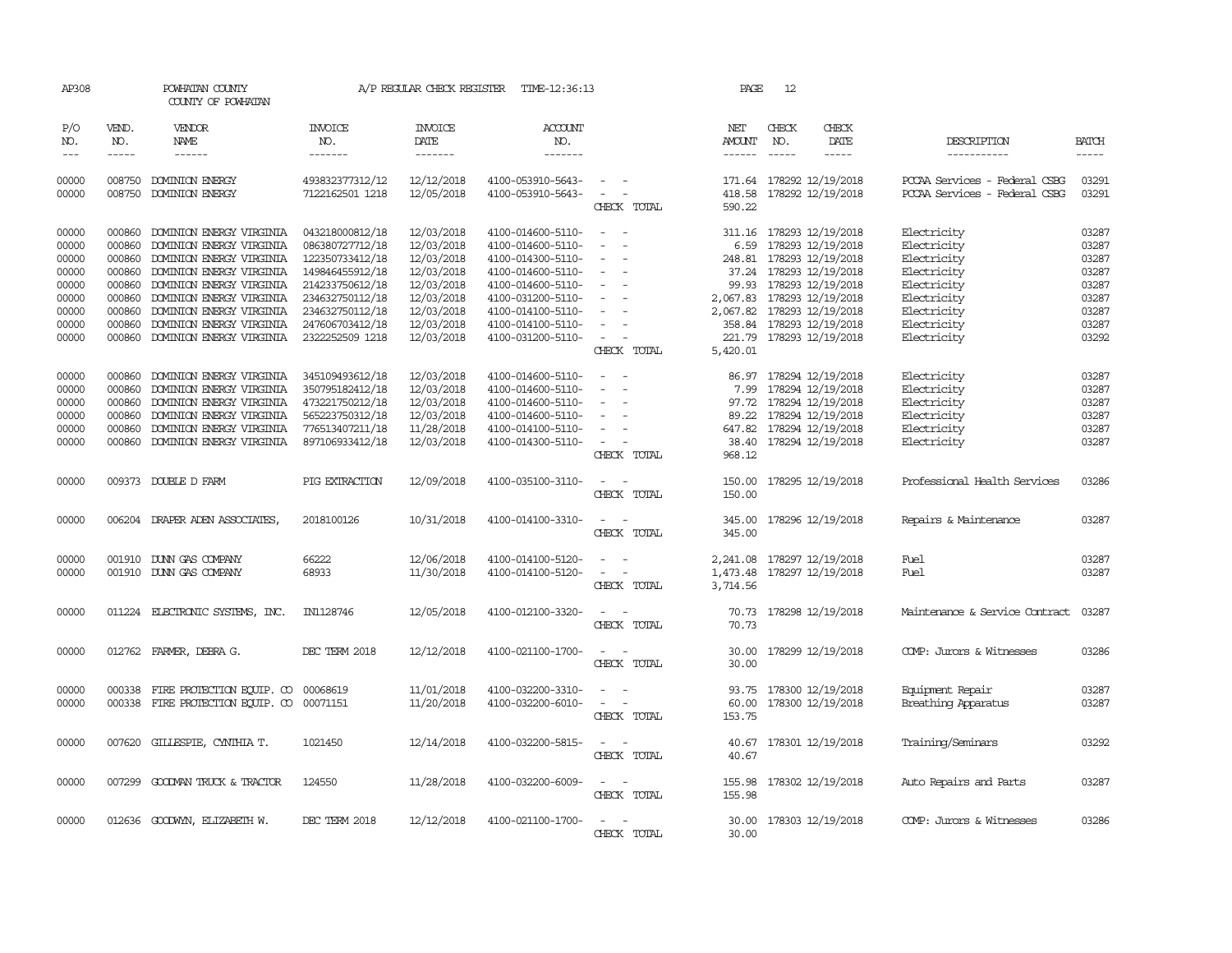| AP308               |                             | POWHATAN COUNTY<br>COUNTY OF POWHATAN         |                                  | A/P REGULAR CHECK REGISTER        | TIME-12:36:13             |                                                      | PAGE                 | 12                            |                              |                                |                             |
|---------------------|-----------------------------|-----------------------------------------------|----------------------------------|-----------------------------------|---------------------------|------------------------------------------------------|----------------------|-------------------------------|------------------------------|--------------------------------|-----------------------------|
| P/O<br>NO.<br>$---$ | VEND.<br>NO.<br>$- - - - -$ | <b>VENDOR</b><br><b>NAME</b><br>$- - - - - -$ | <b>INVOICE</b><br>NO.<br>------- | <b>INVOICE</b><br>DATE<br>------- | ACCOUNT<br>NO.<br>------- |                                                      | NET<br><b>AMOUNT</b> | CHECK<br>NO.<br>$\frac{1}{2}$ | CHECK<br>DATE<br>$- - - - -$ | DESCRIPTION<br>-----------     | <b>BATCH</b><br>$- - - - -$ |
| 00000               | 008750                      | DOMINION ENERGY                               | 493832377312/12                  | 12/12/2018                        | 4100-053910-5643-         | $\overline{\phantom{a}}$                             |                      |                               | 171.64 178292 12/19/2018     | PCCAA Services - Federal CSBG  | 03291                       |
| 00000               | 008750                      | <b>DOMINION ENERGY</b>                        | 7122162501 1218                  | 12/05/2018                        | 4100-053910-5643-         | $\sim$<br>CHECK TOTAL                                | 418.58<br>590.22     |                               | 178292 12/19/2018            | PCCAA Services - Federal CSBG  | 03291                       |
| 00000               | 000860                      | DOMINION ENERGY VIRGINIA                      | 043218000812/18                  | 12/03/2018                        | 4100-014600-5110-         | $\overline{\phantom{a}}$<br>$\overline{\phantom{a}}$ |                      |                               | 311.16 178293 12/19/2018     | Electricity                    | 03287                       |
| 00000               | 000860                      | DOMINION ENERGY VIRGINIA                      | 086380727712/18                  | 12/03/2018                        | 4100-014600-5110-         |                                                      |                      |                               | 6.59 178293 12/19/2018       | Electricity                    | 03287                       |
| 00000               | 000860                      | DOMINION ENERGY VIRGINIA                      | 122350733412/18                  | 12/03/2018                        | 4100-014300-5110-         | $\sim$                                               |                      |                               | 248.81 178293 12/19/2018     | Electricity                    | 03287                       |
| 00000               | 000860                      | DOMINION ENERGY VIRGINIA                      | 149846455912/18                  | 12/03/2018                        | 4100-014600-5110-         | $\sim$                                               |                      |                               | 37.24 178293 12/19/2018      | Electricity                    | 03287                       |
| 00000               | 000860                      | DOMINION ENERGY VIRGINIA                      | 214233750612/18                  | 12/03/2018                        | 4100-014600-5110-         | $\equiv$                                             | 99.93                |                               | 178293 12/19/2018            | Electricity                    | 03287                       |
| 00000               | 000860                      | DOMINION ENERGY VIRGINIA                      | 234632750112/18                  | 12/03/2018                        | 4100-031200-5110-         |                                                      |                      |                               | 2,067.83 178293 12/19/2018   | Electricity                    | 03287                       |
| 00000               | 000860                      | DOMINION ENERGY VIRGINIA                      | 234632750112/18                  | 12/03/2018                        | 4100-014100-5110-         | $\sim$<br>$\overline{\phantom{a}}$                   |                      |                               | 2,067.82 178293 12/19/2018   | Electricity                    | 03287                       |
| 00000               | 000860                      | DOMINION ENERGY VIRGINIA                      | 247606703412/18                  | 12/03/2018                        | 4100-014100-5110-         | $\sim$                                               |                      |                               | 358.84 178293 12/19/2018     | Electricity                    | 03287                       |
| 00000               |                             | 000860 DOMINION ENERGY VIRGINIA               | 2322252509 1218                  | 12/03/2018                        | 4100-031200-5110-         | $\sim$<br>$\overline{\phantom{a}}$                   |                      |                               | 221.79 178293 12/19/2018     | Electricity                    | 03292                       |
|                     |                             |                                               |                                  |                                   |                           | CHECK TOTAL                                          | 5,420.01             |                               |                              |                                |                             |
| 00000               | 000860                      | DOMINION ENERGY VIRGINIA                      | 345109493612/18                  | 12/03/2018                        | 4100-014600-5110-         |                                                      | 86.97                |                               | 178294 12/19/2018            | Electricity                    | 03287                       |
| 00000               | 000860                      | DOMINION ENERGY VIRGINIA                      | 350795182412/18                  | 12/03/2018                        | 4100-014600-5110-         |                                                      |                      |                               | 7.99 178294 12/19/2018       | Electricity                    | 03287                       |
| 00000               |                             | 000860 DOMINION ENERGY VIRGINIA               | 473221750212/18                  | 12/03/2018                        | 4100-014600-5110-         | $\sim$                                               |                      |                               | 97.72 178294 12/19/2018      | Electricity                    | 03287                       |
| 00000               | 000860                      | DOMINION ENERGY VIRGINIA                      | 565223750312/18                  | 12/03/2018                        | 4100-014600-5110-         | $\overline{\phantom{a}}$                             | 89.22                |                               | 178294 12/19/2018            | Electricity                    | 03287                       |
| 00000               |                             | 000860 DOMINION ENERGY VIRGINIA               | 776513407211/18                  | 11/28/2018                        | 4100-014100-5110-         | $\overline{\phantom{a}}$                             |                      |                               | 647.82 178294 12/19/2018     | Electricity                    | 03287                       |
| 00000               |                             | 000860 DOMINION ENERGY VIRGINIA               | 897106933412/18                  | 12/03/2018                        | 4100-014300-5110-         | $\sim$                                               |                      |                               | 38.40 178294 12/19/2018      | Electricity                    | 03287                       |
|                     |                             |                                               |                                  |                                   |                           | CHECK TOTAL                                          | 968.12               |                               |                              |                                |                             |
| 00000               |                             | 009373 DOUBLE D FARM                          | PIG EXTRACTION                   | 12/09/2018                        | 4100-035100-3110-         | $\sim$ $\sim$<br>CHECK TOTAL                         | 150.00<br>150.00     |                               | 178295 12/19/2018            | Professional Health Services   | 03286                       |
| 00000               |                             | 006204 DRAPER ADEN ASSOCIATES                 | 2018100126                       | 10/31/2018                        | 4100-014100-3310-         | $\sim$<br>$\sim$                                     |                      |                               | 345.00 178296 12/19/2018     | Repairs & Maintenance          | 03287                       |
|                     |                             |                                               |                                  |                                   |                           | CHECK TOTAL                                          | 345.00               |                               |                              |                                |                             |
| 00000               |                             | 001910 DUNN GAS COMPANY                       | 66222                            | 12/06/2018                        | 4100-014100-5120-         |                                                      | 2,241.08             |                               | 178297 12/19/2018            | Fuel                           | 03287                       |
| 00000               |                             | 001910 DUNN GAS COMPANY                       | 68933                            | 11/30/2018                        | 4100-014100-5120-         |                                                      | 1,473.48             |                               | 178297 12/19/2018            | Fuel                           | 03287                       |
|                     |                             |                                               |                                  |                                   |                           | CHECK TOTAL                                          | 3,714.56             |                               |                              |                                |                             |
| 00000               |                             | 011224 ELECTRONIC SYSTEMS, INC.               | IN1128746                        | 12/05/2018                        | 4100-012100-3320-         | $\overline{\phantom{a}}$<br>CHECK TOTAL              | 70.73                |                               | 70.73 178298 12/19/2018      | Maintenance & Service Contract | 03287                       |
|                     |                             |                                               |                                  |                                   |                           |                                                      |                      |                               |                              |                                |                             |
| 00000               |                             | 012762 FARMER, DEBRA G.                       | DEC TERM 2018                    | 12/12/2018                        | 4100-021100-1700-         | $\overline{\phantom{a}}$<br>CHECK TOTAL              | 30.00<br>30.00       |                               | 178299 12/19/2018            | COMP: Jurors & Witnesses       | 03286                       |
|                     |                             |                                               |                                  |                                   |                           |                                                      |                      |                               |                              |                                |                             |
| 00000               | 000338                      | FIRE PROTECTION EQUIP. CO                     | 00068619                         | 11/01/2018                        | 4100-032200-3310-         | $\overline{\phantom{a}}$                             | 93.75                |                               | 178300 12/19/2018            | Equipment Repair               | 03287                       |
| 00000               |                             | 000338 FIRE PROTECTION EQUIP. CO 00071151     |                                  | 11/20/2018                        | 4100-032200-6010-         | $\sim$<br>$\sim$<br>CHECK TOTAL                      | 60.00<br>153.75      |                               | 178300 12/19/2018            | Breathing Apparatus            | 03287                       |
|                     |                             |                                               |                                  |                                   |                           |                                                      |                      |                               |                              |                                |                             |
| 00000               |                             | 007620 GILLESPIE, CYNIHIA T.                  | 1021450                          | 12/14/2018                        | 4100-032200-5815-         | $\overline{\phantom{a}}$<br>CHECK TOTAL              | 40.67                |                               | 40.67 178301 12/19/2018      | Training/Seminars              | 03292                       |
| 00000               | 007299                      | GOODMAN TRUCK & TRACTOR                       | 124550                           | 11/28/2018                        | 4100-032200-6009-         | $\overline{\phantom{0}}$<br>$\sim$                   | 155.98               |                               | 178302 12/19/2018            | Auto Repairs and Parts         | 03287                       |
|                     |                             |                                               |                                  |                                   |                           | CHECK TOTAL                                          | 155.98               |                               |                              |                                |                             |
| 00000               |                             | 012636 GOODWYN, ELIZABETH W.                  | DEC TERM 2018                    | 12/12/2018                        | 4100-021100-1700-         |                                                      | 30.00                |                               | 178303 12/19/2018            | COMP: Jurors & Witnesses       | 03286                       |
|                     |                             |                                               |                                  |                                   |                           | CHECK TOTAL                                          | 30.00                |                               |                              |                                |                             |
|                     |                             |                                               |                                  |                                   |                           |                                                      |                      |                               |                              |                                |                             |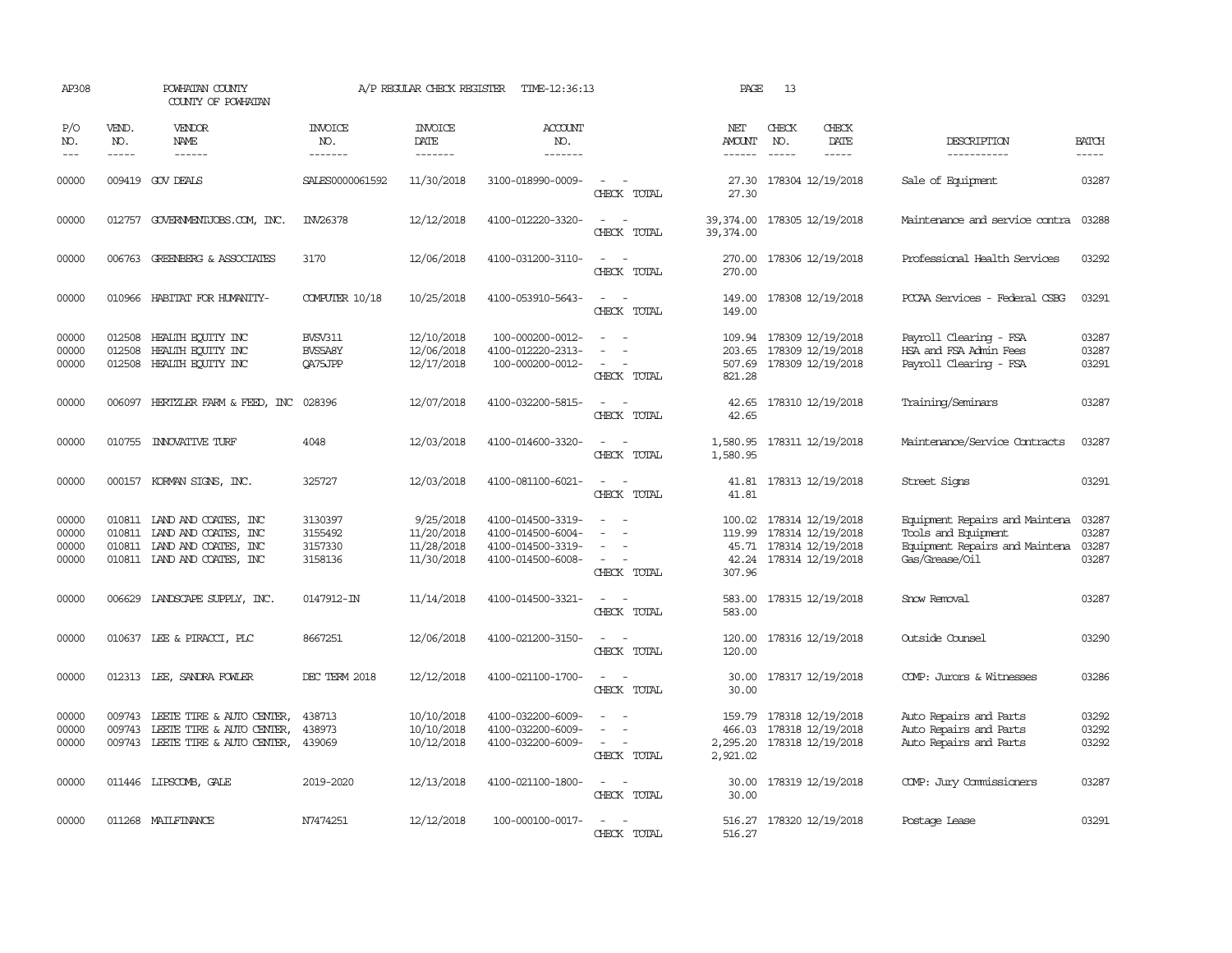| AP308                            |                             | POWHATAN COUNTY<br>COUNTY OF POWHATAN                                                                             |                                          | A/P REGULAR CHECK REGISTER                          | TIME-12:36:13                                                                    |                                                                                                                             | PAGE                                     | 13           |                                                                                                     |                                                                                                           |                                  |
|----------------------------------|-----------------------------|-------------------------------------------------------------------------------------------------------------------|------------------------------------------|-----------------------------------------------------|----------------------------------------------------------------------------------|-----------------------------------------------------------------------------------------------------------------------------|------------------------------------------|--------------|-----------------------------------------------------------------------------------------------------|-----------------------------------------------------------------------------------------------------------|----------------------------------|
| P/O<br>NO.<br>$\frac{1}{2}$      | VEND.<br>NO.<br>$- - - - -$ | VENDOR<br>NAME<br>------                                                                                          | <b>INVOICE</b><br>NO.<br>-------         | <b>INVOICE</b><br>DATE<br>-------                   | ACCOUNT<br>NO.<br>-------                                                        |                                                                                                                             | NET<br>AMOUNT<br>$- - - - - -$           | CHECK<br>NO. | CHECK<br>DATE<br>-----                                                                              | DESCRIPTION<br>-----------                                                                                | <b>BATCH</b><br>-----            |
| 00000                            |                             | 009419 GOV DEALS                                                                                                  | SALES0000061592                          | 11/30/2018                                          | 3100-018990-0009-                                                                | $\overline{\phantom{a}}$<br>CHECK TOTAL                                                                                     | 27.30<br>27.30                           |              | 178304 12/19/2018                                                                                   | Sale of Equipment                                                                                         | 03287                            |
| 00000                            |                             | 012757 GOVERNMENTJOBS.COM, INC.                                                                                   | INV26378                                 | 12/12/2018                                          | 4100-012220-3320-                                                                | $\sim$<br>CHECK TOTAL                                                                                                       | 39,374.00                                |              | 39, 374.00 178305 12/19/2018                                                                        | Maintenance and service contra                                                                            | 03288                            |
| 00000                            |                             | 006763 GREENBERG & ASSOCIATES                                                                                     | 3170                                     | 12/06/2018                                          | 4100-031200-3110-                                                                | $\equiv$<br>$\sim$<br>CHECK TOTAL                                                                                           | 270.00<br>270.00                         |              | 178306 12/19/2018                                                                                   | Professional Health Services                                                                              | 03292                            |
| 00000                            |                             | 010966 HABITAT FOR HUMANITY-                                                                                      | <b>COMPUTER 10/18</b>                    | 10/25/2018                                          | 4100-053910-5643-                                                                | $\sim$<br>$\sim$<br>CHECK TOTAL                                                                                             | 149.00<br>149.00                         |              | 178308 12/19/2018                                                                                   | PCCAA Services - Federal CSBG                                                                             | 03291                            |
| 00000<br>00000<br>00000          | 012508                      | 012508 HEALTH ECUTTY INC<br>HEALTH EQUITY INC<br>012508 HEALTH EQUITY INC                                         | <b>BVSV311</b><br>BVS5A8Y<br>QA75JPP     | 12/10/2018<br>12/06/2018<br>12/17/2018              | 100-000200-0012-<br>4100-012220-2313-<br>100-000200-0012-                        | $\equiv$<br>CHECK TOTAL                                                                                                     | 203.65<br>821.28                         |              | 109.94 178309 12/19/2018<br>178309 12/19/2018<br>507.69 178309 12/19/2018                           | Payroll Clearing - FSA<br>HSA and FSA Admin Fees<br>Payroll Clearing - FSA                                | 03287<br>03287<br>03291          |
| 00000                            |                             | 006097 HERTZLER FARM & FEED, INC                                                                                  | 028396                                   | 12/07/2018                                          | 4100-032200-5815-                                                                | CHECK TOTAL                                                                                                                 | 42.65                                    |              | 42.65 178310 12/19/2018                                                                             | Training/Seminars                                                                                         | 03287                            |
| 00000                            |                             | 010755 INNOVATIVE TURF                                                                                            | 4048                                     | 12/03/2018                                          | 4100-014600-3320-                                                                | $\sim$ $ \sim$<br>CHECK TOTAL                                                                                               | 1,580.95                                 |              | 1,580.95 178311 12/19/2018                                                                          | Maintenance/Service Contracts                                                                             | 03287                            |
| 00000                            |                             | 000157 KORMAN SIGNS, INC.                                                                                         | 325727                                   | 12/03/2018                                          | 4100-081100-6021-                                                                | $\sim$<br>$\sim$<br>CHECK TOTAL                                                                                             | 41.81                                    |              | 41.81 178313 12/19/2018                                                                             | Street Signs                                                                                              | 03291                            |
| 00000<br>00000<br>00000<br>00000 | 010811                      | 010811 IAND AND COATES, INC<br>LAND AND COATES, INC<br>010811 IAND AND COATES, INC<br>010811 IAND AND COATES, INC | 3130397<br>3155492<br>3157330<br>3158136 | 9/25/2018<br>11/20/2018<br>11/28/2018<br>11/30/2018 | 4100-014500-3319-<br>4100-014500-6004-<br>4100-014500-3319-<br>4100-014500-6008- | $\equiv$<br>$\sim$<br>CHECK TOTAL                                                                                           | 119.99<br>307.96                         |              | 100.02 178314 12/19/2018<br>178314 12/19/2018<br>45.71 178314 12/19/2018<br>42.24 178314 12/19/2018 | Equipment Repairs and Maintena<br>Tools and Equipment<br>Equipment Repairs and Maintena<br>Gas/Grease/Oil | 03287<br>03287<br>03287<br>03287 |
| 00000                            |                             | 006629 LANDSCAPE SUPPLY, INC.                                                                                     | 0147912-IN                               | 11/14/2018                                          | 4100-014500-3321-                                                                | $\overline{\phantom{a}}$<br>- -<br>CHECK TOTAL                                                                              | 583.00<br>583.00                         |              | 178315 12/19/2018                                                                                   | Snow Removal                                                                                              | 03287                            |
| 00000                            |                             | 010637 LEE & PIRACCI, PLC                                                                                         | 8667251                                  | 12/06/2018                                          | 4100-021200-3150-                                                                | CHECK TOTAL                                                                                                                 | 120.00<br>120.00                         |              | 178316 12/19/2018                                                                                   | Outside Counsel                                                                                           | 03290                            |
| 00000                            |                             | 012313 LEE, SANDRA FOWLER                                                                                         | DEC TERM 2018                            | 12/12/2018                                          | 4100-021100-1700-                                                                | $\frac{1}{2} \left( \frac{1}{2} \right) \left( \frac{1}{2} \right) = \frac{1}{2} \left( \frac{1}{2} \right)$<br>CHECK TOTAL | 30.00<br>30.00                           |              | 178317 12/19/2018                                                                                   | COMP: Jurors & Witnesses                                                                                  | 03286                            |
| 00000<br>00000<br>00000          | 009743<br>009743<br>009743  | LEETE TIRE & AUTO CENTER,<br>LEETE TIRE & AUTO CENTER,<br>LEETE TIRE & AUTO CENTER,                               | 438713<br>438973<br>439069               | 10/10/2018<br>10/10/2018<br>10/12/2018              | 4100-032200-6009-<br>4100-032200-6009-<br>4100-032200-6009-                      | $\equiv$<br>CHECK TOTAL                                                                                                     | 159.79<br>466.03<br>2,295.20<br>2,921.02 |              | 178318 12/19/2018<br>178318 12/19/2018<br>178318 12/19/2018                                         | Auto Repairs and Parts<br>Auto Repairs and Parts<br>Auto Repairs and Parts                                | 03292<br>03292<br>03292          |
| 00000                            |                             | 011446 LIPSCOMB, GALE                                                                                             | 2019-2020                                | 12/13/2018                                          | 4100-021100-1800-                                                                | $\sim$ $-$<br>CHECK TOTAL                                                                                                   | 30.00<br>30.00                           |              | 178319 12/19/2018                                                                                   | COMP: Jury Commissioners                                                                                  | 03287                            |
| 00000                            |                             | 011268 MAILFINANCE                                                                                                | N7474251                                 | 12/12/2018                                          | 100-000100-0017-                                                                 | $\overline{\phantom{a}}$<br>CHECK TOTAL                                                                                     | 516.27<br>516.27                         |              | 178320 12/19/2018                                                                                   | Postage Lease                                                                                             | 03291                            |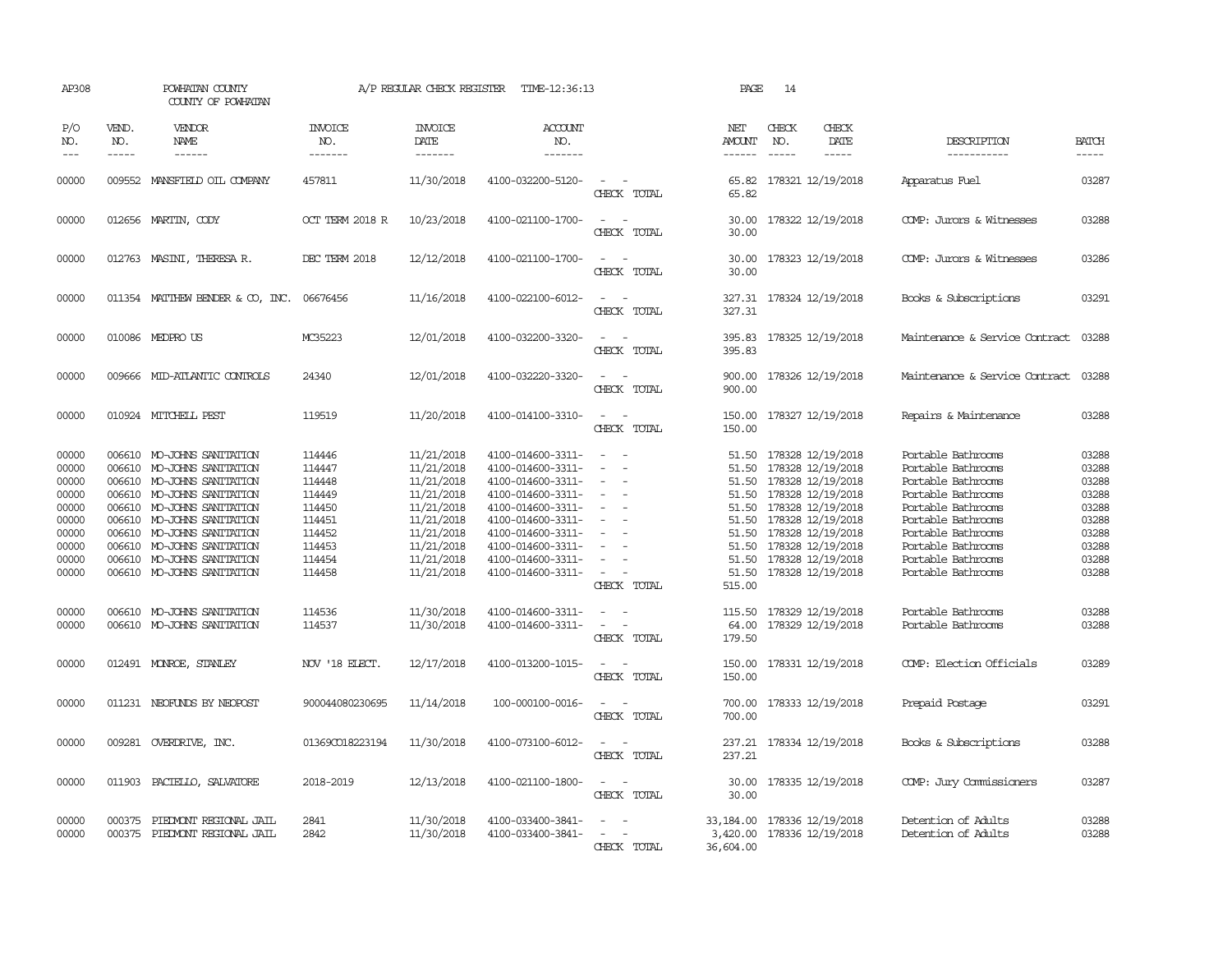| AP308                                                                                           |                               | POWHATAN COUNTY<br>COUNTY OF POWHATAN                                                                                                                                                                                                                                                                                           |                                                                                                            | A/P REGULAR CHECK REGISTER                                                                                                                             | TIME-12:36:13                                                                                                                                                                                                                       |                                                                     | PAGE                                                          | 14                                                                                                                                                                                                                                                                |                              |                                                                                                                                                                                                                                                |                                                                                                 |
|-------------------------------------------------------------------------------------------------|-------------------------------|---------------------------------------------------------------------------------------------------------------------------------------------------------------------------------------------------------------------------------------------------------------------------------------------------------------------------------|------------------------------------------------------------------------------------------------------------|--------------------------------------------------------------------------------------------------------------------------------------------------------|-------------------------------------------------------------------------------------------------------------------------------------------------------------------------------------------------------------------------------------|---------------------------------------------------------------------|---------------------------------------------------------------|-------------------------------------------------------------------------------------------------------------------------------------------------------------------------------------------------------------------------------------------------------------------|------------------------------|------------------------------------------------------------------------------------------------------------------------------------------------------------------------------------------------------------------------------------------------|-------------------------------------------------------------------------------------------------|
| P/O<br>NO.<br>$- - -$                                                                           | VEND.<br>NO.<br>$\frac{1}{2}$ | VENDOR<br>NAME<br>------                                                                                                                                                                                                                                                                                                        | <b>INVOICE</b><br>NO.<br>-------                                                                           | <b>INVOICE</b><br>DATE<br>-------                                                                                                                      | <b>ACCOUNT</b><br>NO.<br>-------                                                                                                                                                                                                    |                                                                     | NET<br>AMOUNT<br>------                                       | CHECK<br>NO.<br>$- - - - -$                                                                                                                                                                                                                                       | CHECK<br>DATE<br>$- - - - -$ | DESCRIPTION<br>-----------                                                                                                                                                                                                                     | <b>BATCH</b><br>-----                                                                           |
| 00000                                                                                           |                               | 009552 MANSFIELD OIL COMPANY                                                                                                                                                                                                                                                                                                    | 457811                                                                                                     | 11/30/2018                                                                                                                                             | 4100-032200-5120-                                                                                                                                                                                                                   | CHECK TOTAL                                                         | 65.82                                                         | 65.82 178321 12/19/2018                                                                                                                                                                                                                                           |                              | Apparatus Fuel                                                                                                                                                                                                                                 | 03287                                                                                           |
| 00000                                                                                           |                               | 012656 MARTIN, CODY                                                                                                                                                                                                                                                                                                             | OCT TERM 2018 R                                                                                            | 10/23/2018                                                                                                                                             | 4100-021100-1700-                                                                                                                                                                                                                   | $\sim$ $\sim$<br>CHECK TOTAL                                        | 30.00<br>30.00                                                | 178322 12/19/2018                                                                                                                                                                                                                                                 |                              | COMP: Jurors & Witnesses                                                                                                                                                                                                                       | 03288                                                                                           |
| 00000                                                                                           |                               | 012763 MASINI, THERESA R.                                                                                                                                                                                                                                                                                                       | DEC TERM 2018                                                                                              | 12/12/2018                                                                                                                                             | 4100-021100-1700-                                                                                                                                                                                                                   | $\overline{a}$<br>$\sim$<br>CHECK TOTAL                             | 30.00<br>30.00                                                | 178323 12/19/2018                                                                                                                                                                                                                                                 |                              | COMP: Jurors & Witnesses                                                                                                                                                                                                                       | 03286                                                                                           |
| 00000                                                                                           |                               | 011354 MATTHEW BENDER & CO, INC.                                                                                                                                                                                                                                                                                                | 06676456                                                                                                   | 11/16/2018                                                                                                                                             | 4100-022100-6012-                                                                                                                                                                                                                   | $\overline{\phantom{a}}$<br>CHECK TOTAL                             | 327.31<br>327.31                                              | 178324 12/19/2018                                                                                                                                                                                                                                                 |                              | Books & Subscriptions                                                                                                                                                                                                                          | 03291                                                                                           |
| 00000                                                                                           |                               | 010086 MEDPROUS                                                                                                                                                                                                                                                                                                                 | MC35223                                                                                                    | 12/01/2018                                                                                                                                             | 4100-032200-3320-                                                                                                                                                                                                                   | $\equiv$<br>CHECK TOTAL                                             | 395.83<br>395.83                                              | 178325 12/19/2018                                                                                                                                                                                                                                                 |                              | Maintenance & Service Contract                                                                                                                                                                                                                 | 03288                                                                                           |
| 00000                                                                                           |                               | 009666 MID-ATLANTIC CONTROLS                                                                                                                                                                                                                                                                                                    | 24340                                                                                                      | 12/01/2018                                                                                                                                             | 4100-032220-3320-                                                                                                                                                                                                                   | CHECK TOTAL                                                         | 900.00<br>900.00                                              | 178326 12/19/2018                                                                                                                                                                                                                                                 |                              | Maintenance & Service Contract                                                                                                                                                                                                                 | 03288                                                                                           |
| 00000                                                                                           |                               | 010924 MITCHELL PEST                                                                                                                                                                                                                                                                                                            | 119519                                                                                                     | 11/20/2018                                                                                                                                             | 4100-014100-3310-                                                                                                                                                                                                                   | $\sim$ $ \sim$<br>CHECK TOTAL                                       | 150.00<br>150.00                                              | 178327 12/19/2018                                                                                                                                                                                                                                                 |                              | Repairs & Maintenance                                                                                                                                                                                                                          | 03288                                                                                           |
| 00000<br>00000<br>00000<br>00000<br>00000<br>00000<br>00000<br>00000<br>00000<br>00000<br>00000 | 006610                        | MO-JOHNS SANITATION<br>006610 MO-JOHNS SANITATION<br>006610 MO-JOHNS SANITATION<br>006610 MO-JOHNS SANITATION<br>006610 MO-JOHNS SANITATION<br>006610 MO-JOHNS SANITATION<br>006610 MO-JOHNS SANITATION<br>006610 MO-JOHNS SANITATION<br>006610 MO-JOHNS SANITATION<br>006610 MO-JOHNS SANITATION<br>006610 MO-JOHNS SANITATION | 114446<br>114447<br>114448<br>114449<br>114450<br>114451<br>114452<br>114453<br>114454<br>114458<br>114536 | 11/21/2018<br>11/21/2018<br>11/21/2018<br>11/21/2018<br>11/21/2018<br>11/21/2018<br>11/21/2018<br>11/21/2018<br>11/21/2018<br>11/21/2018<br>11/30/2018 | 4100-014600-3311-<br>4100-014600-3311-<br>4100-014600-3311-<br>4100-014600-3311-<br>4100-014600-3311-<br>4100-014600-3311-<br>4100-014600-3311-<br>4100-014600-3311-<br>4100-014600-3311-<br>4100-014600-3311-<br>4100-014600-3311- | $\sim$<br>$\sim$<br>$\sim$<br>$\equiv$<br>CHECK TOTAL<br>$\sim$     | 51.50<br>51.50<br>51.50<br>51.50<br>51.50<br>515.00<br>115.50 | 51.50 178328 12/19/2018<br>51.50 178328 12/19/2018<br>178328 12/19/2018<br>51.50 178328 12/19/2018<br>178328 12/19/2018<br>51.50 178328 12/19/2018<br>178328 12/19/2018<br>178328 12/19/2018<br>51.50 178328 12/19/2018<br>178328 12/19/2018<br>178329 12/19/2018 |                              | Portable Bathrooms<br>Portable Bathrooms<br>Portable Bathrooms<br>Portable Bathrooms<br>Portable Bathrooms<br>Portable Bathrooms<br>Portable Bathrooms<br>Portable Bathrooms<br>Portable Bathrooms<br>Portable Bathrooms<br>Portable Bathrooms | 03288<br>03288<br>03288<br>03288<br>03288<br>03288<br>03288<br>03288<br>03288<br>03288<br>03288 |
| 00000                                                                                           |                               | 006610 MO-JOHNS SANITATION                                                                                                                                                                                                                                                                                                      | 114537                                                                                                     | 11/30/2018                                                                                                                                             | 4100-014600-3311-                                                                                                                                                                                                                   | $\equiv$<br>CHECK TOTAL                                             | 64.00<br>179.50                                               | 178329 12/19/2018                                                                                                                                                                                                                                                 |                              | Portable Bathrooms                                                                                                                                                                                                                             | 03288                                                                                           |
| 00000                                                                                           |                               | 012491 MONROE, STANLEY                                                                                                                                                                                                                                                                                                          | NOV '18 ELECT.                                                                                             | 12/17/2018                                                                                                                                             | 4100-013200-1015-                                                                                                                                                                                                                   | $\sim$ $  -$<br>CHECK TOTAL                                         | 150.00<br>150.00                                              | 178331 12/19/2018                                                                                                                                                                                                                                                 |                              | COMP: Election Officials                                                                                                                                                                                                                       | 03289                                                                                           |
| 00000                                                                                           |                               | 011231 NEOFUNDS BY NEOPOST                                                                                                                                                                                                                                                                                                      | 900044080230695                                                                                            | 11/14/2018                                                                                                                                             | 100-000100-0016-                                                                                                                                                                                                                    | $ -$<br>CHECK TOTAL                                                 | 700.00<br>700.00                                              | 178333 12/19/2018                                                                                                                                                                                                                                                 |                              | Prepaid Postage                                                                                                                                                                                                                                | 03291                                                                                           |
| 00000                                                                                           |                               | 009281 OVERDRIVE, INC.                                                                                                                                                                                                                                                                                                          | 013690018223194                                                                                            | 11/30/2018                                                                                                                                             | 4100-073100-6012-                                                                                                                                                                                                                   | CHECK TOTAL                                                         | 237.21<br>237.21                                              | 178334 12/19/2018                                                                                                                                                                                                                                                 |                              | Books & Subscriptions                                                                                                                                                                                                                          | 03288                                                                                           |
| 00000                                                                                           | 011903                        | PACIELLO, SALVATORE                                                                                                                                                                                                                                                                                                             | 2018-2019                                                                                                  | 12/13/2018                                                                                                                                             | 4100-021100-1800-                                                                                                                                                                                                                   | CHECK TOTAL                                                         | 30.00<br>30.00                                                | 178335 12/19/2018                                                                                                                                                                                                                                                 |                              | COMP: Jury Commissioners                                                                                                                                                                                                                       | 03287                                                                                           |
| 00000<br>00000                                                                                  | 000375                        | PIEDMONT REGIONAL JAIL<br>000375 PIEDMONT REGIONAL JAIL                                                                                                                                                                                                                                                                         | 2841<br>2842                                                                                               | 11/30/2018<br>11/30/2018                                                                                                                               | 4100-033400-3841-<br>4100-033400-3841-                                                                                                                                                                                              | $\overline{\phantom{a}}$<br>$\overline{\phantom{a}}$<br>CHECK TOTAL | 33, 184, 00<br>36,604.00                                      | 178336 12/19/2018<br>3,420.00 178336 12/19/2018                                                                                                                                                                                                                   |                              | Detention of Adults<br>Detention of Adults                                                                                                                                                                                                     | 03288<br>03288                                                                                  |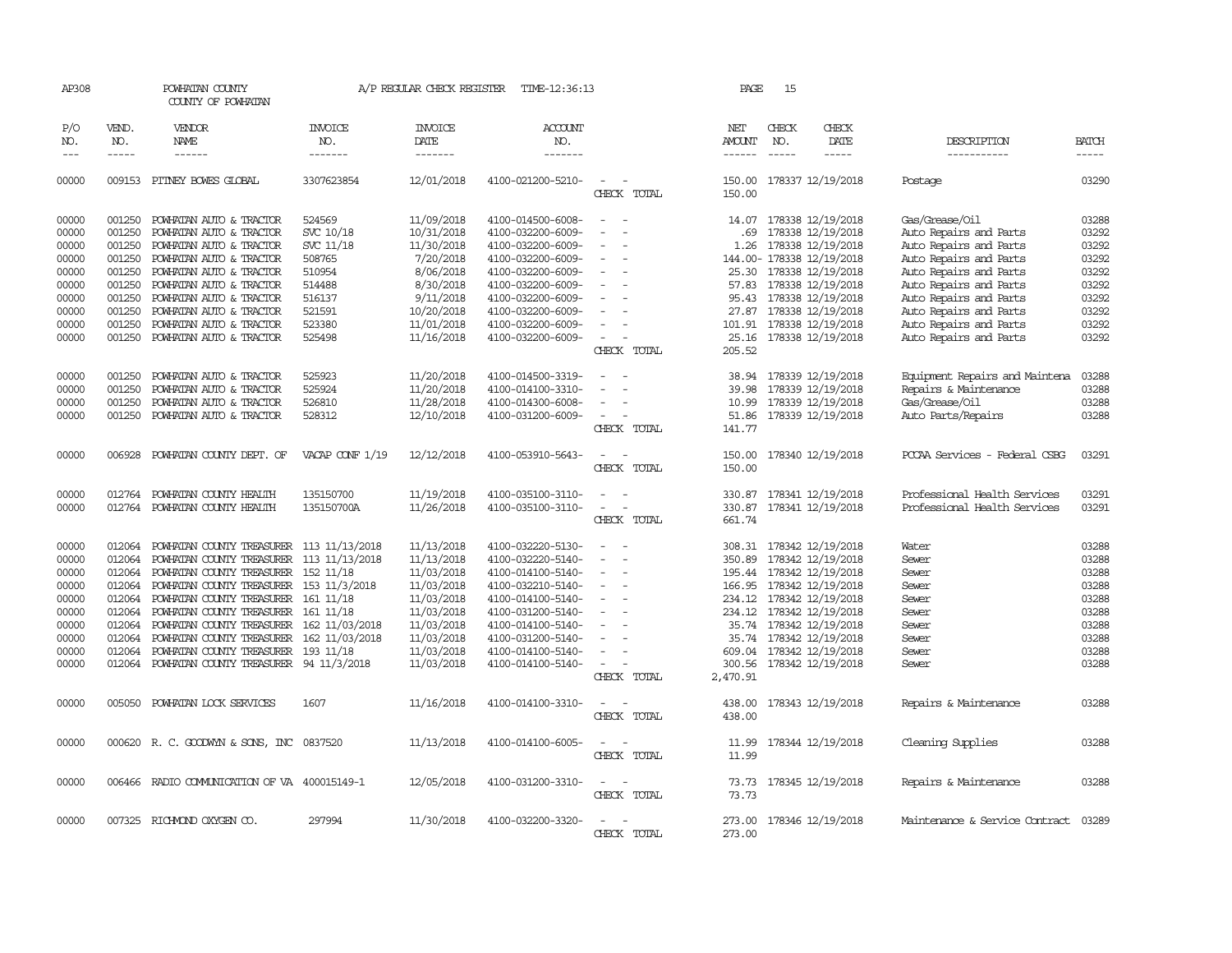| AP308         |              | POWHATAN COUNTY<br>COUNTY OF POWHATAN        |                 | A/P REGULAR CHECK REGISTER | TIME-12:36:13     |                                                      | PAGE             | 15            |                           |                                      |              |
|---------------|--------------|----------------------------------------------|-----------------|----------------------------|-------------------|------------------------------------------------------|------------------|---------------|---------------------------|--------------------------------------|--------------|
| P/O<br>NO.    | VEND.<br>NO. | VENDOR<br>NAME                               | INVOICE<br>NO.  | <b>INVOICE</b><br>DATE     | ACCOUNT<br>NO.    |                                                      | NET<br>AMOUNT    | CHECK<br>NO.  | CHECK<br>DATE             | DESCRIPTION                          | <b>BATCH</b> |
| $\frac{1}{2}$ | $- - - - -$  | ------                                       | -------         | -------                    | -------           |                                                      | $- - - - - -$    | $\frac{1}{2}$ | -----                     | -----------                          | $- - - - -$  |
| 00000         |              | 009153 PITNEY BOWES GLOBAL                   | 3307623854      | 12/01/2018                 | 4100-021200-5210- | $\sim$<br>CHECK TOTAL                                | 150.00           |               | 150.00 178337 12/19/2018  | Postage                              | 03290        |
| 00000         | 001250       | POWHATAN AUTO & TRACTOR                      | 524569          | 11/09/2018                 | 4100-014500-6008- | $\overline{\phantom{a}}$                             | 14.07            |               | 178338 12/19/2018         | Gas/Grease/Oil                       | 03288        |
| 00000         | 001250       | POWHATAN AUTO & TRACTOR                      | SVC 10/18       | 10/31/2018                 | 4100-032200-6009- |                                                      | .69              |               | 178338 12/19/2018         | Auto Repairs and Parts               | 03292        |
| 00000         | 001250       | POWHATAN AUTO & TRACTOR                      | SVC 11/18       | 11/30/2018                 | 4100-032200-6009- |                                                      | 1.26             |               | 178338 12/19/2018         | Auto Repairs and Parts               | 03292        |
| 00000         | 001250       | POWHATAN AUTO & TRACTOR                      | 508765          | 7/20/2018                  | 4100-032200-6009- |                                                      |                  |               | 144.00- 178338 12/19/2018 | Auto Repairs and Parts               | 03292        |
| 00000         | 001250       | POWHATAN AUTO & TRACTOR                      | 510954          | 8/06/2018                  | 4100-032200-6009- |                                                      |                  |               | 25.30 178338 12/19/2018   | Auto Repairs and Parts               | 03292        |
| 00000         | 001250       | POWHATAN AUTO & TRACTOR                      | 514488          | 8/30/2018                  | 4100-032200-6009- |                                                      | 57.83            |               | 178338 12/19/2018         | Auto Repairs and Parts               | 03292        |
| 00000         | 001250       | POWHATAN AUTO & TRACTOR                      | 516137          | 9/11/2018                  | 4100-032200-6009- |                                                      |                  |               | 95.43 178338 12/19/2018   | Auto Repairs and Parts               | 03292        |
| 00000         | 001250       | POWHATAN AUTO & TRACTOR                      | 521591          | 10/20/2018                 | 4100-032200-6009- |                                                      | 27.87            |               | 178338 12/19/2018         | Auto Repairs and Parts               | 03292        |
| 00000         | 001250       | POWHATAN AUTO & TRACTOR                      | 523380          | 11/01/2018                 | 4100-032200-6009- |                                                      |                  |               | 101.91 178338 12/19/2018  | Auto Repairs and Parts               | 03292        |
| 00000         | 001250       | POWHATAN AUTO & TRACTOR                      | 525498          | 11/16/2018                 | 4100-032200-6009- | $\overline{\phantom{a}}$                             | 25.16            |               | 178338 12/19/2018         | Auto Repairs and Parts               | 03292        |
|               |              |                                              |                 |                            |                   | CHECK TOTAL                                          | 205.52           |               |                           |                                      |              |
| 00000         | 001250       | POWHATAN AUTO & TRACTOR                      | 525923          | 11/20/2018                 | 4100-014500-3319- |                                                      | 38.94            |               | 178339 12/19/2018         | Equipment Repairs and Maintena       | 03288        |
| 00000         | 001250       | POWHATAN AUTO & TRACTOR                      | 525924          | 11/20/2018                 | 4100-014100-3310- |                                                      | 39.98            |               | 178339 12/19/2018         | Repairs & Maintenance                | 03288        |
| 00000         | 001250       | POWHATAN AUTO & TRACTOR                      | 526810          | 11/28/2018                 | 4100-014300-6008- |                                                      | 10.99            |               | 178339 12/19/2018         | Gas/Grease/Oil                       | 03288        |
| 00000         | 001250       | POWHATAN AUTO & TRACTOR                      | 528312          | 12/10/2018                 | 4100-031200-6009- | $\sim$                                               | 51.86            |               | 178339 12/19/2018         | Auto Parts/Repairs                   | 03288        |
|               |              |                                              |                 |                            |                   | CHECK TOTAL                                          | 141.77           |               |                           |                                      |              |
| 00000         | 006928       | POWHATAN COUNTY DEPT. OF                     | VACAP CONF 1/19 | 12/12/2018                 | 4100-053910-5643- | CHECK TOTAL                                          | 150.00<br>150.00 |               | 178340 12/19/2018         | PCCAA Services - Federal CSBG        | 03291        |
| 00000         | 012764       | POWHATAN COUNTY HEALTH                       | 135150700       | 11/19/2018                 | 4100-035100-3110- |                                                      | 330.87           |               | 178341 12/19/2018         | Professional Health Services         | 03291        |
| 00000         | 012764       | POWHATAN COUNTY HEALTH                       | 135150700A      | 11/26/2018                 | 4100-035100-3110- | $\equiv$<br>$\overline{\phantom{a}}$                 | 330.87           |               | 178341 12/19/2018         | Professional Health Services         | 03291        |
|               |              |                                              |                 |                            |                   | CHECK TOTAL                                          | 661.74           |               |                           |                                      |              |
| 00000         | 012064       | POWHATAN COUNTY TREASURER 113 11/13/2018     |                 | 11/13/2018                 | 4100-032220-5130- | $\overline{\phantom{a}}$                             |                  |               | 308.31 178342 12/19/2018  | Water                                | 03288        |
| 00000         | 012064       | POWHATAN COUNTY TREASURER                    | 113 11/13/2018  | 11/13/2018                 | 4100-032220-5140- | $\overline{\phantom{a}}$                             | 350.89           |               | 178342 12/19/2018         | Sewer                                | 03288        |
| 00000         | 012064       | POWHATAN COUNTY TREASURER                    | 152 11/18       | 11/03/2018                 | 4100-014100-5140- | $\sim$                                               |                  |               | 195.44 178342 12/19/2018  | Sewer                                | 03288        |
| 00000         | 012064       | POWHATAN COUNTY TREASURER                    | 153 11/3/2018   | 11/03/2018                 | 4100-032210-5140- |                                                      |                  |               | 166.95 178342 12/19/2018  | Sewer                                | 03288        |
| 00000         | 012064       | POWHATAN COUNTY TREASURER                    | 161 11/18       | 11/03/2018                 | 4100-014100-5140- | $\overline{\phantom{a}}$                             |                  |               | 234.12 178342 12/19/2018  | Sewer                                | 03288        |
| 00000         | 012064       | POWHATAN COUNTY TREASURER                    | 161 11/18       | 11/03/2018                 | 4100-031200-5140- | $\overline{\phantom{a}}$                             | 234.12           |               | 178342 12/19/2018         | Sewer                                | 03288        |
| 00000         | 012064       | POWHATAN COUNTY TREASURER                    | 162 11/03/2018  | 11/03/2018                 | 4100-014100-5140- |                                                      |                  |               | 35.74 178342 12/19/2018   | Sewer                                | 03288        |
| 00000         | 012064       | POWHATAN COUNTY TREASURER                    | 162 11/03/2018  | 11/03/2018                 | 4100-031200-5140- |                                                      | 35.74            |               | 178342 12/19/2018         | Sewer                                | 03288        |
| 00000         | 012064       | POWHATAN COUNTY TREASURER                    | 193 11/18       | 11/03/2018                 | 4100-014100-5140- |                                                      |                  |               | 609.04 178342 12/19/2018  | Sewer                                | 03288        |
| 00000         | 012064       | POWHATAN COUNTY TREASURER 94 11/3/2018       |                 | 11/03/2018                 | 4100-014100-5140- | $\overline{\phantom{a}}$<br>$\overline{\phantom{a}}$ |                  |               | 300.56 178342 12/19/2018  | Sewer                                | 03288        |
|               |              |                                              |                 |                            |                   | CHECK TOTAL                                          | 2,470.91         |               |                           |                                      |              |
| 00000         | 005050       | POWHATAN LOCK SERVICES                       | 1607            | 11/16/2018                 | 4100-014100-3310- | $\overline{\phantom{a}}$<br>CHECK TOTAL              | 438.00<br>438.00 |               | 178343 12/19/2018         | Repairs & Maintenance                | 03288        |
| 00000         |              | 000620 R. C. GOODWYN & SONS, INC 0837520     |                 | 11/13/2018                 | 4100-014100-6005- | CHECK TOTAL                                          | 11.99<br>11.99   |               | 178344 12/19/2018         | Cleaning Supplies                    | 03288        |
| 00000         |              | 006466 RADIO COMMUNICATION OF VA 400015149-1 |                 | 12/05/2018                 | 4100-031200-3310- | $\sim$<br>CHECK TOTAL                                | 73.73            |               | 73.73 178345 12/19/2018   | Repairs & Maintenance                | 03288        |
| 00000         |              | 007325 RICHMOND OXYGEN CO.                   | 297994          | 11/30/2018                 | 4100-032200-3320- | $\overline{\phantom{a}}$<br>CHECK TOTAL              | 273.00<br>273.00 |               | 178346 12/19/2018         | Maintenance & Service Contract 03289 |              |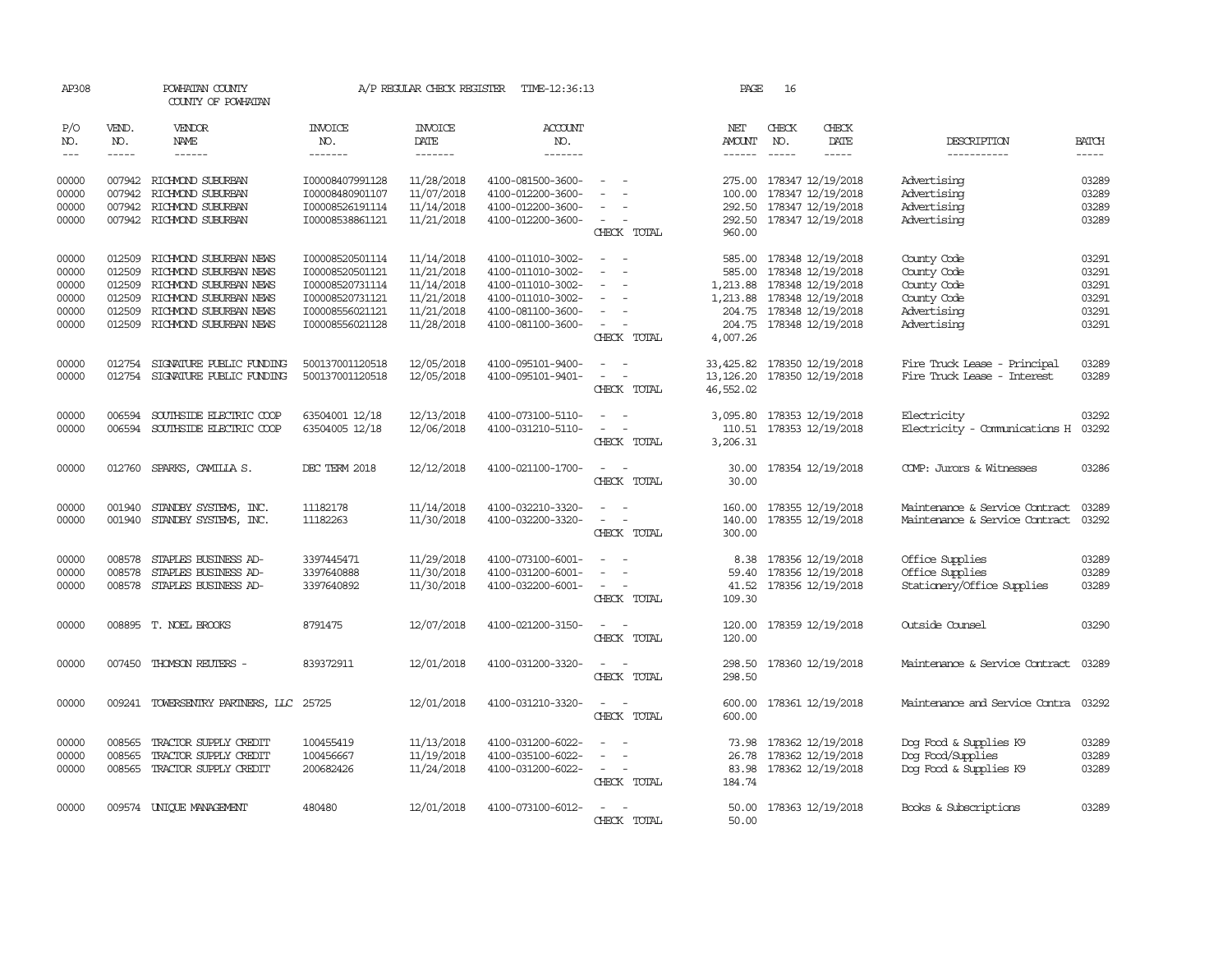| AP308                       |                             | POWHATAN COUNTY<br>COUNTY OF POWHATAN          |                           | A/P REGULAR CHECK REGISTER        | TIME-12:36:13                          |                                                                     | PAGE                                  | 16                            |                                        |                                             |                       |
|-----------------------------|-----------------------------|------------------------------------------------|---------------------------|-----------------------------------|----------------------------------------|---------------------------------------------------------------------|---------------------------------------|-------------------------------|----------------------------------------|---------------------------------------------|-----------------------|
| P/O<br>NO.<br>$\frac{1}{2}$ | VEND.<br>NO.<br>$- - - - -$ | VENDOR<br>NAME<br>$- - - - - -$                | INVOICE<br>NO.<br>------- | <b>INVOICE</b><br>DATE<br>------- | <b>ACCOUNT</b><br>NO.<br>-------       |                                                                     | NET<br><b>AMOUNT</b><br>$- - - - - -$ | CHECK<br>NO.<br>$\frac{1}{2}$ | CHECK<br>DATE<br>$- - - - -$           | DESCRIPTION<br>-----------                  | <b>BATCH</b><br>----- |
| 00000                       | 007942                      | RICHMOND SUBURBAN                              | I00008407991128           | 11/28/2018                        | 4100-081500-3600-                      |                                                                     | 275.00                                |                               | 178347 12/19/2018                      | Advertising                                 | 03289                 |
| 00000                       | 007942                      | RICHMOND SUBURBAN                              | I00008480901107           | 11/07/2018                        | 4100-012200-3600-                      |                                                                     | 100.00                                |                               | 178347 12/19/2018                      | Advertising                                 | 03289                 |
| 00000                       | 007942                      | RICHMOND SUBURBAN                              | 100008526191114           | 11/14/2018                        | 4100-012200-3600-                      | $\equiv$                                                            |                                       |                               | 292.50 178347 12/19/2018               | Advertising                                 | 03289                 |
| 00000                       |                             | 007942 RICHMOND SUBURBAN                       | I00008538861121           | 11/21/2018                        | 4100-012200-3600-                      | $\sim$<br>CHECK TOTAL                                               | 292.50<br>960.00                      |                               | 178347 12/19/2018                      | Advertising                                 | 03289                 |
| 00000                       | 012509                      | RICHMOND SUBURBAN NEWS                         | I00008520501114           | 11/14/2018                        | 4100-011010-3002-                      | $\sim$                                                              |                                       |                               | 585.00 178348 12/19/2018               | County Code                                 | 03291                 |
| 00000                       | 012509                      | RICHMOND SUBURBAN NEWS                         | I00008520501121           | 11/21/2018                        | 4100-011010-3002-                      |                                                                     | 585.00                                |                               | 178348 12/19/2018                      | County Code                                 | 03291                 |
| 00000                       | 012509                      | RICHMOND SUBURBAN NEWS                         | I00008520731114           | 11/14/2018                        | 4100-011010-3002-                      | $\sim$                                                              | 1,213.88                              |                               | 178348 12/19/2018                      | County Code                                 | 03291                 |
| 00000                       | 012509                      | RICHMOND SUBURBAN NEWS                         | I00008520731121           | 11/21/2018                        | 4100-011010-3002-                      | $\equiv$                                                            | 1,213.88                              |                               | 178348 12/19/2018                      | County Code                                 | 03291                 |
| 00000                       | 012509                      | RICHMOND SUBURBAN NEWS                         | 100008556021121           | 11/21/2018                        | 4100-081100-3600-                      |                                                                     | 204.75                                |                               | 178348 12/19/2018                      | Advertising                                 | 03291                 |
| 00000                       | 012509                      | RICHMOND SUBURBAN NEWS                         | I00008556021128           | 11/28/2018                        | 4100-081100-3600-                      | CHECK TOTAL                                                         | 204.75<br>4,007.26                    |                               | 178348 12/19/2018                      | Advertising                                 | 03291                 |
| 00000                       | 012754                      | SIGNATURE PUBLIC FUNDING                       | 500137001120518           | 12/05/2018                        | 4100-095101-9400-                      |                                                                     | 33,425.82                             |                               | 178350 12/19/2018                      | Fire Truck Lease - Principal                | 03289                 |
| 00000                       | 012754                      | SIGNATURE PUBLIC FUNDING                       | 500137001120518           | 12/05/2018                        | 4100-095101-9401-                      | $\sim$<br>$\overline{\phantom{0}}$                                  | 13, 126.20                            |                               | 178350 12/19/2018                      | Fire Truck Lease - Interest                 | 03289                 |
|                             |                             |                                                |                           |                                   |                                        | CHECK TOTAL                                                         | 46,552.02                             |                               |                                        |                                             |                       |
| 00000                       | 006594                      | SOUTHSIDE ELECTRIC COOP                        | 63504001 12/18            | 12/13/2018                        | 4100-073100-5110-                      | $\equiv$                                                            | 3,095.80                              |                               | 178353 12/19/2018                      | Electricity                                 | 03292                 |
| 00000                       | 006594                      | SOUTHSIDE ELECTRIC COOP                        | 63504005 12/18            | 12/06/2018                        | 4100-031210-5110-                      | $\sim$                                                              | 110.51                                |                               | 178353 12/19/2018                      | Electricity - Comunications H               | 03292                 |
|                             |                             |                                                |                           |                                   |                                        | CHECK TOTAL                                                         | 3,206.31                              |                               |                                        |                                             |                       |
| 00000                       | 012760                      | SPARKS, CAMILLA S.                             | DEC TERM 2018             | 12/12/2018                        | 4100-021100-1700-                      | $\overline{\phantom{a}}$<br>$\overline{\phantom{a}}$<br>CHECK TOTAL | 30.00<br>30.00                        |                               | 178354 12/19/2018                      | COMP: Jurors & Witnesses                    | 03286                 |
| 00000                       | 001940                      | STANDBY SYSTEMS, INC.                          | 11182178                  | 11/14/2018                        | 4100-032210-3320-                      |                                                                     | 160.00                                |                               | 178355 12/19/2018                      | Maintenance & Service Contract              | 03289                 |
| 00000                       | 001940                      | STANDBY SYSTEMS, INC.                          | 11182263                  | 11/30/2018                        | 4100-032200-3320-                      | $\equiv$<br>$\sim$                                                  | 140.00                                |                               | 178355 12/19/2018                      | Maintenance & Service Contract              | 03292                 |
|                             |                             |                                                |                           |                                   |                                        | CHECK TOTAL                                                         | 300.00                                |                               |                                        |                                             |                       |
| 00000                       | 008578                      | STAPLES BUSINESS AD-                           | 3397445471                | 11/29/2018                        | 4100-073100-6001-                      |                                                                     | 8.38                                  |                               | 178356 12/19/2018                      | Office Supplies                             | 03289                 |
| 00000                       | 008578                      | STAPLES BUSINESS AD-                           | 3397640888                | 11/30/2018                        | 4100-031200-6001-                      |                                                                     | 59.40                                 |                               | 178356 12/19/2018                      | Office Supplies                             | 03289                 |
| 00000                       | 008578                      | STAPLES BUSINESS AD-                           | 3397640892                | 11/30/2018                        | 4100-032200-6001-                      | $\sim$                                                              | 41.52                                 |                               | 178356 12/19/2018                      | Stationery/Office Supplies                  | 03289                 |
|                             |                             |                                                |                           |                                   |                                        | CHECK TOTAL                                                         | 109.30                                |                               |                                        |                                             |                       |
| 00000                       |                             | 008895 T. NOEL BROOKS                          | 8791475                   | 12/07/2018                        | 4100-021200-3150-                      | $\sim$                                                              | 120.00                                |                               | 178359 12/19/2018                      | Outside Counsel                             | 03290                 |
|                             |                             |                                                |                           |                                   |                                        | CHECK TOTAL                                                         | 120.00                                |                               |                                        |                                             |                       |
| 00000                       | 007450                      | THOMSON REUTERS -                              | 839372911                 | 12/01/2018                        | 4100-031200-3320-                      |                                                                     | 298.50                                |                               | 178360 12/19/2018                      | Maintenance & Service Contract              | 03289                 |
|                             |                             |                                                |                           |                                   |                                        | CHECK TOTAL                                                         | 298.50                                |                               |                                        |                                             |                       |
| 00000                       | 009241                      | TOWERSENTRY PARTNERS, LLC                      | 25725                     | 12/01/2018                        | 4100-031210-3320-                      | CHECK TOTAL                                                         | 600.00<br>600.00                      |                               | 178361 12/19/2018                      | Maintenance and Service Contra              | 03292                 |
|                             |                             |                                                |                           |                                   |                                        |                                                                     |                                       |                               |                                        |                                             |                       |
| 00000<br>00000              | 008565<br>008565            | TRACTOR SUPPLY CREDIT<br>TRACTOR SUPPLY CREDIT | 100455419<br>100456667    | 11/13/2018<br>11/19/2018          | 4100-031200-6022-<br>4100-035100-6022- |                                                                     | 73.98<br>26.78                        |                               | 178362 12/19/2018<br>178362 12/19/2018 | Dog Food & Supplies K9<br>Dog Food/Supplies | 03289<br>03289        |
| 00000                       |                             | 008565 TRACTOR SUPPLY CREDIT                   | 200682426                 | 11/24/2018                        | 4100-031200-6022-                      | $\sim$                                                              | 83.98                                 |                               | 178362 12/19/2018                      | Dog Food & Supplies K9                      | 03289                 |
|                             |                             |                                                |                           |                                   |                                        | CHECK TOTAL                                                         | 184.74                                |                               |                                        |                                             |                       |
|                             |                             |                                                |                           |                                   |                                        |                                                                     |                                       |                               |                                        |                                             |                       |
| 00000                       |                             | 009574 UNIQUE MANAGEMENT                       | 480480                    | 12/01/2018                        | 4100-073100-6012-                      |                                                                     | 50.00                                 |                               | 178363 12/19/2018                      | Books & Subscriptions                       | 03289                 |
|                             |                             |                                                |                           |                                   |                                        | CHECK TOTAL                                                         | 50.00                                 |                               |                                        |                                             |                       |
|                             |                             |                                                |                           |                                   |                                        |                                                                     |                                       |                               |                                        |                                             |                       |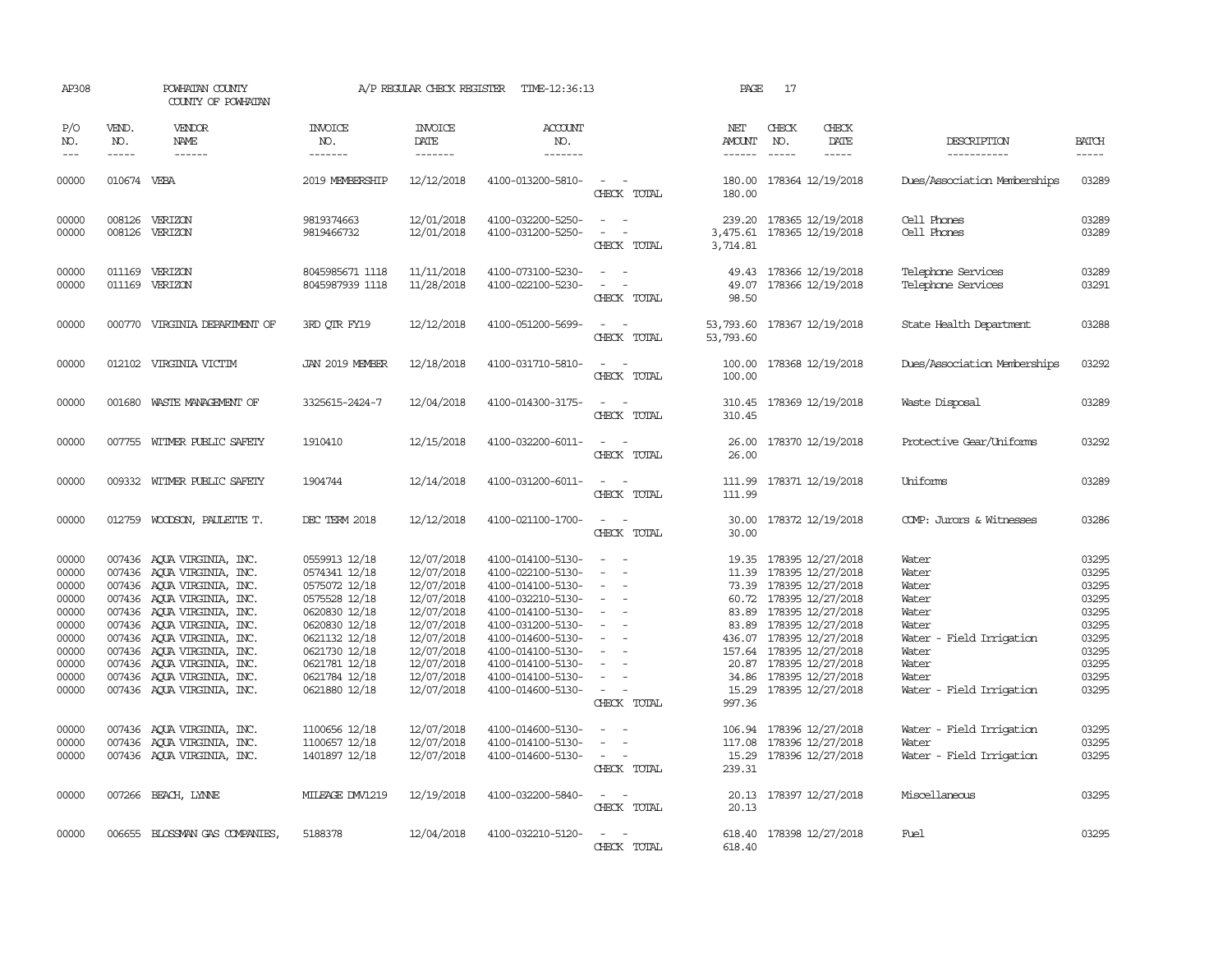| AP308                                                                                                             |                             | POWHATAN COUNTY<br>COUNTY OF POWHATAN                                                                                                                                                                                                                                                                                                                                                              |                                                                                                                                                                                                                           | A/P REGULAR CHECK REGISTER                                                                                                                                                         | TIME-12:36:13                                                                                                                                                                                                                                                                 |                                                                                                                                                                                                              | PAGE                                      | 17                            |                                                                                                                                                                                                                                                                                                                                                           |                                                                                                                                                                            |                                                                                                                   |
|-------------------------------------------------------------------------------------------------------------------|-----------------------------|----------------------------------------------------------------------------------------------------------------------------------------------------------------------------------------------------------------------------------------------------------------------------------------------------------------------------------------------------------------------------------------------------|---------------------------------------------------------------------------------------------------------------------------------------------------------------------------------------------------------------------------|------------------------------------------------------------------------------------------------------------------------------------------------------------------------------------|-------------------------------------------------------------------------------------------------------------------------------------------------------------------------------------------------------------------------------------------------------------------------------|--------------------------------------------------------------------------------------------------------------------------------------------------------------------------------------------------------------|-------------------------------------------|-------------------------------|-----------------------------------------------------------------------------------------------------------------------------------------------------------------------------------------------------------------------------------------------------------------------------------------------------------------------------------------------------------|----------------------------------------------------------------------------------------------------------------------------------------------------------------------------|-------------------------------------------------------------------------------------------------------------------|
| P/O<br>NO.<br>$- - -$                                                                                             | VEND.<br>NO.<br>$- - - - -$ | VENDOR<br>NAME<br>$- - - - - -$                                                                                                                                                                                                                                                                                                                                                                    | <b>INVOICE</b><br>NO.<br>-------                                                                                                                                                                                          | <b>INVOICE</b><br>DATE<br>$- - - - - - -$                                                                                                                                          | <b>ACCOUNT</b><br>NO.<br>--------                                                                                                                                                                                                                                             |                                                                                                                                                                                                              | NET<br>AMOUNT<br>$- - - - - -$            | CHECK<br>NO.<br>$\frac{1}{2}$ | CHECK<br>DATE<br>$- - - - -$                                                                                                                                                                                                                                                                                                                              | DESCRIPTION<br>-----------                                                                                                                                                 | <b>BATCH</b><br>$- - - - -$                                                                                       |
| 00000                                                                                                             | 010674 VEBA                 |                                                                                                                                                                                                                                                                                                                                                                                                    | 2019 MEMBERSHIP                                                                                                                                                                                                           | 12/12/2018                                                                                                                                                                         | 4100-013200-5810-                                                                                                                                                                                                                                                             | $\sim$ $ \sim$<br>CHECK TOTAL                                                                                                                                                                                | 180.00                                    |                               | 180.00 178364 12/19/2018                                                                                                                                                                                                                                                                                                                                  | Dues/Association Memberships                                                                                                                                               | 03289                                                                                                             |
| 00000<br>00000                                                                                                    | 008126                      | 008126 VERIZON<br>VERIZON                                                                                                                                                                                                                                                                                                                                                                          | 9819374663<br>9819466732                                                                                                                                                                                                  | 12/01/2018<br>12/01/2018                                                                                                                                                           | 4100-032200-5250-<br>4100-031200-5250-                                                                                                                                                                                                                                        | $\equiv$<br>$\sim$<br>$\sim$<br>CHECK TOTAL                                                                                                                                                                  | 239.20<br>3,475.61<br>3,714.81            |                               | 178365 12/19/2018<br>178365 12/19/2018                                                                                                                                                                                                                                                                                                                    | Cell Phones<br>Cell Phones                                                                                                                                                 | 03289<br>03289                                                                                                    |
| 00000<br>00000                                                                                                    | 011169                      | 011169 VERIZON<br>VERIZON                                                                                                                                                                                                                                                                                                                                                                          | 8045985671 1118<br>8045987939 1118                                                                                                                                                                                        | 11/11/2018<br>11/28/2018                                                                                                                                                           | 4100-073100-5230-<br>4100-022100-5230-                                                                                                                                                                                                                                        | $\sim$<br>$\equiv$<br>CHECK TOTAL                                                                                                                                                                            | 49.07<br>98.50                            |                               | 49.43 178366 12/19/2018<br>178366 12/19/2018                                                                                                                                                                                                                                                                                                              | Telephone Services<br>Telephone Services                                                                                                                                   | 03289<br>03291                                                                                                    |
| 00000                                                                                                             |                             | 000770 VIRGINIA DEPARIMENT OF                                                                                                                                                                                                                                                                                                                                                                      | 3RD QTR FY19                                                                                                                                                                                                              | 12/12/2018                                                                                                                                                                         | 4100-051200-5699-                                                                                                                                                                                                                                                             | $ -$<br>CHECK TOTAL                                                                                                                                                                                          | 53, 793.60 178367 12/19/2018<br>53,793.60 |                               |                                                                                                                                                                                                                                                                                                                                                           | State Health Department                                                                                                                                                    | 03288                                                                                                             |
| 00000                                                                                                             |                             | 012102 VIRGINIA VICTIM                                                                                                                                                                                                                                                                                                                                                                             | JAN 2019 MEMBER                                                                                                                                                                                                           | 12/18/2018                                                                                                                                                                         | 4100-031710-5810-                                                                                                                                                                                                                                                             | $\sim$<br>$\sim$<br>CHECK TOTAL                                                                                                                                                                              | 100.00<br>100.00                          |                               | 178368 12/19/2018                                                                                                                                                                                                                                                                                                                                         | Dues/Association Memberships                                                                                                                                               | 03292                                                                                                             |
| 00000                                                                                                             |                             | 001680 WASTE MANAGEMENT OF                                                                                                                                                                                                                                                                                                                                                                         | 3325615-2424-7                                                                                                                                                                                                            | 12/04/2018                                                                                                                                                                         | 4100-014300-3175-                                                                                                                                                                                                                                                             | CHECK TOTAL                                                                                                                                                                                                  | 310.45                                    |                               | 310.45 178369 12/19/2018                                                                                                                                                                                                                                                                                                                                  | Waste Disposal                                                                                                                                                             | 03289                                                                                                             |
| 00000                                                                                                             |                             | 007755 WITMER PUBLIC SAFETY                                                                                                                                                                                                                                                                                                                                                                        | 1910410                                                                                                                                                                                                                   | 12/15/2018                                                                                                                                                                         | 4100-032200-6011-                                                                                                                                                                                                                                                             | $\sim$<br>CHECK TOTAL                                                                                                                                                                                        | 26.00                                     |                               | 26.00 178370 12/19/2018                                                                                                                                                                                                                                                                                                                                   | Protective Gear/Uniforms                                                                                                                                                   | 03292                                                                                                             |
| 00000                                                                                                             |                             | 009332 WITMER PUBLIC SAFETY                                                                                                                                                                                                                                                                                                                                                                        | 1904744                                                                                                                                                                                                                   | 12/14/2018                                                                                                                                                                         | 4100-031200-6011-                                                                                                                                                                                                                                                             | $\sim$<br>CHECK TOTAL                                                                                                                                                                                        | 111.99<br>111.99                          |                               | 178371 12/19/2018                                                                                                                                                                                                                                                                                                                                         | Uniforms                                                                                                                                                                   | 03289                                                                                                             |
| 00000                                                                                                             |                             | 012759 WOODSON, PAULETTE T.                                                                                                                                                                                                                                                                                                                                                                        | DEC TERM 2018                                                                                                                                                                                                             | 12/12/2018                                                                                                                                                                         | 4100-021100-1700-                                                                                                                                                                                                                                                             | $\overline{\phantom{a}}$<br>CHECK TOTAL                                                                                                                                                                      | 30.00<br>30.00                            |                               | 178372 12/19/2018                                                                                                                                                                                                                                                                                                                                         | COMP: Jurors & Witnesses                                                                                                                                                   | 03286                                                                                                             |
| 00000<br>00000<br>00000<br>00000<br>00000<br>00000<br>00000<br>00000<br>00000<br>00000<br>00000<br>00000<br>00000 |                             | 007436 AQUA VIRGINIA, INC.<br>007436 AQUA VIRGINIA, INC.<br>007436 AQUA VIRGINIA, INC.<br>007436 AQUA VIRGINIA, INC.<br>007436 AQUA VIRGINIA, INC.<br>007436 AQUA VIRGINIA, INC.<br>007436 AQUA VIRGINIA, INC.<br>007436 AQUA VIRGINIA, INC.<br>007436 AQUA VIRGINIA, INC.<br>007436 AQUA VIRGINIA, INC.<br>007436 AQUA VIRGINIA, INC.<br>007436 AQUA VIRGINIA, INC.<br>007436 AQUA VIRGINIA, INC. | 0559913 12/18<br>0574341 12/18<br>0575072 12/18<br>0575528 12/18<br>0620830 12/18<br>0620830 12/18<br>0621132 12/18<br>0621730 12/18<br>0621781 12/18<br>0621784 12/18<br>0621880 12/18<br>1100656 12/18<br>1100657 12/18 | 12/07/2018<br>12/07/2018<br>12/07/2018<br>12/07/2018<br>12/07/2018<br>12/07/2018<br>12/07/2018<br>12/07/2018<br>12/07/2018<br>12/07/2018<br>12/07/2018<br>12/07/2018<br>12/07/2018 | 4100-014100-5130-<br>4100-022100-5130-<br>4100-014100-5130-<br>4100-032210-5130-<br>4100-014100-5130-<br>4100-031200-5130-<br>4100-014600-5130-<br>4100-014100-5130-<br>4100-014100-5130-<br>4100-014100-5130-<br>4100-014600-5130-<br>4100-014600-5130-<br>4100-014100-5130- | $\sim$<br>$\sim$<br>$\sim$<br>$\sim$<br>$\sim$<br>$\sim$<br>$\overline{\phantom{a}}$<br>$\equiv$<br>$\sim$<br>$\overline{\phantom{a}}$<br>$\sim$ $ -$<br>CHECK TOTAL<br>$\overline{\phantom{a}}$<br>$\equiv$ | 11.39<br>997.36                           |                               | 19.35 178395 12/27/2018<br>178395 12/27/2018<br>73.39 178395 12/27/2018<br>60.72 178395 12/27/2018<br>83.89 178395 12/27/2018<br>83.89 178395 12/27/2018<br>436.07 178395 12/27/2018<br>157.64 178395 12/27/2018<br>20.87 178395 12/27/2018<br>34.86 178395 12/27/2018<br>15.29 178395 12/27/2018<br>106.94 178396 12/27/2018<br>117.08 178396 12/27/2018 | Water<br>Water<br>Water<br>Water<br>Water<br>Water<br>Water - Field Irrigation<br>Water<br>Water<br>Water<br>Water - Field Irrigation<br>Water - Field Irrigation<br>Water | 03295<br>03295<br>03295<br>03295<br>03295<br>03295<br>03295<br>03295<br>03295<br>03295<br>03295<br>03295<br>03295 |
| 00000                                                                                                             |                             | 007436 AQUA VIRGINIA, INC.                                                                                                                                                                                                                                                                                                                                                                         | 1401897 12/18                                                                                                                                                                                                             | 12/07/2018                                                                                                                                                                         | 4100-014600-5130-                                                                                                                                                                                                                                                             | $\sim$<br>CHECK TOTAL                                                                                                                                                                                        | 239.31                                    |                               | 15.29 178396 12/27/2018                                                                                                                                                                                                                                                                                                                                   | Water - Field Irrigation                                                                                                                                                   | 03295                                                                                                             |
| 00000                                                                                                             |                             | 007266 BEACH, LYNNE                                                                                                                                                                                                                                                                                                                                                                                | MILEAGE DW1219                                                                                                                                                                                                            | 12/19/2018                                                                                                                                                                         | 4100-032200-5840-                                                                                                                                                                                                                                                             | $\sim$<br>CHECK TOTAL                                                                                                                                                                                        | 20.13                                     |                               | 20.13 178397 12/27/2018                                                                                                                                                                                                                                                                                                                                   | Miscellaneous                                                                                                                                                              | 03295                                                                                                             |
| 00000                                                                                                             |                             | 006655 BLOSSMAN GAS COMPANIES,                                                                                                                                                                                                                                                                                                                                                                     | 5188378                                                                                                                                                                                                                   | 12/04/2018                                                                                                                                                                         | 4100-032210-5120-                                                                                                                                                                                                                                                             | $\sim$<br>CHECK TOTAL                                                                                                                                                                                        | 618.40                                    |                               | 618.40 178398 12/27/2018                                                                                                                                                                                                                                                                                                                                  | Fuel                                                                                                                                                                       | 03295                                                                                                             |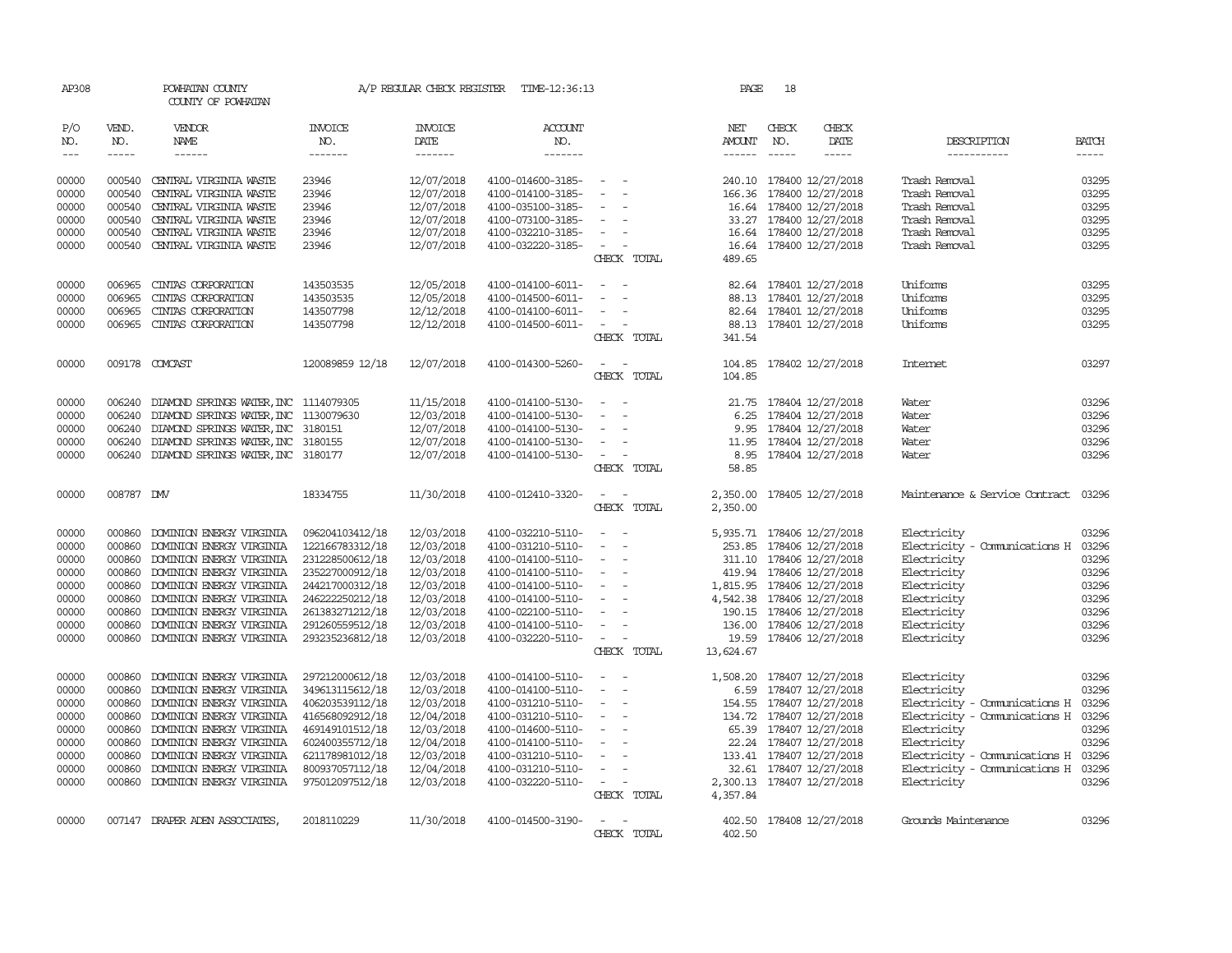| AP308                          |                  | POWHATAN COUNTY<br>COUNTY OF POWHATAN                |                                    | A/P REGULAR CHECK REGISTER | TIME-12:36:13                          |                                                                                                              | PAGE                                                                                                                                                                                                                                                                                                                                                                                                                                                                                       | 18           |                                             |                                |                |
|--------------------------------|------------------|------------------------------------------------------|------------------------------------|----------------------------|----------------------------------------|--------------------------------------------------------------------------------------------------------------|--------------------------------------------------------------------------------------------------------------------------------------------------------------------------------------------------------------------------------------------------------------------------------------------------------------------------------------------------------------------------------------------------------------------------------------------------------------------------------------------|--------------|---------------------------------------------|--------------------------------|----------------|
| P/O<br>NO.                     | VEND.<br>NO.     | VENDOR<br><b>NAME</b>                                | INVOICE<br>NO.                     | <b>INVOICE</b><br>DATE     | <b>ACCOUNT</b><br>NO.                  |                                                                                                              | NET<br>AMOUNT                                                                                                                                                                                                                                                                                                                                                                                                                                                                              | CHECK<br>NO. | CHECK<br>DATE                               | DESCRIPTION                    | <b>BATCH</b>   |
| $\!\!\!\!\!-\!-\!$ $\!\!\!-\!$ | $- - - - -$      | ------                                               | -------                            | -------                    | -------                                |                                                                                                              | $\begin{tabular}{ccccc} \multicolumn{2}{c} {\textbf{1}} & \multicolumn{2}{c} {\textbf{2}} & \multicolumn{2}{c} {\textbf{3}} & \multicolumn{2}{c} {\textbf{4}} & \multicolumn{2}{c} {\textbf{5}} & \multicolumn{2}{c} {\textbf{6}} & \multicolumn{2}{c} {\textbf{7}} & \multicolumn{2}{c} {\textbf{8}} & \multicolumn{2}{c} {\textbf{9}} & \multicolumn{2}{c} {\textbf{1}} & \multicolumn{2}{c} {\textbf{1}} & \multicolumn{2}{c} {\textbf{1}} & \multicolumn{2}{c} {\textbf{1}} & \multic$ | $- - - - -$  | -----                                       | -----------                    | $- - - - -$    |
| 00000                          | 000540           | CENTRAL VIRGINIA WASTE                               | 23946                              | 12/07/2018                 | 4100-014600-3185-                      | $\sim$ $-$                                                                                                   |                                                                                                                                                                                                                                                                                                                                                                                                                                                                                            |              | 240.10 178400 12/27/2018                    | Trash Removal                  | 03295          |
| 00000                          | 000540           | CENTRAL VIRGINIA WASTE                               | 23946                              | 12/07/2018                 | 4100-014100-3185-                      | $\overline{\phantom{a}}$                                                                                     | 166.36                                                                                                                                                                                                                                                                                                                                                                                                                                                                                     |              | 178400 12/27/2018                           | Trash Removal                  | 03295          |
| 00000                          | 000540           | CENTRAL VIRGINIA WASTE                               | 23946                              | 12/07/2018                 | 4100-035100-3185-                      |                                                                                                              |                                                                                                                                                                                                                                                                                                                                                                                                                                                                                            |              | 16.64 178400 12/27/2018                     | Trash Removal                  | 03295          |
| 00000                          | 000540           | CENTRAL VIRGINIA WASTE                               | 23946                              | 12/07/2018                 | 4100-073100-3185-                      | $\equiv$                                                                                                     |                                                                                                                                                                                                                                                                                                                                                                                                                                                                                            |              | 33.27 178400 12/27/2018                     | Trash Removal                  | 03295          |
| 00000                          | 000540           | CENTRAL VIRGINIA WASTE                               | 23946                              | 12/07/2018                 | 4100-032210-3185-                      | $\equiv$                                                                                                     |                                                                                                                                                                                                                                                                                                                                                                                                                                                                                            |              | 16.64 178400 12/27/2018                     | Trash Removal                  | 03295          |
| 00000                          | 000540           | CENTRAL VIRGINIA WASTE                               | 23946                              | 12/07/2018                 | 4100-032220-3185-                      | $\sim$                                                                                                       |                                                                                                                                                                                                                                                                                                                                                                                                                                                                                            |              | 16.64 178400 12/27/2018                     | Trash Removal                  | 03295          |
|                                |                  |                                                      |                                    |                            |                                        | CHECK TOTAL                                                                                                  | 489.65                                                                                                                                                                                                                                                                                                                                                                                                                                                                                     |              |                                             |                                |                |
| 00000                          | 006965           | CINIAS CORPORATION                                   | 143503535                          | 12/05/2018                 | 4100-014100-6011-                      |                                                                                                              |                                                                                                                                                                                                                                                                                                                                                                                                                                                                                            |              | 82.64 178401 12/27/2018                     | Uniforms                       | 03295          |
| 00000                          | 006965           | CINIAS CORPORATION                                   | 143503535                          | 12/05/2018                 | 4100-014500-6011-                      |                                                                                                              |                                                                                                                                                                                                                                                                                                                                                                                                                                                                                            |              | 88.13 178401 12/27/2018                     | Uniforms                       | 03295          |
| 00000                          | 006965           | CINIAS CORPORATION                                   | 143507798                          | 12/12/2018                 | 4100-014100-6011-                      | $\overline{\phantom{a}}$                                                                                     |                                                                                                                                                                                                                                                                                                                                                                                                                                                                                            |              | 82.64 178401 12/27/2018                     | Uniforms                       | 03295          |
| 00000                          | 006965           | CINIAS CORPORATION                                   | 143507798                          | 12/12/2018                 | 4100-014500-6011-                      | $\sim$                                                                                                       |                                                                                                                                                                                                                                                                                                                                                                                                                                                                                            |              | 88.13 178401 12/27/2018                     | Uniforms                       | 03295          |
|                                |                  |                                                      |                                    |                            |                                        | CHECK TOTAL                                                                                                  | 341.54                                                                                                                                                                                                                                                                                                                                                                                                                                                                                     |              |                                             |                                |                |
| 00000                          |                  | 009178 COMCAST                                       | 120089859 12/18                    | 12/07/2018                 | 4100-014300-5260-                      | $\sim$<br>- -                                                                                                | 104.85                                                                                                                                                                                                                                                                                                                                                                                                                                                                                     |              | 178402 12/27/2018                           | Internet                       | 03297          |
|                                |                  |                                                      |                                    |                            |                                        | CHECK TOTAL                                                                                                  | 104.85                                                                                                                                                                                                                                                                                                                                                                                                                                                                                     |              |                                             |                                |                |
| 00000                          | 006240           | DIAMOND SPRINGS WATER, INC 1114079305                |                                    | 11/15/2018                 | 4100-014100-5130-                      | $\frac{1}{2} \left( \frac{1}{2} \right) \left( \frac{1}{2} \right) = \frac{1}{2} \left( \frac{1}{2} \right)$ |                                                                                                                                                                                                                                                                                                                                                                                                                                                                                            |              | 21.75 178404 12/27/2018                     | Water                          | 03296          |
| 00000                          | 006240           | DIAMOND SPRINGS WATER, INC                           | 1130079630                         | 12/03/2018                 | 4100-014100-5130-                      | $\overline{\phantom{a}}$                                                                                     | 6.25                                                                                                                                                                                                                                                                                                                                                                                                                                                                                       |              | 178404 12/27/2018                           | Water                          | 03296          |
| 00000                          | 006240           | DIAMOND SPRINGS WATER, INC                           | 3180151                            | 12/07/2018                 | 4100-014100-5130-                      | $\overline{\phantom{a}}$                                                                                     | 9.95                                                                                                                                                                                                                                                                                                                                                                                                                                                                                       |              | 178404 12/27/2018                           | Water                          | 03296          |
| 00000                          | 006240           | DIAMOND SPRINGS WATER, INC                           | 3180155                            | 12/07/2018                 | 4100-014100-5130-                      | $\sim$                                                                                                       | 11.95                                                                                                                                                                                                                                                                                                                                                                                                                                                                                      |              | 178404 12/27/2018                           | Water                          | 03296          |
| 00000                          | 006240           | DIAMOND SPRINGS WATER, INC 3180177                   |                                    | 12/07/2018                 | 4100-014100-5130-                      | $\sim$                                                                                                       | 8.95                                                                                                                                                                                                                                                                                                                                                                                                                                                                                       |              | 178404 12/27/2018                           | Water                          | 03296          |
|                                |                  |                                                      |                                    |                            |                                        | CHECK TOTAL                                                                                                  | 58.85                                                                                                                                                                                                                                                                                                                                                                                                                                                                                      |              |                                             |                                |                |
| 00000                          | 008787 DW        |                                                      | 18334755                           | 11/30/2018                 | 4100-012410-3320-                      | $\sim$ 10 $\sim$ 10 $\sim$                                                                                   | 2,350.00                                                                                                                                                                                                                                                                                                                                                                                                                                                                                   |              | 178405 12/27/2018                           | Maintenance & Service Contract | 03296          |
|                                |                  |                                                      |                                    |                            |                                        | CHECK TOTAL                                                                                                  | 2,350.00                                                                                                                                                                                                                                                                                                                                                                                                                                                                                   |              |                                             |                                |                |
| 00000                          | 000860           | DOMINION ENERGY VIRGINIA                             | 096204103412/18                    | 12/03/2018                 | 4100-032210-5110-                      | $\sim$                                                                                                       |                                                                                                                                                                                                                                                                                                                                                                                                                                                                                            |              | 5,935.71 178406 12/27/2018                  | Electricity                    | 03296          |
| 00000                          | 000860           | DOMINION ENERGY VIRGINIA                             | 122166783312/18                    | 12/03/2018                 | 4100-031210-5110-                      | $\overline{\phantom{a}}$                                                                                     |                                                                                                                                                                                                                                                                                                                                                                                                                                                                                            |              | 253.85 178406 12/27/2018                    | Electricity - Comunications H  | 03296          |
| 00000                          | 000860           | DOMINION ENERGY VIRGINIA                             | 231228500612/18                    | 12/03/2018                 | 4100-014100-5110-                      | $\overline{\phantom{a}}$                                                                                     |                                                                                                                                                                                                                                                                                                                                                                                                                                                                                            |              | 311.10 178406 12/27/2018                    | Electricity                    | 03296          |
| 00000                          | 000860           | DOMINION ENERGY VIRGINIA                             | 235227000912/18                    | 12/03/2018                 | 4100-014100-5110-                      | $\overline{\phantom{a}}$                                                                                     |                                                                                                                                                                                                                                                                                                                                                                                                                                                                                            |              | 419.94 178406 12/27/2018                    | Electricity                    | 03296          |
| 00000                          | 000860           | DOMINION ENERGY VIRGINIA                             | 244217000312/18                    | 12/03/2018                 | 4100-014100-5110-                      | $\overline{\phantom{a}}$                                                                                     |                                                                                                                                                                                                                                                                                                                                                                                                                                                                                            |              | 1,815.95 178406 12/27/2018                  | Electricity                    | 03296          |
| 00000                          | 000860           | DOMINION ENERGY VIRGINIA                             | 246222250212/18                    | 12/03/2018                 | 4100-014100-5110-                      | $\sim$                                                                                                       |                                                                                                                                                                                                                                                                                                                                                                                                                                                                                            |              | 4,542.38 178406 12/27/2018                  | Electricity                    | 03296          |
| 00000                          | 000860           | DOMINION ENERGY VIRGINIA                             | 261383271212/18                    | 12/03/2018                 | 4100-022100-5110-                      | $\sim$                                                                                                       |                                                                                                                                                                                                                                                                                                                                                                                                                                                                                            |              | 190.15 178406 12/27/2018                    | Electricity                    | 03296          |
| 00000                          | 000860           | DOMINION ENERGY VIRGINIA                             | 291260559512/18                    | 12/03/2018                 | 4100-014100-5110-                      | $\sim$                                                                                                       |                                                                                                                                                                                                                                                                                                                                                                                                                                                                                            |              | 136.00 178406 12/27/2018                    | Electricity                    | 03296          |
| 00000                          | 000860           | DOMINION ENERGY VIRGINIA                             | 293235236812/18                    | 12/03/2018                 | 4100-032220-5110-                      | $\sim$<br>$\overline{\phantom{a}}$<br>CHECK TOTAL                                                            | 13,624.67                                                                                                                                                                                                                                                                                                                                                                                                                                                                                  |              | 19.59 178406 12/27/2018                     | Electricity                    | 03296          |
|                                |                  |                                                      |                                    |                            |                                        | $\sim$                                                                                                       |                                                                                                                                                                                                                                                                                                                                                                                                                                                                                            |              |                                             |                                |                |
| 00000<br>00000                 | 000860<br>000860 | DOMINION ENERGY VIRGINIA<br>DOMINION ENERGY VIRGINIA | 297212000612/18<br>349613115612/18 | 12/03/2018<br>12/03/2018   | 4100-014100-5110-<br>4100-014100-5110- | $\overline{\phantom{a}}$                                                                                     | 1,508.20                                                                                                                                                                                                                                                                                                                                                                                                                                                                                   |              | 178407 12/27/2018<br>6.59 178407 12/27/2018 | Electricity<br>Electricity     | 03296<br>03296 |
| 00000                          | 000860           | DOMINION ENERGY VIRGINIA                             | 406203539112/18                    | 12/03/2018                 | 4100-031210-5110-                      | $\overline{\phantom{a}}$                                                                                     |                                                                                                                                                                                                                                                                                                                                                                                                                                                                                            |              | 154.55 178407 12/27/2018                    | Electricity - Comunications H  | 03296          |
| 00000                          | 000860           | DOMINION ENERGY VIRGINIA                             | 416568092912/18                    | 12/04/2018                 | 4100-031210-5110-                      | $\sim$                                                                                                       |                                                                                                                                                                                                                                                                                                                                                                                                                                                                                            |              | 134.72 178407 12/27/2018                    | Electricity - Comunications H  | 03296          |
| 00000                          | 000860           | DOMINION ENERGY VIRGINIA                             | 469149101512/18                    | 12/03/2018                 | 4100-014600-5110-                      | $\overline{\phantom{a}}$                                                                                     | 65.39                                                                                                                                                                                                                                                                                                                                                                                                                                                                                      |              | 178407 12/27/2018                           | Electricity                    | 03296          |
| 00000                          | 000860           | DOMINION ENERGY VIRGINIA                             | 602400355712/18                    | 12/04/2018                 | 4100-014100-5110-                      |                                                                                                              |                                                                                                                                                                                                                                                                                                                                                                                                                                                                                            |              | 22.24 178407 12/27/2018                     | Electricity                    | 03296          |
| 00000                          | 000860           | DOMINION ENERGY VIRGINIA                             | 621178981012/18                    | 12/03/2018                 | 4100-031210-5110-                      | $\overline{\phantom{a}}$                                                                                     |                                                                                                                                                                                                                                                                                                                                                                                                                                                                                            |              | 133.41 178407 12/27/2018                    | Electricity - Comunications H  | 03296          |
| 00000                          | 000860           | DOMINION ENERGY VIRGINIA                             | 800937057112/18                    | 12/04/2018                 | 4100-031210-5110-                      | $\overline{\phantom{a}}$                                                                                     | 32.61                                                                                                                                                                                                                                                                                                                                                                                                                                                                                      |              | 178407 12/27/2018                           | Electricity - Comunications H  | 03296          |
| 00000                          | 000860           | DOMINION ENERGY VIRGINIA                             | 975012097512/18                    | 12/03/2018                 | 4100-032220-5110-                      | $\sim$                                                                                                       |                                                                                                                                                                                                                                                                                                                                                                                                                                                                                            |              | 2,300.13 178407 12/27/2018                  | Electricity                    | 03296          |
|                                |                  |                                                      |                                    |                            |                                        | CHECK TOTAL                                                                                                  | 4,357.84                                                                                                                                                                                                                                                                                                                                                                                                                                                                                   |              |                                             |                                |                |
| 00000                          |                  | 007147 DRAPER ADEN ASSOCIATES,                       | 2018110229                         | 11/30/2018                 | 4100-014500-3190-                      | $\sim$                                                                                                       |                                                                                                                                                                                                                                                                                                                                                                                                                                                                                            |              | 402.50 178408 12/27/2018                    | Grounds Maintenance            | 03296          |
|                                |                  |                                                      |                                    |                            |                                        | CHECK TOTAL                                                                                                  | 402.50                                                                                                                                                                                                                                                                                                                                                                                                                                                                                     |              |                                             |                                |                |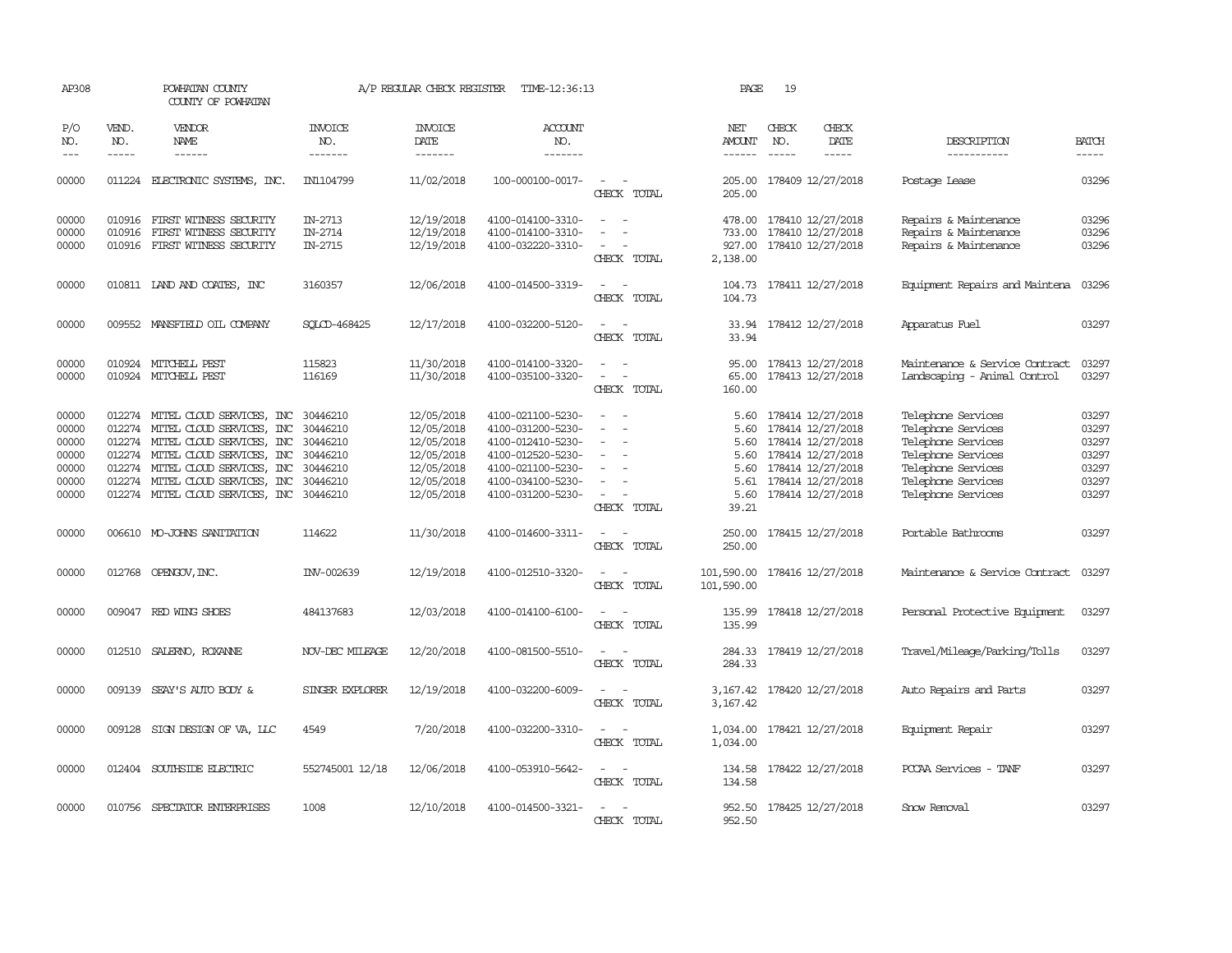| AP308                                                       |                             | POWHATAN COUNTY<br>COUNTY OF POWHATAN                                                                                                                                                                                                                    |                                                                                  | A/P REGULAR CHECK REGISTER                                                                     | TIME-12:36:13                                                                                                                                   |                                                                                                                             | PAGE                                                  | 19                            |                                                                                                                                                      |                                                                                                                                                        |                                                                                                                                                                                                                                                                                                                                                                                                                                                                                                     |
|-------------------------------------------------------------|-----------------------------|----------------------------------------------------------------------------------------------------------------------------------------------------------------------------------------------------------------------------------------------------------|----------------------------------------------------------------------------------|------------------------------------------------------------------------------------------------|-------------------------------------------------------------------------------------------------------------------------------------------------|-----------------------------------------------------------------------------------------------------------------------------|-------------------------------------------------------|-------------------------------|------------------------------------------------------------------------------------------------------------------------------------------------------|--------------------------------------------------------------------------------------------------------------------------------------------------------|-----------------------------------------------------------------------------------------------------------------------------------------------------------------------------------------------------------------------------------------------------------------------------------------------------------------------------------------------------------------------------------------------------------------------------------------------------------------------------------------------------|
| P/O<br>NO.<br>$\frac{1}{2}$                                 | VEND.<br>NO.<br>$- - - - -$ | <b>VENDOR</b><br><b>NAME</b><br>------                                                                                                                                                                                                                   | <b>INVOICE</b><br>NO.<br>-------                                                 | <b>INVOICE</b><br><b>DATE</b><br>-------                                                       | <b>ACCOUNT</b><br>NO.<br>-------                                                                                                                |                                                                                                                             | NET<br>AMOUNT<br>$- - - - - -$                        | CHECK<br>NO.<br>$\frac{1}{2}$ | CHECK<br><b>DATE</b><br>-----                                                                                                                        | DESCRIPTION<br>-----------                                                                                                                             | <b>BATCH</b><br>$\begin{tabular}{ccccc} \multicolumn{2}{c}{} & \multicolumn{2}{c}{} & \multicolumn{2}{c}{} & \multicolumn{2}{c}{} & \multicolumn{2}{c}{} & \multicolumn{2}{c}{} & \multicolumn{2}{c}{} & \multicolumn{2}{c}{} & \multicolumn{2}{c}{} & \multicolumn{2}{c}{} & \multicolumn{2}{c}{} & \multicolumn{2}{c}{} & \multicolumn{2}{c}{} & \multicolumn{2}{c}{} & \multicolumn{2}{c}{} & \multicolumn{2}{c}{} & \multicolumn{2}{c}{} & \multicolumn{2}{c}{} & \multicolumn{2}{c}{} & \mult$ |
| 00000                                                       | 011224                      | ELECTRONIC SYSTEMS, INC.                                                                                                                                                                                                                                 | IN1104799                                                                        | 11/02/2018                                                                                     | 100-000100-0017-                                                                                                                                | CHECK TOTAL                                                                                                                 | 205.00<br>205.00                                      |                               | 178409 12/27/2018                                                                                                                                    | Postage Lease                                                                                                                                          | 03296                                                                                                                                                                                                                                                                                                                                                                                                                                                                                               |
| 00000<br>00000<br>00000                                     | 010916                      | 010916 FIRST WITNESS SECURITY<br>FIRST WITNESS SECURITY<br>010916 FIRST WITNESS SECURITY                                                                                                                                                                 | IN-2713<br>IN-2714<br>IN-2715                                                    | 12/19/2018<br>12/19/2018<br>12/19/2018                                                         | 4100-014100-3310-<br>4100-014100-3310-<br>4100-032220-3310-                                                                                     | $\sim$<br>CHECK TOTAL                                                                                                       | 478.00<br>927.00<br>2,138.00                          |                               | 178410 12/27/2018<br>733.00 178410 12/27/2018<br>178410 12/27/2018                                                                                   | Repairs & Maintenance<br>Repairs & Maintenance<br>Repairs & Maintenance                                                                                | 03296<br>03296<br>03296                                                                                                                                                                                                                                                                                                                                                                                                                                                                             |
| 00000                                                       |                             | 010811 LAND AND COATES, INC                                                                                                                                                                                                                              | 3160357                                                                          | 12/06/2018                                                                                     | 4100-014500-3319-                                                                                                                               | $\overline{\phantom{a}}$<br>$\overline{\phantom{a}}$<br>CHECK TOTAL                                                         | 104.73<br>104.73                                      |                               | 178411 12/27/2018                                                                                                                                    | Equipment Repairs and Maintena                                                                                                                         | 03296                                                                                                                                                                                                                                                                                                                                                                                                                                                                                               |
| 00000                                                       |                             | 009552 MANSFIELD OIL COMPANY                                                                                                                                                                                                                             | SOLCD-468425                                                                     | 12/17/2018                                                                                     | 4100-032200-5120-                                                                                                                               | $\frac{1}{2} \left( \frac{1}{2} \right) \left( \frac{1}{2} \right) = \frac{1}{2} \left( \frac{1}{2} \right)$<br>CHECK TOTAL | 33.94<br>33.94                                        |                               | 178412 12/27/2018                                                                                                                                    | Apparatus Fuel                                                                                                                                         | 03297                                                                                                                                                                                                                                                                                                                                                                                                                                                                                               |
| 00000<br>00000                                              |                             | 010924 MITCHELL PEST<br>010924 MITCHELL PEST                                                                                                                                                                                                             | 115823<br>116169                                                                 | 11/30/2018<br>11/30/2018                                                                       | 4100-014100-3320-<br>4100-035100-3320-                                                                                                          | $\sim$<br>$\overline{\phantom{0}}$<br>CHECK TOTAL                                                                           | 95.00<br>65.00<br>160.00                              |                               | 178413 12/27/2018<br>178413 12/27/2018                                                                                                               | Maintenance & Service Contract<br>Landscaping - Animal Control                                                                                         | 03297<br>03297                                                                                                                                                                                                                                                                                                                                                                                                                                                                                      |
| 00000<br>00000<br>00000<br>00000<br>00000<br>00000<br>00000 |                             | 012274 MITEL CLOUD SERVICES, INC<br>012274 MITEL CLOUD SERVICES, INC<br>012274 MITEL CLOUD SERVICES, INC<br>012274 MITEL CLOUD SERVICES, INC<br>012274 MITEL CLOUD SERVICES, INC<br>012274 MITEL CLOUD SERVICES, INC<br>012274 MITEL CLOUD SERVICES, INC | 30446210<br>30446210<br>30446210<br>30446210<br>30446210<br>30446210<br>30446210 | 12/05/2018<br>12/05/2018<br>12/05/2018<br>12/05/2018<br>12/05/2018<br>12/05/2018<br>12/05/2018 | 4100-021100-5230-<br>4100-031200-5230-<br>4100-012410-5230-<br>4100-012520-5230-<br>4100-021100-5230-<br>4100-034100-5230-<br>4100-031200-5230- | $\equiv$<br>$\overline{a}$<br>$\sim$<br>$\overline{\phantom{a}}$<br>CHECK TOTAL                                             | 5.60<br>5.60<br>5.60<br>5.60<br>5.61<br>5.60<br>39.21 |                               | 5.60 178414 12/27/2018<br>178414 12/27/2018<br>178414 12/27/2018<br>178414 12/27/2018<br>178414 12/27/2018<br>178414 12/27/2018<br>178414 12/27/2018 | Telephone Services<br>Telephone Services<br>Telephone Services<br>Telephone Services<br>Telephone Services<br>Telephone Services<br>Telephone Services | 03297<br>03297<br>03297<br>03297<br>03297<br>03297<br>03297                                                                                                                                                                                                                                                                                                                                                                                                                                         |
| 00000                                                       |                             | 006610 MO-JOHNS SANITATION                                                                                                                                                                                                                               | 114622                                                                           | 11/30/2018                                                                                     | 4100-014600-3311-                                                                                                                               | $\sim$<br>$\sim$<br>CHECK TOTAL                                                                                             | 250.00<br>250.00                                      |                               | 178415 12/27/2018                                                                                                                                    | Portable Bathrooms                                                                                                                                     | 03297                                                                                                                                                                                                                                                                                                                                                                                                                                                                                               |
| 00000                                                       |                             | 012768 OPENGOV, INC.                                                                                                                                                                                                                                     | INV-002639                                                                       | 12/19/2018                                                                                     | 4100-012510-3320-                                                                                                                               | $\sim$ $ \sim$<br>CHECK TOTAL                                                                                               | 101,590.00<br>101,590.00                              |                               | 178416 12/27/2018                                                                                                                                    | Maintenance & Service Contract                                                                                                                         | 03297                                                                                                                                                                                                                                                                                                                                                                                                                                                                                               |
| 00000                                                       |                             | 009047 RED WING SHOES                                                                                                                                                                                                                                    | 484137683                                                                        | 12/03/2018                                                                                     | 4100-014100-6100-                                                                                                                               | $\sim$<br>CHECK TOTAL                                                                                                       | 135.99<br>135.99                                      |                               | 178418 12/27/2018                                                                                                                                    | Personal Protective Equipment                                                                                                                          | 03297                                                                                                                                                                                                                                                                                                                                                                                                                                                                                               |
| 00000                                                       |                             | 012510 SALERNO, ROXANNE                                                                                                                                                                                                                                  | NOV-DEC MILEAGE                                                                  | 12/20/2018                                                                                     | 4100-081500-5510-                                                                                                                               | $\sim$<br>CHECK TOTAL                                                                                                       | 284.33                                                |                               | 284.33 178419 12/27/2018                                                                                                                             | Travel/Mileage/Parking/Tolls                                                                                                                           | 03297                                                                                                                                                                                                                                                                                                                                                                                                                                                                                               |
| 00000                                                       |                             | 009139 SEAY'S AUTO BODY &                                                                                                                                                                                                                                | SINGER EXPLORER                                                                  | 12/19/2018                                                                                     | 4100-032200-6009-                                                                                                                               | $\sim$<br>CHECK TOTAL                                                                                                       | 3,167.42                                              |                               | 3, 167.42 178420 12/27/2018                                                                                                                          | Auto Repairs and Parts                                                                                                                                 | 03297                                                                                                                                                                                                                                                                                                                                                                                                                                                                                               |
| 00000                                                       |                             | 009128 SIGN DESIGN OF VA, LLC                                                                                                                                                                                                                            | 4549                                                                             | 7/20/2018                                                                                      | 4100-032200-3310-                                                                                                                               | $\overline{a}$<br>$\sim$<br>CHECK TOTAL                                                                                     | 1,034.00                                              |                               | 1,034.00 178421 12/27/2018                                                                                                                           | Equipment Repair                                                                                                                                       | 03297                                                                                                                                                                                                                                                                                                                                                                                                                                                                                               |
| 00000                                                       |                             | 012404 SOUTHSIDE ELECTRIC                                                                                                                                                                                                                                | 552745001 12/18                                                                  | 12/06/2018                                                                                     | 4100-053910-5642-                                                                                                                               | CHECK TOTAL                                                                                                                 | 134.58<br>134.58                                      |                               | 178422 12/27/2018                                                                                                                                    | PCCAA Services - TANF                                                                                                                                  | 03297                                                                                                                                                                                                                                                                                                                                                                                                                                                                                               |
| 00000                                                       |                             | 010756 SPECTATOR ENTERPRISES                                                                                                                                                                                                                             | 1008                                                                             | 12/10/2018                                                                                     | 4100-014500-3321-                                                                                                                               | CHECK TOTAL                                                                                                                 | 952.50<br>952.50                                      |                               | 178425 12/27/2018                                                                                                                                    | Snow Removal                                                                                                                                           | 03297                                                                                                                                                                                                                                                                                                                                                                                                                                                                                               |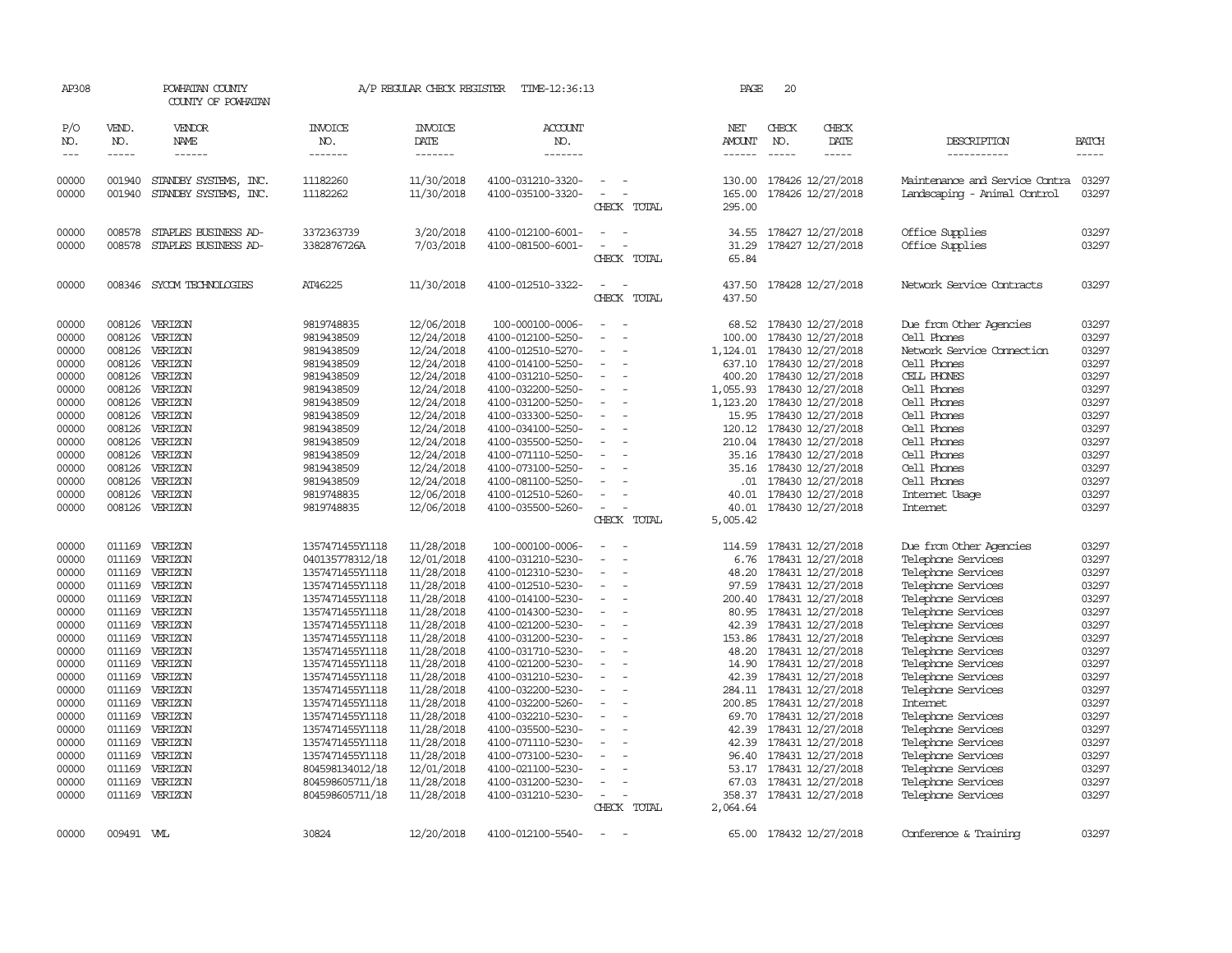| AP308                                                                                                                                                                            |                                                                                                                                                    | POWHATAN COUNTY<br>COUNTY OF POWHATAN                                                                                                                                                                                                                       |                                                                                                                                                                                                                                                                                                                                                                                          | A/P REGULAR CHECK REGISTER                                                                                                                                                                                                                                                           | TIME-12:36:13                                                                                                                                                                                                                                                                                                                                                                                                                   |                                                                                                                                                                          | PAGE                                                                                                                                                                   | 20                                                                                                                                                                                                                                                                                                                                                                                                                                                          |                                                                                                                                                                                                                                                                                                                                                                                                                                                 |                                                                                                                                                                                  |
|----------------------------------------------------------------------------------------------------------------------------------------------------------------------------------|----------------------------------------------------------------------------------------------------------------------------------------------------|-------------------------------------------------------------------------------------------------------------------------------------------------------------------------------------------------------------------------------------------------------------|------------------------------------------------------------------------------------------------------------------------------------------------------------------------------------------------------------------------------------------------------------------------------------------------------------------------------------------------------------------------------------------|--------------------------------------------------------------------------------------------------------------------------------------------------------------------------------------------------------------------------------------------------------------------------------------|---------------------------------------------------------------------------------------------------------------------------------------------------------------------------------------------------------------------------------------------------------------------------------------------------------------------------------------------------------------------------------------------------------------------------------|--------------------------------------------------------------------------------------------------------------------------------------------------------------------------|------------------------------------------------------------------------------------------------------------------------------------------------------------------------|-------------------------------------------------------------------------------------------------------------------------------------------------------------------------------------------------------------------------------------------------------------------------------------------------------------------------------------------------------------------------------------------------------------------------------------------------------------|-------------------------------------------------------------------------------------------------------------------------------------------------------------------------------------------------------------------------------------------------------------------------------------------------------------------------------------------------------------------------------------------------------------------------------------------------|----------------------------------------------------------------------------------------------------------------------------------------------------------------------------------|
| P/O<br>NO.<br>$\frac{1}{2}$                                                                                                                                                      | VEND.<br>NO.<br>-----                                                                                                                              | VENDOR<br>NAME<br>------                                                                                                                                                                                                                                    | <b>INVOICE</b><br>NO.<br>-------                                                                                                                                                                                                                                                                                                                                                         | <b>INVOICE</b><br>DATE<br>-------                                                                                                                                                                                                                                                    | <b>ACCOUNT</b><br>NO.<br>-------                                                                                                                                                                                                                                                                                                                                                                                                |                                                                                                                                                                          | NET<br>AMOUNT<br>------                                                                                                                                                | CHECK<br>CHECK<br>NO.<br>DATE<br>$- - - - -$<br>$- - - - -$                                                                                                                                                                                                                                                                                                                                                                                                 | DESCRIPTION<br>-----------                                                                                                                                                                                                                                                                                                                                                                                                                      | <b>BATCH</b><br>-----                                                                                                                                                            |
| 00000<br>00000                                                                                                                                                                   | 001940<br>001940                                                                                                                                   | STANDBY SYSTEMS, INC.<br>STANDBY SYSTEMS, INC.                                                                                                                                                                                                              | 11182260<br>11182262                                                                                                                                                                                                                                                                                                                                                                     | 11/30/2018<br>11/30/2018                                                                                                                                                                                                                                                             | 4100-031210-3320-<br>4100-035100-3320-                                                                                                                                                                                                                                                                                                                                                                                          | $\overline{\phantom{a}}$<br>CHECK TOTAL                                                                                                                                  | 130.00<br>165.00<br>295.00                                                                                                                                             | 178426 12/27/2018<br>178426 12/27/2018                                                                                                                                                                                                                                                                                                                                                                                                                      | Maintenance and Service Contra<br>Landscaping - Animal Control                                                                                                                                                                                                                                                                                                                                                                                  | 03297<br>03297                                                                                                                                                                   |
| 00000<br>00000                                                                                                                                                                   | 008578<br>008578                                                                                                                                   | STAPLES BUSINESS AD-<br>STAPLES BUSINESS AD-                                                                                                                                                                                                                | 3372363739<br>3382876726A                                                                                                                                                                                                                                                                                                                                                                | 3/20/2018<br>7/03/2018                                                                                                                                                                                                                                                               | 4100-012100-6001-<br>4100-081500-6001-                                                                                                                                                                                                                                                                                                                                                                                          | CHECK TOTAL                                                                                                                                                              | 34.55<br>31.29<br>65.84                                                                                                                                                | 178427 12/27/2018<br>178427 12/27/2018                                                                                                                                                                                                                                                                                                                                                                                                                      | Office Supplies<br>Office Supplies                                                                                                                                                                                                                                                                                                                                                                                                              | 03297<br>03297                                                                                                                                                                   |
| 00000                                                                                                                                                                            |                                                                                                                                                    | 008346 SYCOM TECHNOLOGIES                                                                                                                                                                                                                                   | AT46225                                                                                                                                                                                                                                                                                                                                                                                  | 11/30/2018                                                                                                                                                                                                                                                                           | 4100-012510-3322-                                                                                                                                                                                                                                                                                                                                                                                                               | $\overline{\phantom{a}}$<br>CHECK TOTAL                                                                                                                                  | 437.50<br>437.50                                                                                                                                                       | 178428 12/27/2018                                                                                                                                                                                                                                                                                                                                                                                                                                           | Network Service Contracts                                                                                                                                                                                                                                                                                                                                                                                                                       | 03297                                                                                                                                                                            |
| 00000<br>00000<br>00000<br>00000<br>00000<br>00000<br>00000<br>00000<br>00000<br>00000<br>00000<br>00000<br>00000<br>00000<br>00000                                              | 008126<br>008126<br>008126<br>008126<br>008126<br>008126<br>008126<br>008126<br>008126<br>008126<br>008126<br>008126<br>008126<br>008126           | VERIZON<br>VERIZON<br>VERIZON<br>VERIZON<br>VERIZON<br>VERIZON<br>VERIZON<br>VERIZON<br>VERIZON<br>VERIZON<br>VERIZON<br>VERIZON<br>VERIZON<br>VERIZON<br>008126 VERIZON                                                                                    | 9819748835<br>9819438509<br>9819438509<br>9819438509<br>9819438509<br>9819438509<br>9819438509<br>9819438509<br>9819438509<br>9819438509<br>9819438509<br>9819438509<br>9819438509<br>9819748835<br>9819748835                                                                                                                                                                           | 12/06/2018<br>12/24/2018<br>12/24/2018<br>12/24/2018<br>12/24/2018<br>12/24/2018<br>12/24/2018<br>12/24/2018<br>12/24/2018<br>12/24/2018<br>12/24/2018<br>12/24/2018<br>12/24/2018<br>12/06/2018<br>12/06/2018                                                                       | 100-000100-0006-<br>4100-012100-5250-<br>4100-012510-5270-<br>4100-014100-5250-<br>4100-031210-5250-<br>4100-032200-5250-<br>4100-031200-5250-<br>4100-033300-5250-<br>4100-034100-5250-<br>4100-035500-5250-<br>4100-071110-5250-<br>4100-073100-5250-<br>4100-081100-5250-<br>4100-012510-5260-<br>4100-035500-5260-                                                                                                          | $\equiv$<br>$\equiv$<br>$\equiv$<br>$\overline{\phantom{a}}$<br>$\equiv$                                                                                                 | 68.52<br>100.00<br>637.10<br>400.20<br>1,055.93<br>1,123.20<br>15.95<br>120.12<br>35.16<br>35.16<br>40.01<br>40.01                                                     | 178430 12/27/2018<br>178430 12/27/2018<br>1, 124.01 178430 12/27/2018<br>178430 12/27/2018<br>178430 12/27/2018<br>178430 12/27/2018<br>178430 12/27/2018<br>178430 12/27/2018<br>178430 12/27/2018<br>210.04 178430 12/27/2018<br>178430 12/27/2018<br>178430 12/27/2018<br>.01 178430 12/27/2018<br>178430 12/27/2018<br>178430 12/27/2018                                                                                                                | Due from Other Agencies<br>Cell Phones<br>Network Service Connection<br>Cell Phones<br>CELL PHONES<br>Cell Phones<br>Cell Phones<br>Cell Phones<br>Cell Phones<br>Cell Phones<br>Cell Phones<br>Cell Phones<br>Cell Phones<br>Internet Usage<br>Internet                                                                                                                                                                                        | 03297<br>03297<br>03297<br>03297<br>03297<br>03297<br>03297<br>03297<br>03297<br>03297<br>03297<br>03297<br>03297<br>03297<br>03297                                              |
| 00000<br>00000<br>00000<br>00000<br>00000<br>00000<br>00000<br>00000<br>00000<br>00000<br>00000<br>00000<br>00000<br>00000<br>00000<br>00000<br>00000<br>00000<br>00000<br>00000 | 011169<br>011169<br>011169<br>011169<br>011169<br>011169<br>011169<br>011169<br>011169<br>011169<br>011169<br>011169<br>011169<br>011169<br>011169 | VERIZON<br>VERIZON<br>VERIZON<br>VERIZON<br>VERIZON<br>VERIZON<br>011169 VERIZON<br>VERIZON<br>VERIZON<br>011169 VERIZON<br>VERIZON<br>VERIZON<br>VERIZON<br>011169 VERIZON<br>VERIZON<br>VERIZON<br>011169 VERIZON<br>VERIZON<br>VERIZON<br>011169 VERIZON | 1357471455Y1118<br>040135778312/18<br>1357471455Y1118<br>1357471455Y1118<br>1357471455Y1118<br>1357471455Y1118<br>1357471455Y1118<br>1357471455Y1118<br>1357471455Y1118<br>1357471455Y1118<br>1357471455Y1118<br>1357471455Y1118<br>1357471455Y1118<br>1357471455Y1118<br>1357471455Y1118<br>1357471455Y1118<br>1357471455Y1118<br>804598134012/18<br>804598605711/18<br>804598605711/18 | 11/28/2018<br>12/01/2018<br>11/28/2018<br>11/28/2018<br>11/28/2018<br>11/28/2018<br>11/28/2018<br>11/28/2018<br>11/28/2018<br>11/28/2018<br>11/28/2018<br>11/28/2018<br>11/28/2018<br>11/28/2018<br>11/28/2018<br>11/28/2018<br>11/28/2018<br>12/01/2018<br>11/28/2018<br>11/28/2018 | 100-000100-0006-<br>4100-031210-5230-<br>4100-012310-5230-<br>4100-012510-5230-<br>4100-014100-5230-<br>4100-014300-5230-<br>4100-021200-5230-<br>4100-031200-5230-<br>4100-031710-5230-<br>4100-021200-5230-<br>4100-031210-5230-<br>4100-032200-5230-<br>4100-032200-5260-<br>4100-032210-5230-<br>4100-035500-5230-<br>4100-071110-5230-<br>4100-073100-5230-<br>4100-021100-5230-<br>4100-031200-5230-<br>4100-031210-5230- | CHECK TOTAL<br>$\overline{\phantom{a}}$<br>$\overline{\phantom{a}}$<br>$\equiv$<br>$\equiv$<br>$\equiv$<br>$\sim$<br>$\overline{\phantom{a}}$<br>$\equiv$<br>CHECK TOTAL | 5,005.42<br>114.59<br>6.76<br>48.20<br>97.59<br>80.95<br>42.39<br>153.86<br>48.20<br>42.39<br>200.85<br>69.70<br>42.39<br>42.39<br>96.40<br>53.17<br>67.03<br>2,064.64 | 178431 12/27/2018<br>178431 12/27/2018<br>178431 12/27/2018<br>178431 12/27/2018<br>200.40 178431 12/27/2018<br>178431 12/27/2018<br>178431 12/27/2018<br>178431 12/27/2018<br>178431 12/27/2018<br>14.90 178431 12/27/2018<br>178431 12/27/2018<br>284.11 178431 12/27/2018<br>178431 12/27/2018<br>178431 12/27/2018<br>178431 12/27/2018<br>178431 12/27/2018<br>178431 12/27/2018<br>178431 12/27/2018<br>178431 12/27/2018<br>358.37 178431 12/27/2018 | Due from Other Agencies<br>Telephone Services<br>Telephone Services<br>Telephone Services<br>Telephone Services<br>Telephone Services<br>Telephone Services<br>Telephone Services<br>Telephone Services<br>Telephone Services<br>Telephone Services<br>Telephone Services<br>Internet<br>Telephone Services<br>Telephone Services<br>Telephone Services<br>Telephone Services<br>Telephone Services<br>Telephone Services<br>Telephone Services | 03297<br>03297<br>03297<br>03297<br>03297<br>03297<br>03297<br>03297<br>03297<br>03297<br>03297<br>03297<br>03297<br>03297<br>03297<br>03297<br>03297<br>03297<br>03297<br>03297 |
| 00000                                                                                                                                                                            | 009491 WL                                                                                                                                          |                                                                                                                                                                                                                                                             | 30824                                                                                                                                                                                                                                                                                                                                                                                    | 12/20/2018                                                                                                                                                                                                                                                                           | 4100-012100-5540-                                                                                                                                                                                                                                                                                                                                                                                                               | $\sim$                                                                                                                                                                   |                                                                                                                                                                        | 65.00 178432 12/27/2018                                                                                                                                                                                                                                                                                                                                                                                                                                     | Conference & Training                                                                                                                                                                                                                                                                                                                                                                                                                           | 03297                                                                                                                                                                            |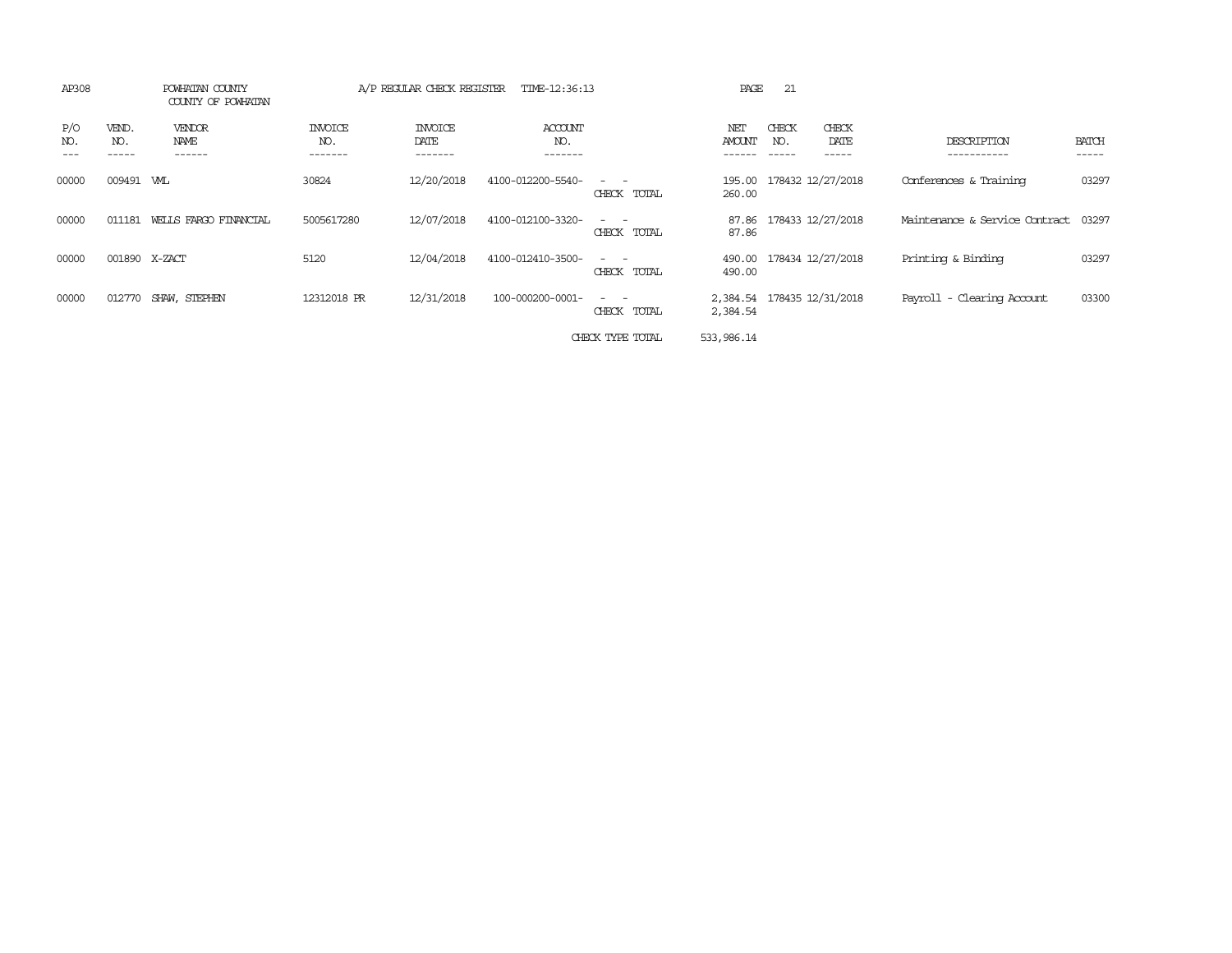| AP308      |                       | POWHATAN COUNTY<br>COUNTY OF POWHATAN |                           | A/P REGULAR CHECK REGISTER        | TIME-12:36:13             |                                                                                                                                          | PAGE           | 21                                     |                                |                       |
|------------|-----------------------|---------------------------------------|---------------------------|-----------------------------------|---------------------------|------------------------------------------------------------------------------------------------------------------------------------------|----------------|----------------------------------------|--------------------------------|-----------------------|
| P/O<br>NO. | VEND.<br>NO.<br>----- | <b>VENDOR</b><br>NAME<br>------       | INVOICE<br>NO.<br>------- | <b>INVOICE</b><br>DATE<br>------- | ACCOUNT<br>NO.<br>------- |                                                                                                                                          | NET<br>AMOUNT  | CHECK<br>CHECK<br>DATE<br>NO.<br>----- | DESCRIPTION<br>-----------     | <b>BATCH</b><br>----- |
| 00000      | 009491 WLL            |                                       | 30824                     | 12/20/2018                        | 4100-012200-5540-         | $\frac{1}{2} \left( \frac{1}{2} \right) \left( \frac{1}{2} \right) \left( \frac{1}{2} \right) \left( \frac{1}{2} \right)$<br>CHECK TOTAL | 260.00         | 195.00 178432 12/27/2018               | Conferences & Training         | 03297                 |
| 00000      | 011181                | WELLS FARGO FINANCIAL                 | 5005617280                | 12/07/2018                        | 4100-012100-3320-         | $\overline{\phantom{a}}$<br>CHECK TOTAL                                                                                                  | 87.86<br>87.86 | 178433 12/27/2018                      | Maintenance & Service Contract | 03297                 |
| 00000      | 001890 X-ZACT         |                                       | 5120                      | 12/04/2018                        | 4100-012410-3500-         | $\sim$ 100 $\mu$<br>$\overline{\phantom{a}}$<br>CHECK TOTAL                                                                              | 490.00         | 490.00 178434 12/27/2018               | Printing & Binding             | 03297                 |
| 00000      | 012770                | SHAW, STEPHEN                         | 12312018 PR               | 12/31/2018                        | 100-000200-0001-          | <b>Service</b><br>CHECK TOTAL                                                                                                            | 2,384.54       | 2,384.54 178435 12/31/2018             | Payroll - Clearing Account     | 03300                 |
|            |                       |                                       |                           |                                   |                           | CHECK TYPE TOTAL                                                                                                                         | 533,986.14     |                                        |                                |                       |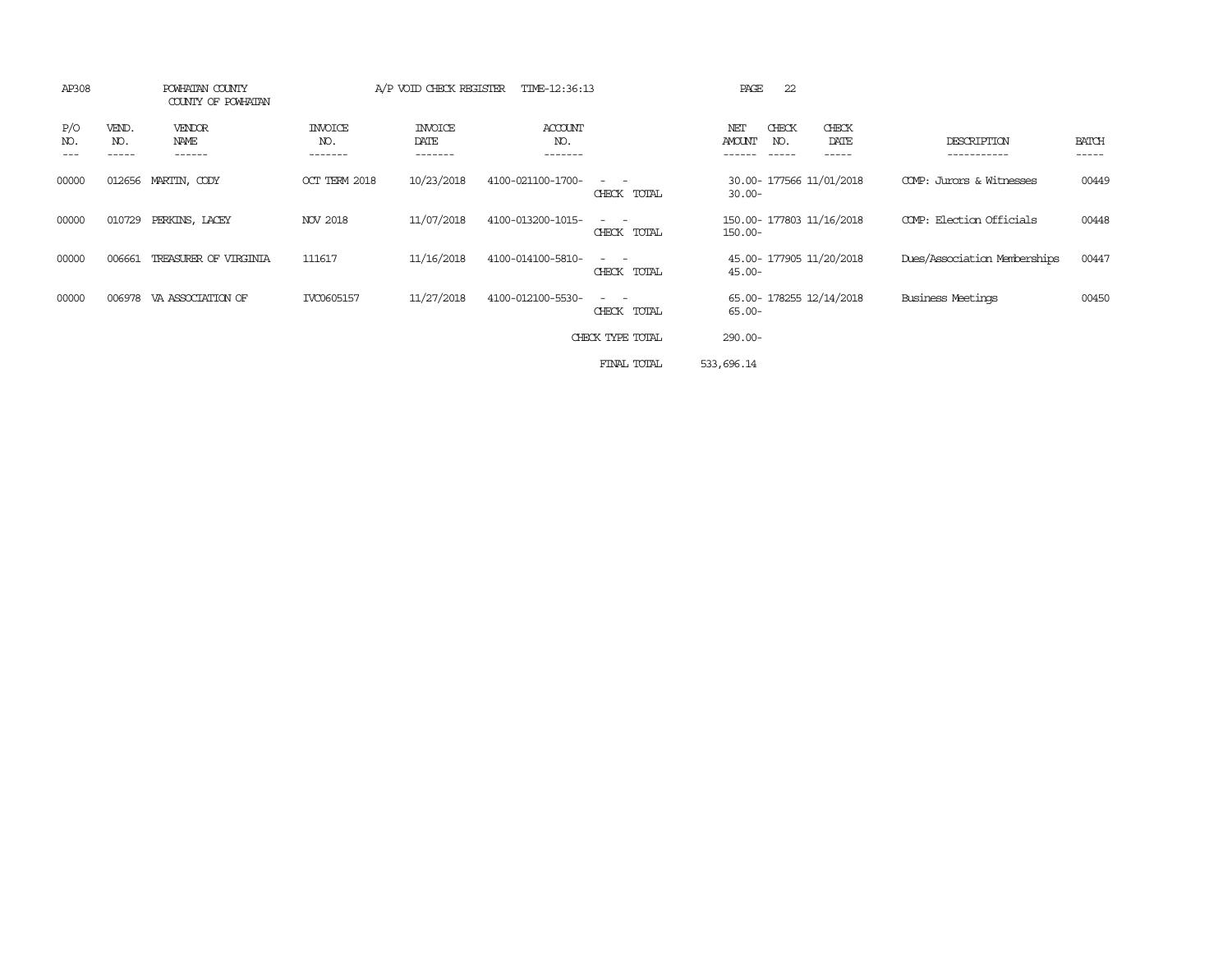| AP308             |                       | POWHATAN COUNTY<br>COUNTY OF POWHATAN |                                  | A/P VOID CHECK REGISTER           | TIME-12:36:13                    |                                                                                                                             | 22<br>PAGE                                                               |                              |                       |
|-------------------|-----------------------|---------------------------------------|----------------------------------|-----------------------------------|----------------------------------|-----------------------------------------------------------------------------------------------------------------------------|--------------------------------------------------------------------------|------------------------------|-----------------------|
| P/O<br>NO.<br>--- | VEND.<br>NO.<br>----- | VENDOR<br>NAME<br>------              | <b>INVOICE</b><br>NO.<br>------- | <b>INVOICE</b><br>DATE<br>------- | <b>ACCOUNT</b><br>NO.<br>------- |                                                                                                                             | CHECK<br>CHECK<br>NET<br><b>AMOUNT</b><br>NO.<br>DATE<br>------<br>----- | DESCRIPTION<br>-----------   | <b>BATCH</b><br>----- |
| 00000             |                       | 012656 MARTIN, CODY                   | OCT TERM 2018                    | 10/23/2018                        | 4100-021100-1700-                | $ -$<br>CHECK TOTAL                                                                                                         | 30.00- 177566 11/01/2018<br>$30.00 -$                                    | COMP: Jurors & Witnesses     | 00449                 |
| 00000             | 010729                | PERKINS, LACEY                        | NOV 2018                         | 11/07/2018                        | 4100-013200-1015-                | CHECK TOTAL                                                                                                                 | 150.00- 177803 11/16/2018<br>$150.00 -$                                  | COMP: Election Officials     | 00448                 |
| 00000             | 006661                | TREASURER OF VIRGINIA                 | 111617                           | 11/16/2018                        | 4100-014100-5810-                | $\frac{1}{2} \left( \frac{1}{2} \right) \left( \frac{1}{2} \right) = \frac{1}{2} \left( \frac{1}{2} \right)$<br>CHECK TOTAL | 45.00- 177905 11/20/2018<br>$45.00 -$                                    | Dues/Association Memberships | 00447                 |
| 00000             | 006978                | VA ASSOCIATION OF                     | IVC0605157                       | 11/27/2018                        | 4100-012100-5530-                | CHECK TOTAL                                                                                                                 | 65.00- 178255 12/14/2018<br>$65.00 -$                                    | <b>Business Meetings</b>     | 00450                 |
|                   |                       |                                       |                                  |                                   |                                  | CHECK TYPE TOTAL                                                                                                            | 290.00-                                                                  |                              |                       |
|                   |                       |                                       |                                  |                                   |                                  | FINAL TOTAL                                                                                                                 | 533,696.14                                                               |                              |                       |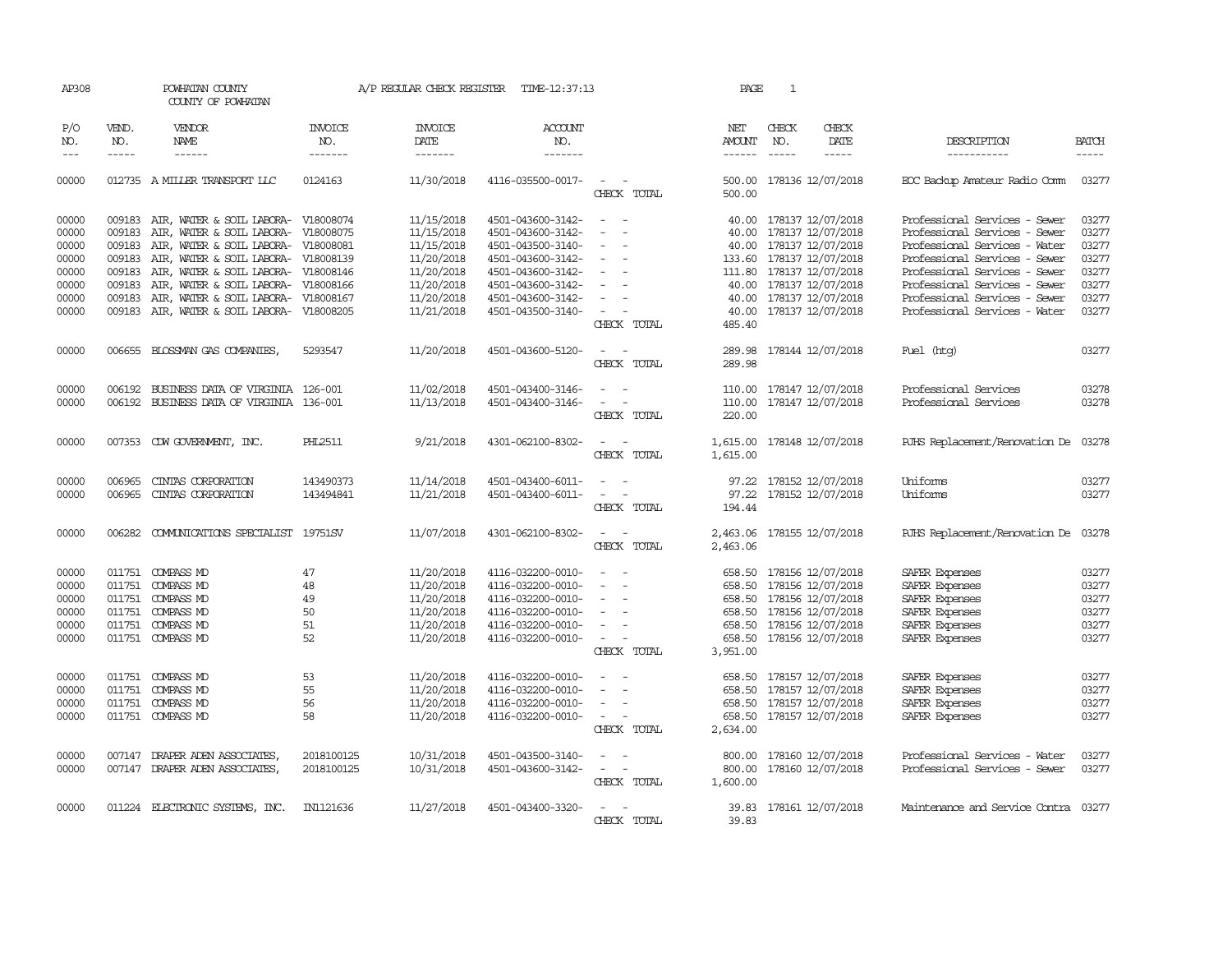| AP308               |                               | POWHATAN COUNTY<br>COUNTY OF POWHATAN      |                           | A/P REGULAR CHECK REGISTER        | TIME-12:37:13             |                                    | PAGE                           | 1                             |                            |                                      |              |
|---------------------|-------------------------------|--------------------------------------------|---------------------------|-----------------------------------|---------------------------|------------------------------------|--------------------------------|-------------------------------|----------------------------|--------------------------------------|--------------|
| P/O<br>NO.<br>$---$ | VEND.<br>NO.<br>$\frac{1}{2}$ | VENDOR<br><b>NAME</b>                      | INVOICE<br>NO.<br>------- | <b>INVOICE</b><br>DATE<br>------- | ACCOUNT<br>NO.<br>------- |                                    | NET<br>AMOUNT<br>$- - - - - -$ | CHECK<br>NO.<br>$\frac{1}{2}$ | CHECK<br><b>DATE</b>       | DESCRIPTION<br>-----------           | <b>BATCH</b> |
| 00000               |                               | 012735 A MILLER TRANSPORT LLC              | 0124163                   | 11/30/2018                        | 4116-035500-0017-         | $\overline{\phantom{0}}$           | 500.00                         |                               | 178136 12/07/2018          | EOC Backup Amateur Radio Comm        | 03277        |
|                     |                               |                                            |                           |                                   |                           | CHECK TOTAL                        | 500.00                         |                               |                            |                                      |              |
| 00000               |                               | 009183 AIR, WATER & SOIL LABORA- V18008074 |                           | 11/15/2018                        | 4501-043600-3142-         | $\sim$<br>$\sim$                   |                                |                               | 40.00 178137 12/07/2018    | Professional Services - Sewer        | 03277        |
| 00000               | 009183                        | AIR, WATER & SOIL LABORA-                  | V18008075                 | 11/15/2018                        | 4501-043600-3142-         |                                    |                                |                               | 40.00 178137 12/07/2018    | Professional Services - Sewer        | 03277        |
| 00000               |                               | 009183 AIR, WATER & SOIL LABORA- V18008081 |                           | 11/15/2018                        | 4501-043500-3140-         | $\sim$<br>$\overline{\phantom{a}}$ |                                |                               | 40.00 178137 12/07/2018    | Professional Services - Water        | 03277        |
| 00000               |                               | 009183 AIR, WATER & SOIL LABORA- V18008139 |                           | 11/20/2018                        | 4501-043600-3142-         | $\sim$                             |                                |                               | 133.60 178137 12/07/2018   | Professional Services - Sewer        | 03277        |
| 00000               |                               | 009183 AIR, WATER & SOIL LABORA- V18008146 |                           | 11/20/2018                        | 4501-043600-3142-         | $\sim$                             |                                |                               | 111.80 178137 12/07/2018   | Professional Services - Sewer        | 03277        |
| 00000               | 009183                        | AIR, WATER & SOIL LABORA- V18008166        |                           | 11/20/2018                        | 4501-043600-3142-         | $\equiv$                           |                                |                               | 40.00 178137 12/07/2018    | Professional Services - Sewer        | 03277        |
| 00000               |                               | 009183 AIR, WATER & SOIL LABORA- V18008167 |                           | 11/20/2018                        | 4501-043600-3142-         | $\sim$                             |                                |                               | 40.00 178137 12/07/2018    | Professional Services - Sewer        | 03277        |
| 00000               |                               | 009183 AIR, WATER & SOIL LABORA- V18008205 |                           | 11/21/2018                        | 4501-043500-3140-         | $\sim$ $  -$                       |                                |                               | 40.00 178137 12/07/2018    | Professional Services - Water        | 03277        |
|                     |                               |                                            |                           |                                   |                           | CHECK TOTAL                        | 485.40                         |                               |                            |                                      |              |
| 00000               |                               | 006655 BLOSSMAN GAS COMPANIES              | 5293547                   | 11/20/2018                        | 4501-043600-5120-         | $\sim$<br>$\sim$                   | 289.98                         |                               | 178144 12/07/2018          | Fuel (htg)                           | 03277        |
|                     |                               |                                            |                           |                                   |                           | CHECK TOTAL                        | 289.98                         |                               |                            |                                      |              |
| 00000               | 006192                        | BUSINESS DATA OF VIRGINIA 126-001          |                           | 11/02/2018                        | 4501-043400-3146-         |                                    | 110.00                         |                               | 178147 12/07/2018          | Professional Services                | 03278        |
| 00000               |                               | 006192 BUSINESS DATA OF VIRGINIA 136-001   |                           | 11/13/2018                        | 4501-043400-3146-         | $\sim$ $ \sim$                     |                                |                               | 110.00 178147 12/07/2018   | Professional Services                | 03278        |
|                     |                               |                                            |                           |                                   |                           | CHECK TOTAL                        | 220.00                         |                               |                            |                                      |              |
| 00000               |                               | 007353 CDW GOVERNMENT, INC.                | PHL2511                   | 9/21/2018                         | 4301-062100-8302-         | $\sim$                             | 1,615.00                       |                               | 178148 12/07/2018          | RJHS Replacement/Renovation De 03278 |              |
|                     |                               |                                            |                           |                                   |                           | CHECK TOTAL                        | 1,615.00                       |                               |                            |                                      |              |
| 00000               | 006965                        | CINTAS CORPORATION                         | 143490373                 | 11/14/2018                        | 4501-043400-6011-         | $\overline{a}$                     |                                |                               | 97.22 178152 12/07/2018    | Uniforms                             | 03277        |
| 00000               | 006965                        | CINIAS CORPORATION                         | 143494841                 | 11/21/2018                        | 4501-043400-6011-         | $\sim$<br>$\sim$                   |                                |                               | 97.22 178152 12/07/2018    | Uniforms                             | 03277        |
|                     |                               |                                            |                           |                                   |                           | CHECK TOTAL                        | 194.44                         |                               |                            |                                      |              |
| 00000               |                               | 006282 COMUNICATIONS SPECIALIST 19751SV    |                           | 11/07/2018                        | 4301-062100-8302-         | $\sim$<br>$\sim$                   |                                |                               | 2,463.06 178155 12/07/2018 | RJHS Replacement/Renovation De 03278 |              |
|                     |                               |                                            |                           |                                   |                           | CHECK TOTAL                        | 2,463.06                       |                               |                            |                                      |              |
| 00000               |                               | 011751 COMPASS MD                          | 47                        | 11/20/2018                        | 4116-032200-0010-         | $\overline{a}$<br>$\sim$           |                                |                               | 658.50 178156 12/07/2018   | SAFER Expenses                       | 03277        |
| 00000               |                               | 011751 COMPASS MD                          | 48                        | 11/20/2018                        | 4116-032200-0010-         | $\overline{\phantom{a}}$           |                                |                               | 658.50 178156 12/07/2018   | SAFER Expenses                       | 03277        |
| 00000               |                               | 011751 COMPASS MD                          | 49                        | 11/20/2018                        | 4116-032200-0010-         | $\sim$                             |                                |                               | 658.50 178156 12/07/2018   | SAFER Expenses                       | 03277        |
| 00000               |                               | 011751 COMPASS MD                          | 50                        | 11/20/2018                        | 4116-032200-0010-         | $\equiv$                           |                                |                               | 658.50 178156 12/07/2018   | SAFER Expenses                       | 03277        |
| 00000               |                               | 011751 COMPASS MD                          | 51                        | 11/20/2018                        | 4116-032200-0010-         | $\sim$                             |                                |                               | 658.50 178156 12/07/2018   | SAFER Expenses                       | 03277        |
| 00000               |                               | 011751 COMPASS MD                          | 52                        | 11/20/2018                        | 4116-032200-0010-         | $\sim$                             |                                |                               | 658.50 178156 12/07/2018   | SAFER Expenses                       | 03277        |
|                     |                               |                                            |                           |                                   |                           | CHECK TOTAL                        | 3,951.00                       |                               |                            |                                      |              |
| 00000               |                               | 011751 COMPASS MD                          | 53                        | 11/20/2018                        | 4116-032200-0010-         |                                    | 658.50                         |                               | 178157 12/07/2018          | SAFER Expenses                       | 03277        |
| 00000               | 011751                        | COMPASS MD                                 | 55                        | 11/20/2018                        | 4116-032200-0010-         |                                    |                                |                               | 658.50 178157 12/07/2018   | SAFER Expenses                       | 03277        |
| 00000               |                               | 011751 COMPASS MD                          | 56                        | 11/20/2018                        | 4116-032200-0010-         | $\sim$<br>$\sim$                   |                                |                               | 658.50 178157 12/07/2018   | SAFER Expenses                       | 03277        |
| 00000               |                               | 011751 COMPASS MD                          | 58                        | 11/20/2018                        | 4116-032200-0010-         | $\sim$<br>$\sim$                   |                                |                               | 658.50 178157 12/07/2018   | SAFER Expenses                       | 03277        |
|                     |                               |                                            |                           |                                   |                           | CHECK TOTAL                        | 2,634.00                       |                               |                            |                                      |              |
| 00000               | 007147                        | DRAPER ADEN ASSOCIATES,                    | 2018100125                | 10/31/2018                        | 4501-043500-3140-         | $\sim$<br>$\sim$                   | 800.00                         |                               | 178160 12/07/2018          | Professional Services - Water        | 03277        |
| 00000               |                               | 007147 DRAPER ADEN ASSOCIATES,             | 2018100125                | 10/31/2018                        | 4501-043600-3142-         | $\sim$ $ \sim$                     |                                |                               | 800.00 178160 12/07/2018   | Professional Services - Sewer        | 03277        |
|                     |                               |                                            |                           |                                   |                           | CHECK TOTAL                        | 1,600.00                       |                               |                            |                                      |              |
| 00000               |                               | 011224 ELECTRONIC SYSTEMS, INC.            | IN1121636                 | 11/27/2018                        | 4501-043400-3320-         | $\overline{\phantom{a}}$           |                                |                               | 39.83 178161 12/07/2018    | Maintenance and Service Contra 03277 |              |
|                     |                               |                                            |                           |                                   |                           | CHECK TOTAL                        | 39.83                          |                               |                            |                                      |              |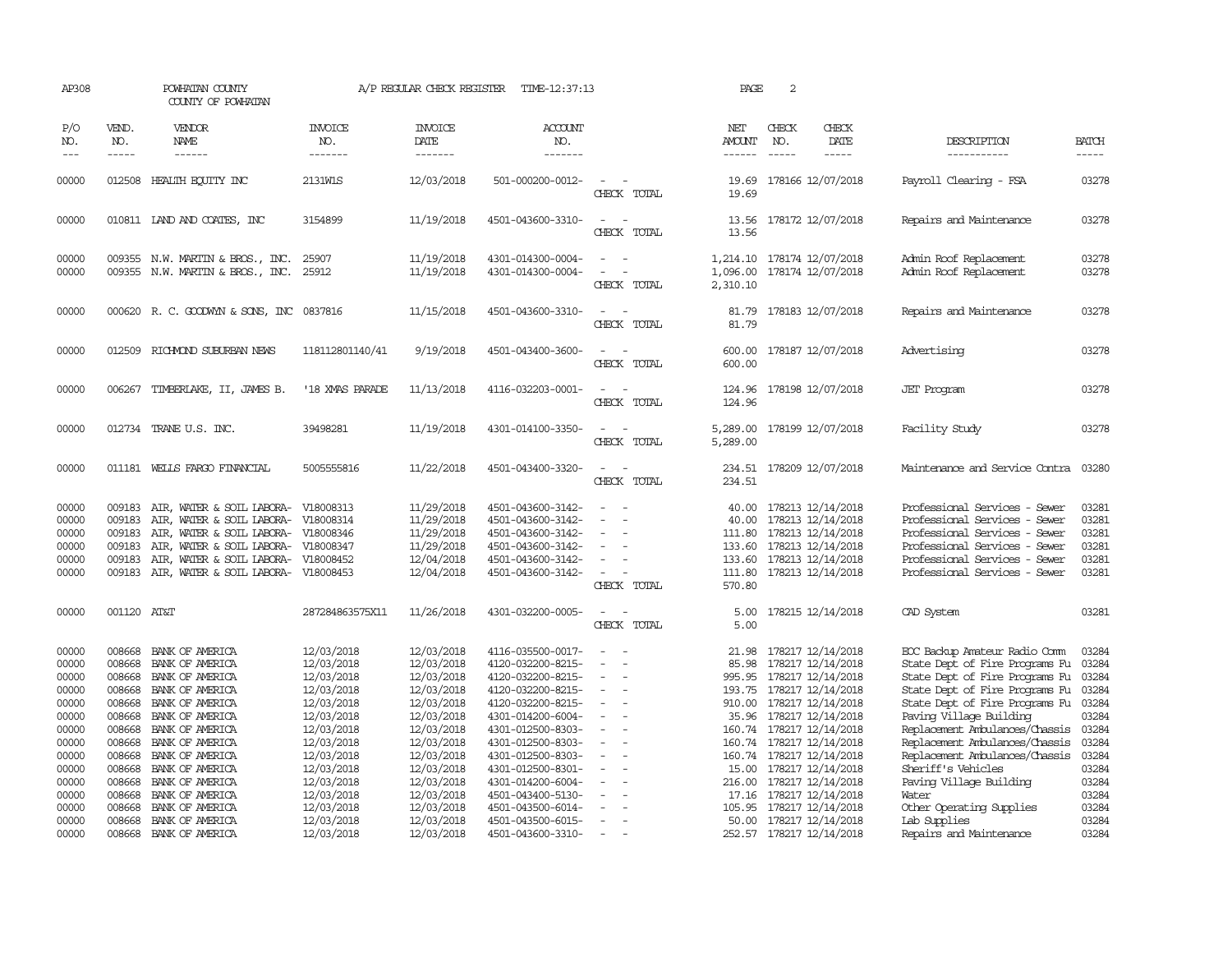| AP308                                                       |                                                | POWHATAN COUNTY<br>COUNTY OF POWHATAN                                                                                                                                                                                     |                                                                                                | A/P REGULAR CHECK REGISTER                                                                     | TIME-12:37:13                                                                                                                                   |                                                                              | PAGE                                                   | 2                             |                                                                                                                                                                            |                                                                                                                                                                                                        |                                                             |
|-------------------------------------------------------------|------------------------------------------------|---------------------------------------------------------------------------------------------------------------------------------------------------------------------------------------------------------------------------|------------------------------------------------------------------------------------------------|------------------------------------------------------------------------------------------------|-------------------------------------------------------------------------------------------------------------------------------------------------|------------------------------------------------------------------------------|--------------------------------------------------------|-------------------------------|----------------------------------------------------------------------------------------------------------------------------------------------------------------------------|--------------------------------------------------------------------------------------------------------------------------------------------------------------------------------------------------------|-------------------------------------------------------------|
| P/O<br>NO.<br>$---$                                         | VEND.<br>NO.<br>$- - - - -$                    | VENDOR<br><b>NAME</b><br>$- - - - - -$                                                                                                                                                                                    | <b>INVOICE</b><br>NO.<br>-------                                                               | <b>INVOICE</b><br>DATE<br>-------                                                              | ACCOUNT<br>NO.<br>-------                                                                                                                       |                                                                              | NET<br>AMOUNT<br>------                                | CHECK<br>NO.<br>$\frac{1}{2}$ | CHECK<br>DATE<br>$- - - - -$                                                                                                                                               | DESCRIPTION<br>-----------                                                                                                                                                                             | <b>BATCH</b><br>-----                                       |
| 00000                                                       | 012508                                         | HEALTH EQUITY INC                                                                                                                                                                                                         | 2131W1S                                                                                        | 12/03/2018                                                                                     | 501-000200-0012-                                                                                                                                | CHECK TOTAL                                                                  | 19.69<br>19.69                                         |                               | 178166 12/07/2018                                                                                                                                                          | Payroll Clearing - FSA                                                                                                                                                                                 | 03278                                                       |
| 00000                                                       |                                                | 010811 LAND AND COATES, INC                                                                                                                                                                                               | 3154899                                                                                        | 11/19/2018                                                                                     | 4501-043600-3310-                                                                                                                               | $\overline{\phantom{a}}$<br>CHECK TOTAL                                      | 13.56<br>13.56                                         |                               | 178172 12/07/2018                                                                                                                                                          | Repairs and Maintenance                                                                                                                                                                                | 03278                                                       |
| 00000<br>00000                                              |                                                | 009355 N.W. MARTIN & BROS., INC.<br>009355 N.W. MARTIN & BROS., INC.                                                                                                                                                      | 25907<br>25912                                                                                 | 11/19/2018<br>11/19/2018                                                                       | 4301-014300-0004-<br>4301-014300-0004-                                                                                                          | $\sim$<br>CHECK TOTAL                                                        | 1,096.00<br>2,310.10                                   |                               | 1,214.10 178174 12/07/2018<br>178174 12/07/2018                                                                                                                            | Admin Roof Replacement<br>Admin Roof Replacement                                                                                                                                                       | 03278<br>03278                                              |
| 00000                                                       |                                                | 000620 R. C. GOODWYN & SONS, INC                                                                                                                                                                                          | 0837816                                                                                        | 11/15/2018                                                                                     | 4501-043600-3310-                                                                                                                               | CHECK TOTAL                                                                  | 81.79<br>81.79                                         |                               | 178183 12/07/2018                                                                                                                                                          | Repairs and Maintenance                                                                                                                                                                                | 03278                                                       |
| 00000                                                       |                                                | 012509 RICHMOND SUBURBAN NEWS                                                                                                                                                                                             | 118112801140/41                                                                                | 9/19/2018                                                                                      | 4501-043400-3600-                                                                                                                               | $\equiv$<br>CHECK TOTAL                                                      | 600.00<br>600.00                                       |                               | 178187 12/07/2018                                                                                                                                                          | Advertising                                                                                                                                                                                            | 03278                                                       |
| 00000                                                       | 006267                                         | TIMBERLAKE, II, JAMES B.                                                                                                                                                                                                  | '18 XMAS PARADE                                                                                | 11/13/2018                                                                                     | 4116-032203-0001-                                                                                                                               | CHECK TOTAL                                                                  | 124.96<br>124.96                                       |                               | 178198 12/07/2018                                                                                                                                                          | <b>JET</b> Program                                                                                                                                                                                     | 03278                                                       |
| 00000                                                       |                                                | 012734 TRANE U.S. INC.                                                                                                                                                                                                    | 39498281                                                                                       | 11/19/2018                                                                                     | 4301-014100-3350-                                                                                                                               | CHECK TOTAL                                                                  | 5,289.00<br>5,289.00                                   |                               | 178199 12/07/2018                                                                                                                                                          | Facility Study                                                                                                                                                                                         | 03278                                                       |
| 00000                                                       |                                                | 011181 WELLS FARGO FINANCIAL                                                                                                                                                                                              | 5005555816                                                                                     | 11/22/2018                                                                                     | 4501-043400-3320-                                                                                                                               | CHECK TOTAL                                                                  | 234.51                                                 |                               | 234.51 178209 12/07/2018                                                                                                                                                   | Maintenance and Service Contra                                                                                                                                                                         | 03280                                                       |
| 00000<br>00000<br>00000<br>00000<br>00000<br>00000          | 009183<br>009183<br>009183<br>009183<br>009183 | AIR, WATER & SOIL LABORA-<br>AIR, WATER & SOIL LABORA-<br>AIR, WATER & SOIL LABORA- V18008346<br>AIR, WATER & SOIL LABORA- V18008347<br>AIR, WATER & SOIL LABORA- V18008452<br>009183 AIR, WATER & SOIL LABORA- V18008453 | V18008313<br>V18008314                                                                         | 11/29/2018<br>11/29/2018<br>11/29/2018<br>11/29/2018<br>12/04/2018<br>12/04/2018               | 4501-043600-3142-<br>4501-043600-3142-<br>4501-043600-3142-<br>4501-043600-3142-<br>4501-043600-3142-<br>4501-043600-3142-                      | $\equiv$<br>$\overline{\phantom{a}}$<br>CHECK TOTAL                          | 40.00<br>40.00<br>111.80<br>133.60<br>133.60<br>570.80 |                               | 178213 12/14/2018<br>178213 12/14/2018<br>178213 12/14/2018<br>178213 12/14/2018<br>178213 12/14/2018<br>111.80 178213 12/14/2018                                          | Professional Services - Sewer<br>Professional Services - Sewer<br>Professional Services - Sewer<br>Professional Services - Sewer<br>Professional Services - Sewer<br>Professional Services - Sewer     | 03281<br>03281<br>03281<br>03281<br>03281<br>03281          |
| 00000                                                       | 001120 AT&T                                    |                                                                                                                                                                                                                           | 287284863575X11                                                                                | 11/26/2018                                                                                     | 4301-032200-0005-                                                                                                                               | $\overline{\phantom{a}}$<br>CHECK TOTAL                                      | 5.00<br>5.00                                           |                               | 178215 12/14/2018                                                                                                                                                          | CAD System                                                                                                                                                                                             | 03281                                                       |
| 00000<br>00000<br>00000<br>00000<br>00000<br>00000          | 008668<br>008668<br>008668<br>008668           | BANK OF AMERICA<br>BANK OF AMERICA<br>BANK OF AMERICA<br>BANK OF AMERICA<br>008668 BANK OF AMERICA<br>008668 BANK OF AMERICA                                                                                              | 12/03/2018<br>12/03/2018<br>12/03/2018<br>12/03/2018<br>12/03/2018<br>12/03/2018               | 12/03/2018<br>12/03/2018<br>12/03/2018<br>12/03/2018<br>12/03/2018<br>12/03/2018               | 4116-035500-0017-<br>4120-032200-8215-<br>4120-032200-8215-<br>4120-032200-8215-<br>4120-032200-8215-<br>4301-014200-6004-                      | $\sim$<br>$\overline{\phantom{a}}$<br>$\equiv$<br>$\overline{\phantom{a}}$   | 21.98<br>85.98<br>995.95                               |                               | 178217 12/14/2018<br>178217 12/14/2018<br>178217 12/14/2018<br>193.75 178217 12/14/2018<br>910.00 178217 12/14/2018<br>35.96 178217 12/14/2018                             | EOC Backup Amateur Radio Comm<br>State Dept of Fire Programs Fu<br>State Dept of Fire Programs Fu<br>State Dept of Fire Programs Fu<br>State Dept of Fire Programs Fu 03284<br>Paving Village Building | 03284<br>03284<br>03284<br>03284<br>03284                   |
| 00000<br>00000<br>00000<br>00000<br>00000<br>00000<br>00000 | 008668<br>008668<br>008668                     | 008668 BANK OF AMERICA<br>008668 BANK OF AMERICA<br>008668 BANK OF AMERICA<br>BANK OF AMERICA<br>BANK OF AMERICA<br>008668 BANK OF AMERICA<br>BANK OF AMERICA                                                             | 12/03/2018<br>12/03/2018<br>12/03/2018<br>12/03/2018<br>12/03/2018<br>12/03/2018<br>12/03/2018 | 12/03/2018<br>12/03/2018<br>12/03/2018<br>12/03/2018<br>12/03/2018<br>12/03/2018<br>12/03/2018 | 4301-012500-8303-<br>4301-012500-8303-<br>4301-012500-8303-<br>4301-012500-8301-<br>4301-014200-6004-<br>4501-043400-5130-<br>4501-043500-6014- | $\equiv$<br>$\overline{\phantom{a}}$<br>$\overline{\phantom{a}}$<br>$\equiv$ | 15.00<br>216.00<br>105.95                              |                               | 160.74 178217 12/14/2018<br>160.74 178217 12/14/2018<br>160.74 178217 12/14/2018<br>178217 12/14/2018<br>178217 12/14/2018<br>17.16 178217 12/14/2018<br>178217 12/14/2018 | Replacement Ambulances/Chassis<br>Replacement Ambulances/Chassis<br>Replacement Ambulances/Chassis<br>Sheriff's Vehicles<br>Paving Village Building<br>Water<br>Other Operating Supplies               | 03284<br>03284<br>03284<br>03284<br>03284<br>03284<br>03284 |
| 00000<br>00000                                              | 008668                                         | BANK OF AMERICA<br>008668 BANK OF AMERICA                                                                                                                                                                                 | 12/03/2018<br>12/03/2018                                                                       | 12/03/2018<br>12/03/2018                                                                       | 4501-043500-6015-<br>4501-043600-3310-                                                                                                          | $\overline{\phantom{a}}$<br>$\overline{a}$                                   |                                                        |                               | 50.00 178217 12/14/2018<br>252.57 178217 12/14/2018                                                                                                                        | Lab Supplies<br>Repairs and Maintenance                                                                                                                                                                | 03284<br>03284                                              |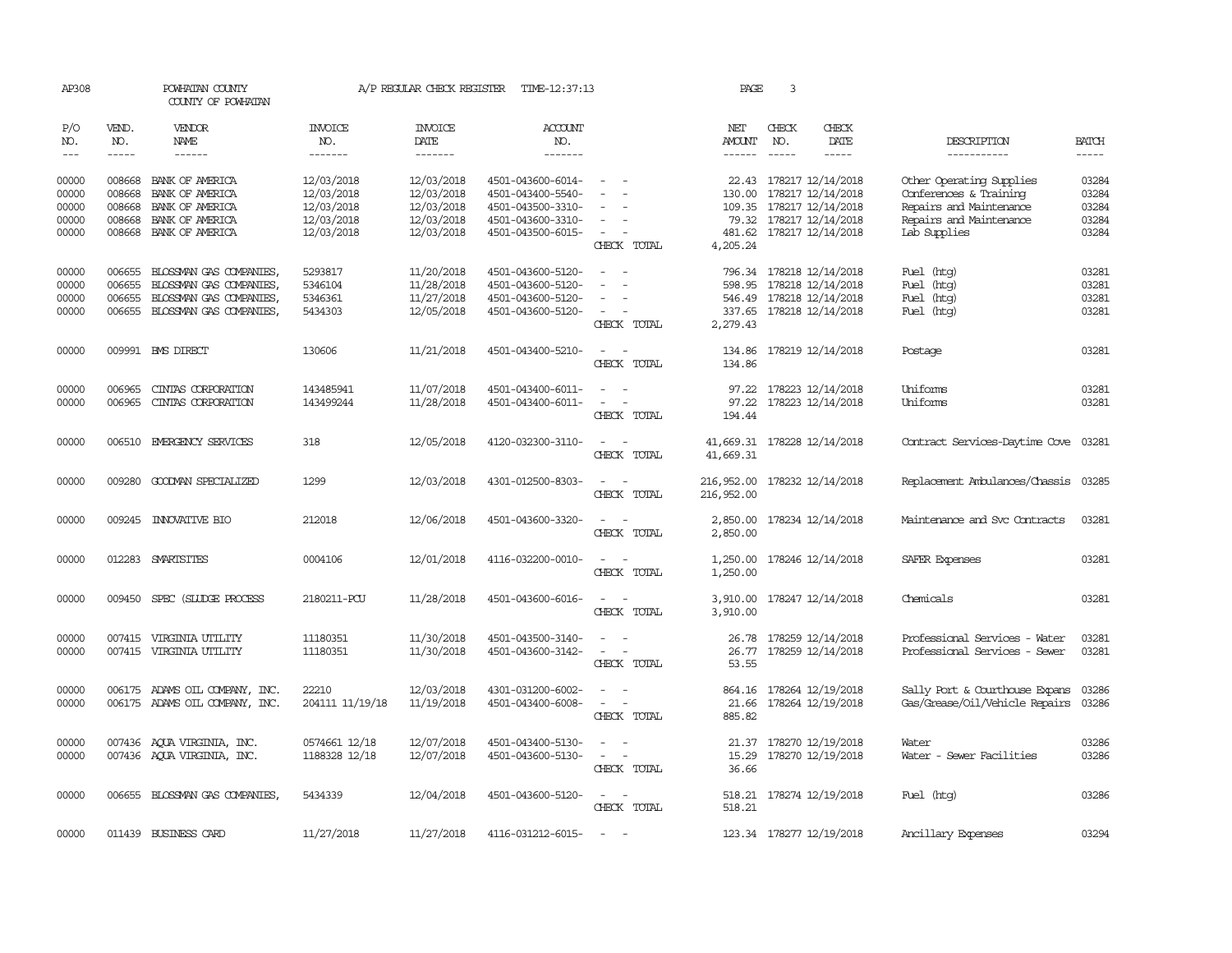| AP308                            |                                      | POWHATAN COUNTY<br>COUNTY OF POWHATAN                                                                                                                                                                                                                                                                                                                                                                                                                                                               | A/P REGULAR CHECK REGISTER                           | TIME-12:37:13                                        | PAGE                                                                             | 3                                                                                                                           |                                            |                               |                                                                                                     |                                                                                                          |                                  |
|----------------------------------|--------------------------------------|-----------------------------------------------------------------------------------------------------------------------------------------------------------------------------------------------------------------------------------------------------------------------------------------------------------------------------------------------------------------------------------------------------------------------------------------------------------------------------------------------------|------------------------------------------------------|------------------------------------------------------|----------------------------------------------------------------------------------|-----------------------------------------------------------------------------------------------------------------------------|--------------------------------------------|-------------------------------|-----------------------------------------------------------------------------------------------------|----------------------------------------------------------------------------------------------------------|----------------------------------|
| P/O<br>NO.<br>$---$              | VEND.<br>NO.<br>$\frac{1}{2}$        | <b>VENDOR</b><br>NAME<br>$\frac{1}{2} \left( \frac{1}{2} \right) \left( \frac{1}{2} \right) \left( \frac{1}{2} \right) \left( \frac{1}{2} \right) \left( \frac{1}{2} \right) \left( \frac{1}{2} \right) \left( \frac{1}{2} \right) \left( \frac{1}{2} \right) \left( \frac{1}{2} \right) \left( \frac{1}{2} \right) \left( \frac{1}{2} \right) \left( \frac{1}{2} \right) \left( \frac{1}{2} \right) \left( \frac{1}{2} \right) \left( \frac{1}{2} \right) \left( \frac{1}{2} \right) \left( \frac$ | <b>INVOICE</b><br>NO.<br>-------                     | <b>INVOICE</b><br>DATE<br>--------                   | ACCOUNT<br>NO.<br>-------                                                        |                                                                                                                             | NET<br><b>AMOUNT</b>                       | CHECK<br>NO.<br>$\frac{1}{2}$ | CHECK<br>DATE<br>$\frac{1}{2}$                                                                      | DESCRIPTION<br>-----------                                                                               | <b>BATCH</b><br>$- - - - -$      |
|                                  |                                      |                                                                                                                                                                                                                                                                                                                                                                                                                                                                                                     |                                                      |                                                      |                                                                                  |                                                                                                                             |                                            |                               |                                                                                                     |                                                                                                          |                                  |
| 00000<br>00000<br>00000<br>00000 | 008668<br>008668<br>008668<br>008668 | BANK OF AMERICA<br>BANK OF AMERICA<br>BANK OF AMERICA<br>BANK OF AMERICA                                                                                                                                                                                                                                                                                                                                                                                                                            | 12/03/2018<br>12/03/2018<br>12/03/2018<br>12/03/2018 | 12/03/2018<br>12/03/2018<br>12/03/2018<br>12/03/2018 | 4501-043600-6014-<br>4501-043400-5540-<br>4501-043500-3310-<br>4501-043600-3310- | $\overline{\phantom{a}}$<br>$\sim$                                                                                          | 130.00                                     |                               | 22.43 178217 12/14/2018<br>178217 12/14/2018<br>109.35 178217 12/14/2018<br>79.32 178217 12/14/2018 | Other Operating Supplies<br>Conferences & Training<br>Repairs and Maintenance<br>Repairs and Maintenance | 03284<br>03284<br>03284<br>03284 |
| 00000                            |                                      | 008668 BANK OF AMERICA                                                                                                                                                                                                                                                                                                                                                                                                                                                                              | 12/03/2018                                           | 12/03/2018                                           | 4501-043500-6015-                                                                | $\sim$<br>CHECK TOTAL                                                                                                       | 481.62<br>4,205.24                         |                               | 178217 12/14/2018                                                                                   | Lab Supplies                                                                                             | 03284                            |
| 00000<br>00000<br>00000<br>00000 | 006655<br>006655<br>006655           | BLOSSMAN GAS COMPANIES,<br>BLOSSMAN GAS COMPANIES,<br>BLOSSMAN GAS COMPANIES,<br>006655 BLOSSMAN GAS COMPANIES,                                                                                                                                                                                                                                                                                                                                                                                     | 5293817<br>5346104<br>5346361<br>5434303             | 11/20/2018<br>11/28/2018<br>11/27/2018<br>12/05/2018 | 4501-043600-5120-<br>4501-043600-5120-<br>4501-043600-5120-<br>4501-043600-5120- | $\sim$<br>CHECK TOTAL                                                                                                       | 796.34<br>598.95<br>2,279.43               |                               | 178218 12/14/2018<br>178218 12/14/2018<br>546.49 178218 12/14/2018<br>337.65 178218 12/14/2018      | Fuel (htg)<br>Fuel (htg)<br>Fuel (htg)<br>Fuel (htg)                                                     | 03281<br>03281<br>03281<br>03281 |
| 00000                            |                                      | 009991 BMS DIRECT                                                                                                                                                                                                                                                                                                                                                                                                                                                                                   | 130606                                               | 11/21/2018                                           | 4501-043400-5210-                                                                | $\equiv$<br>CHECK TOTAL                                                                                                     | 134.86<br>134.86                           |                               | 178219 12/14/2018                                                                                   | Postage                                                                                                  | 03281                            |
| 00000<br>00000                   | 006965<br>006965                     | CINIAS CORPORATION<br>CINIAS CORPORATION                                                                                                                                                                                                                                                                                                                                                                                                                                                            | 143485941<br>143499244                               | 11/07/2018<br>11/28/2018                             | 4501-043400-6011-<br>4501-043400-6011-                                           | $\sim$<br>$\sim$<br>$\overline{\phantom{a}}$<br>CHECK TOTAL                                                                 | 97.22<br>97.22<br>194.44                   |                               | 178223 12/14/2018<br>178223 12/14/2018                                                              | Uniforms<br>Uniforms                                                                                     | 03281<br>03281                   |
| 00000                            |                                      | 006510 EMERGENCY SERVICES                                                                                                                                                                                                                                                                                                                                                                                                                                                                           | 318                                                  | 12/05/2018                                           | 4120-032300-3110-                                                                | $\equiv$<br>$\sim$<br>CHECK TOTAL                                                                                           | 41,669.31 178228 12/14/2018<br>41,669.31   |                               |                                                                                                     | Contract Services-Daytime Cove                                                                           | 03281                            |
| 00000                            |                                      | 009280 GOODWAN SPECIALIZED                                                                                                                                                                                                                                                                                                                                                                                                                                                                          | 1299                                                 | 12/03/2018                                           | 4301-012500-8303-                                                                | $\sim$ $ -$<br>CHECK TOTAL                                                                                                  | 216,952.00 178232 12/14/2018<br>216,952.00 |                               |                                                                                                     | Replacement Ambulances/Chassis                                                                           | 03285                            |
| 00000                            |                                      | 009245 INNOVATIVE BIO                                                                                                                                                                                                                                                                                                                                                                                                                                                                               | 212018                                               | 12/06/2018                                           | 4501-043600-3320-                                                                | $\frac{1}{2} \left( \frac{1}{2} \right) \left( \frac{1}{2} \right) = \frac{1}{2} \left( \frac{1}{2} \right)$<br>CHECK TOTAL | 2,850.00<br>2,850.00                       |                               | 178234 12/14/2018                                                                                   | Maintenance and Svc Contracts                                                                            | 03281                            |
| 00000                            |                                      | 012283 SMARTSITES                                                                                                                                                                                                                                                                                                                                                                                                                                                                                   | 0004106                                              | 12/01/2018                                           | 4116-032200-0010-                                                                | $\frac{1}{2} \left( \frac{1}{2} \right) \left( \frac{1}{2} \right) = \frac{1}{2} \left( \frac{1}{2} \right)$<br>CHECK TOTAL | 1,250.00                                   |                               | 1,250.00 178246 12/14/2018                                                                          | SAFER Expenses                                                                                           | 03281                            |
| 00000                            |                                      | 009450 SPEC (SLUDGE PROCESS                                                                                                                                                                                                                                                                                                                                                                                                                                                                         | 2180211-PCU                                          | 11/28/2018                                           | 4501-043600-6016-                                                                | CHECK TOTAL                                                                                                                 | 3,910.00<br>3,910.00                       |                               | 178247 12/14/2018                                                                                   | Chemicals                                                                                                | 03281                            |
| 00000<br>00000                   |                                      | 007415 VIRGINIA UTILITY<br>007415 VIRGINIA UTILITY                                                                                                                                                                                                                                                                                                                                                                                                                                                  | 11180351<br>11180351                                 | 11/30/2018<br>11/30/2018                             | 4501-043500-3140-<br>4501-043600-3142-                                           | $\sim$<br>CHECK TOTAL                                                                                                       | 26.78<br>53.55                             |                               | 178259 12/14/2018<br>26.77 178259 12/14/2018                                                        | Professional Services - Water<br>Professional Services - Sewer                                           | 03281<br>03281                   |
| 00000<br>00000                   |                                      | 006175 ADAMS OIL COMPANY, INC.<br>006175 ADAMS OIL COMPANY, INC.                                                                                                                                                                                                                                                                                                                                                                                                                                    | 22210<br>204111 11/19/18                             | 12/03/2018<br>11/19/2018                             | 4301-031200-6002-<br>4501-043400-6008-                                           | $\sim$ $ \sim$<br>CHECK TOTAL                                                                                               | 864.16<br>21.66<br>885.82                  |                               | 178264 12/19/2018<br>178264 12/19/2018                                                              | Sally Port & Courthouse Expans<br>Gas/Grease/Oil/Vehicle Repairs                                         | 03286<br>03286                   |
| 00000<br>00000                   |                                      | 007436 AQUA VIRGINIA, INC.<br>007436 AQUA VIRGINIA, INC.                                                                                                                                                                                                                                                                                                                                                                                                                                            | 0574661 12/18<br>1188328 12/18                       | 12/07/2018<br>12/07/2018                             | 4501-043400-5130-<br>4501-043600-5130-                                           | $\overline{\phantom{a}}$<br>$\overline{a}$<br>CHECK TOTAL                                                                   | 21.37<br>15.29<br>36.66                    |                               | 178270 12/19/2018<br>178270 12/19/2018                                                              | Water<br>Water - Sewer Facilities                                                                        | 03286<br>03286                   |
| 00000                            |                                      | 006655 BLOSSMAN GAS COMPANIES                                                                                                                                                                                                                                                                                                                                                                                                                                                                       | 5434339                                              | 12/04/2018                                           | 4501-043600-5120-                                                                | $\sim$ $\sim$<br>CHECK TOTAL                                                                                                | 518.21                                     |                               | 518.21 178274 12/19/2018                                                                            | Fuel (htg)                                                                                               | 03286                            |
| 00000                            |                                      | 011439 BUSINESS CARD                                                                                                                                                                                                                                                                                                                                                                                                                                                                                | 11/27/2018                                           | 11/27/2018                                           | 4116-031212-6015-                                                                | $\sim$                                                                                                                      |                                            |                               | 123.34 178277 12/19/2018                                                                            | Ancillary Expenses                                                                                       | 03294                            |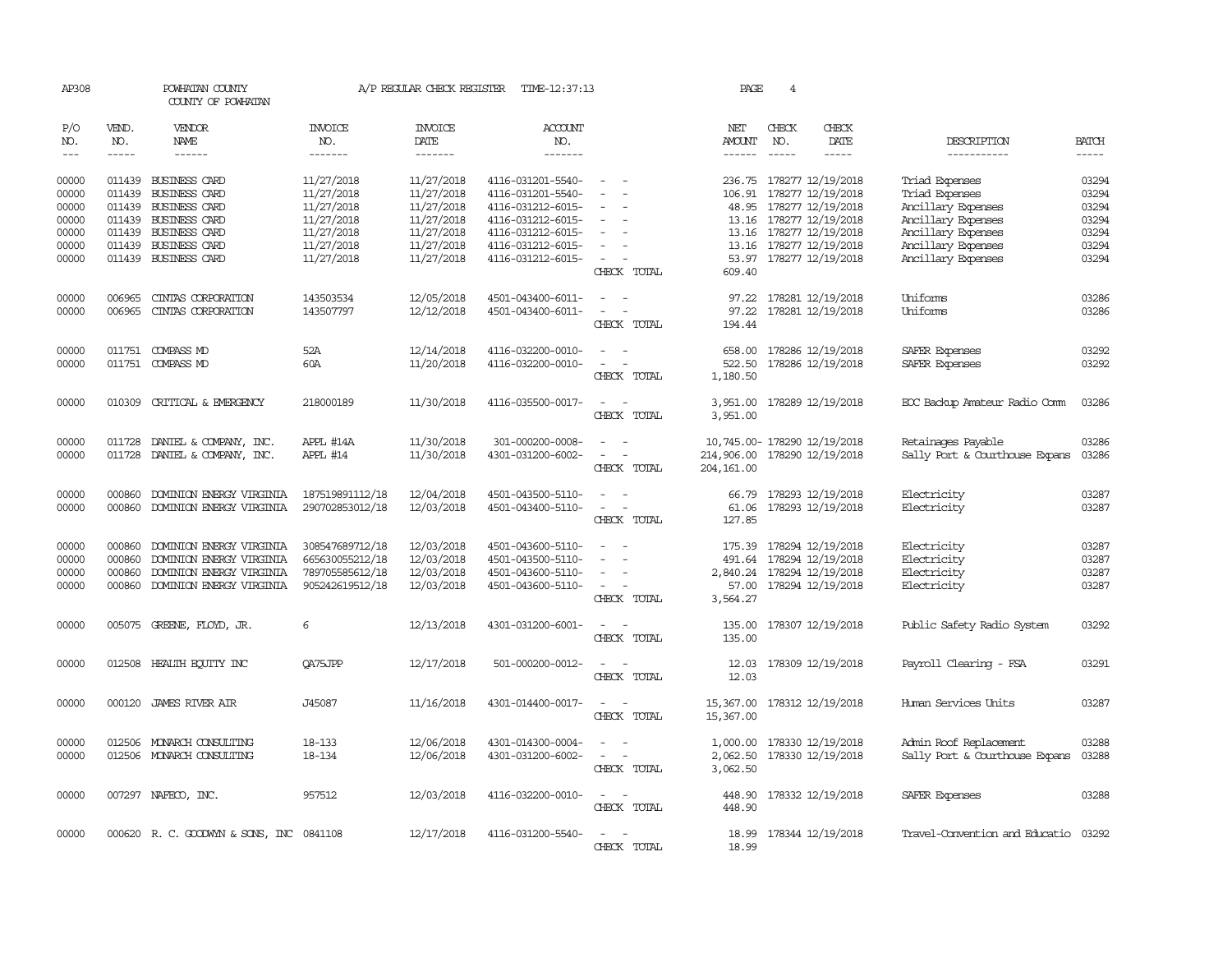| AP308          |                  | POWHATAN COUNTY<br>COUNTY OF POWHATAN                   |                                    | A/P REGULAR CHECK REGISTER | TIME-12:37:13                          |                                                                                        | PAGE                                                                         | $\overline{4}$ |                                                       |                                                          |                |
|----------------|------------------|---------------------------------------------------------|------------------------------------|----------------------------|----------------------------------------|----------------------------------------------------------------------------------------|------------------------------------------------------------------------------|----------------|-------------------------------------------------------|----------------------------------------------------------|----------------|
| P/O<br>NO.     | VEND.<br>NO.     | VENDOR<br><b>NAME</b>                                   | <b>INVOICE</b><br>NO.              | <b>INVOICE</b><br>DATE     | ACCOUNT<br>NO.                         |                                                                                        | NET<br>AMOUNT                                                                | CHECK<br>NO.   | CHECK<br>DATE                                         | DESCRIPTION                                              | <b>BATCH</b>   |
| $---$          | $- - - - -$      | $- - - - - -$                                           | -------                            | -------                    | -------                                |                                                                                        | ------                                                                       | $- - - - -$    | -----                                                 | -----------                                              | -----          |
| 00000<br>00000 | 011439           | 011439 BUSINESS CARD<br><b>BUSINESS CARD</b>            | 11/27/2018<br>11/27/2018           | 11/27/2018<br>11/27/2018   | 4116-031201-5540-<br>4116-031201-5540- | $\sim$<br>$\sim$                                                                       | 106.91                                                                       |                | 236.75 178277 12/19/2018<br>178277 12/19/2018         | Triad Expenses<br>Triad Expenses                         | 03294<br>03294 |
| 00000<br>00000 | 011439<br>011439 | BUSINESS CARD<br><b>BUSINESS CARD</b>                   | 11/27/2018<br>11/27/2018           | 11/27/2018<br>11/27/2018   | 4116-031212-6015-<br>4116-031212-6015- |                                                                                        |                                                                              |                | 48.95 178277 12/19/2018<br>13.16 178277 12/19/2018    | Ancillary Expenses<br>Ancillary Expenses                 | 03294<br>03294 |
| 00000          | 011439           | BUSINESS CARD                                           | 11/27/2018                         | 11/27/2018                 | 4116-031212-6015-                      | $\overline{\phantom{a}}$                                                               |                                                                              |                | 13.16 178277 12/19/2018                               | Ancillary Expenses                                       | 03294          |
| 00000<br>00000 | 011439           | BUSINESS CARD<br>011439 BUSINESS CARD                   | 11/27/2018<br>11/27/2018           | 11/27/2018<br>11/27/2018   | 4116-031212-6015-<br>4116-031212-6015- | $\overline{\phantom{a}}$<br>$\sim$<br>CHECK TOTAL                                      | 609.40                                                                       |                | 13.16 178277 12/19/2018<br>53.97 178277 12/19/2018    | Ancillary Expenses<br>Ancillary Expenses                 | 03294<br>03294 |
| 00000<br>00000 | 006965<br>006965 | CINTAS CORPORATION<br>CINIAS CORPORATION                | 143503534<br>143507797             | 12/05/2018<br>12/12/2018   | 4501-043400-6011-<br>4501-043400-6011- | $\sim$ $ \sim$                                                                         | 97.22                                                                        |                | 97.22 178281 12/19/2018<br>178281 12/19/2018          | Uniforms<br>Uniforms                                     | 03286<br>03286 |
|                |                  |                                                         |                                    |                            |                                        | CHECK TOTAL                                                                            | 194.44                                                                       |                |                                                       |                                                          |                |
| 00000<br>00000 |                  | 011751 COMPASS MD<br>011751 COMPASS MD                  | 52A<br>60A                         | 12/14/2018<br>11/20/2018   | 4116-032200-0010-<br>4116-032200-0010- | $\sim$<br>CHECK TOTAL                                                                  | 522.50<br>1,180.50                                                           |                | 658.00 178286 12/19/2018<br>178286 12/19/2018         | SAFER Expenses<br>SAFER Expenses                         | 03292<br>03292 |
| 00000          |                  | 010309 CRITICAL & EMERGENCY                             | 218000189                          | 11/30/2018                 | 4116-035500-0017-                      | $\sim$<br>$\sim$<br>CHECK TOTAL                                                        | 3,951.00                                                                     |                | 3,951.00 178289 12/19/2018                            | EOC Backup Amateur Radio Comm                            | 03286          |
| 00000<br>00000 | 011728           | 011728 DANIEL & COMPANY, INC.<br>DANIEL & COMPANY, INC. | APPL #14A<br>APPL #14              | 11/30/2018<br>11/30/2018   | 301-000200-0008-<br>4301-031200-6002-  | CHECK TOTAL                                                                            | 10,745.00- 178290 12/19/2018<br>214,906.00 178290 12/19/2018<br>204, 161, 00 |                |                                                       | Retainages Payable<br>Sally Port & Courthouse Expans     | 03286<br>03286 |
| 00000<br>00000 | 000860<br>000860 | DOMINION ENERGY VIRGINIA<br>DOMINION ENERGY VIRGINIA    | 187519891112/18<br>290702853012/18 | 12/04/2018<br>12/03/2018   | 4501-043500-5110-<br>4501-043400-5110- | $\overline{\phantom{a}}$<br>$\omega_{\rm{max}}$ and $\omega_{\rm{max}}$<br>CHECK TOTAL | 127.85                                                                       |                | 66.79 178293 12/19/2018<br>61.06 178293 12/19/2018    | Electricity<br>Electricity                               | 03287<br>03287 |
| 00000<br>00000 | 000860<br>000860 | DOMINION ENERGY VIRGINIA<br>DOMINION ENERGY VIRGINIA    | 308547689712/18<br>665630055212/18 | 12/03/2018<br>12/03/2018   | 4501-043600-5110-<br>4501-043500-5110- | $\overline{\phantom{a}}$                                                               | 491.64                                                                       |                | 175.39 178294 12/19/2018<br>178294 12/19/2018         | Electricity<br>Electricity                               | 03287<br>03287 |
| 00000<br>00000 | 000860<br>000860 | DOMINION ENERGY VIRGINIA<br>DOMINION ENERGY VIRGINIA    | 789705585612/18<br>905242619512/18 | 12/03/2018<br>12/03/2018   | 4501-043600-5110-<br>4501-043600-5110- | $\sim$<br>CHECK TOTAL                                                                  | 3,564.27                                                                     |                | 2,840.24 178294 12/19/2018<br>57.00 178294 12/19/2018 | Electricity<br>Electricity                               | 03287<br>03287 |
| 00000          |                  | 005075 GREENE, FLOYD, JR.                               | 6                                  | 12/13/2018                 | 4301-031200-6001-                      | $\sim$<br>$\sim$<br>CHECK TOTAL                                                        | 135.00<br>135.00                                                             |                | 178307 12/19/2018                                     | Public Safety Radio System                               | 03292          |
| 00000          | 012508           | HEALTH ECUTTY INC                                       | QA75JPP                            | 12/17/2018                 | 501-000200-0012-                       | $\overline{\phantom{a}}$<br>$\overline{\phantom{a}}$<br>CHECK TOTAL                    | 12.03<br>12.03                                                               |                | 178309 12/19/2018                                     | Payroll Clearing - FSA                                   | 03291          |
| 00000          |                  | 000120 JAMES RIVER AIR                                  | J45087                             | 11/16/2018                 | 4301-014400-0017-                      | CHECK TOTAL                                                                            | 15,367.00<br>15,367.00                                                       |                | 178312 12/19/2018                                     | Human Services Units                                     | 03287          |
| 00000<br>00000 | 012506           | MONARCH CONSULTING<br>012506 MONARCH CONSULTING         | 18-133<br>18-134                   | 12/06/2018<br>12/06/2018   | 4301-014300-0004-<br>4301-031200-6002- | $\omega_{\rm{max}}$<br>CHECK TOTAL                                                     | 1,000.00<br>2,062.50<br>3,062.50                                             |                | 178330 12/19/2018<br>178330 12/19/2018                | Admin Roof Replacement<br>Sally Port & Courthouse Expans | 03288<br>03288 |
| 00000          |                  | 007297 NAFECO, INC.                                     | 957512                             | 12/03/2018                 | 4116-032200-0010-                      | $\sim$<br>CHECK TOTAL                                                                  | 448.90<br>448.90                                                             |                | 178332 12/19/2018                                     | SAFER Expenses                                           | 03288          |
| 00000          |                  | 000620 R. C. GOODWYN & SONS, INC 0841108                |                                    | 12/17/2018                 | 4116-031200-5540-                      | $\sim$<br>$\sim$<br>CHECK TOTAL                                                        | 18.99<br>18.99                                                               |                | 178344 12/19/2018                                     | Travel-Convention and Educatio 03292                     |                |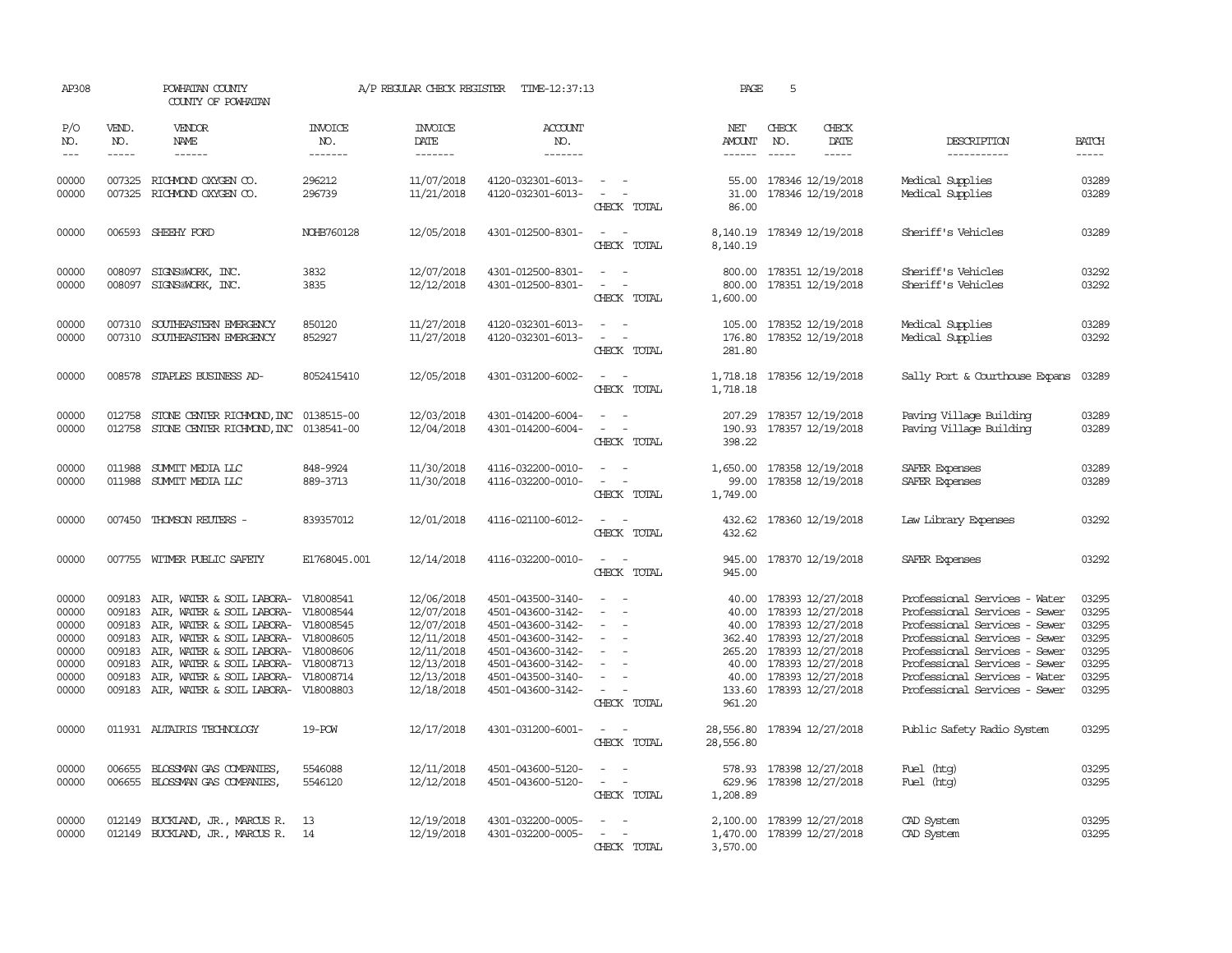| AP308                                                                |                                                          | POWHATAN COUNTY<br>COUNTY OF POWHATAN                                                                                                                                                                                                                                                                |                                     | A/P REGULAR CHECK REGISTER                                                                                   | TIME-12:37:13                                                                                                                                                        |                                                                                                                             | PAGE                             | 5                                                                                                                                                                                                                                                                                                                                                                                                                                                                                                                                     |                                                                                                                                                                                                                                                                      |                                                                      |
|----------------------------------------------------------------------|----------------------------------------------------------|------------------------------------------------------------------------------------------------------------------------------------------------------------------------------------------------------------------------------------------------------------------------------------------------------|-------------------------------------|--------------------------------------------------------------------------------------------------------------|----------------------------------------------------------------------------------------------------------------------------------------------------------------------|-----------------------------------------------------------------------------------------------------------------------------|----------------------------------|---------------------------------------------------------------------------------------------------------------------------------------------------------------------------------------------------------------------------------------------------------------------------------------------------------------------------------------------------------------------------------------------------------------------------------------------------------------------------------------------------------------------------------------|----------------------------------------------------------------------------------------------------------------------------------------------------------------------------------------------------------------------------------------------------------------------|----------------------------------------------------------------------|
| P/O<br>NO.<br>$- - -$                                                | VEND.<br>NO.<br>$\frac{1}{2}$                            | VENDOR<br>NAME<br>$- - - - - -$                                                                                                                                                                                                                                                                      | <b>INVOICE</b><br>NO.<br>-------    | <b>INVOICE</b><br>DATE<br>-------                                                                            | <b>ACCOUNT</b><br>NO.<br>-------                                                                                                                                     |                                                                                                                             | NET<br>AMOUNT<br>------          | CHECK<br>CHECK<br>NO.<br>DATE<br>$\begin{tabular}{ccccc} \multicolumn{2}{c}{} & \multicolumn{2}{c}{} & \multicolumn{2}{c}{} & \multicolumn{2}{c}{} & \multicolumn{2}{c}{} & \multicolumn{2}{c}{} & \multicolumn{2}{c}{} & \multicolumn{2}{c}{} & \multicolumn{2}{c}{} & \multicolumn{2}{c}{} & \multicolumn{2}{c}{} & \multicolumn{2}{c}{} & \multicolumn{2}{c}{} & \multicolumn{2}{c}{} & \multicolumn{2}{c}{} & \multicolumn{2}{c}{} & \multicolumn{2}{c}{} & \multicolumn{2}{c}{} & \multicolumn{2}{c}{} & \mult$<br>$\frac{1}{2}$ | DESCRIPTION<br>-----------                                                                                                                                                                                                                                           | <b>BATCH</b><br>$- - - - -$                                          |
| 00000<br>00000                                                       |                                                          | 007325 RICHMOND OXYGEN CO.<br>007325 RICHMOND OXYGEN CO.                                                                                                                                                                                                                                             | 296212<br>296739                    | 11/07/2018<br>11/21/2018                                                                                     | 4120-032301-6013-<br>4120-032301-6013-                                                                                                                               | $\sim$<br>CHECK TOTAL                                                                                                       | 31.00<br>86.00                   | 55.00 178346 12/19/2018<br>178346 12/19/2018                                                                                                                                                                                                                                                                                                                                                                                                                                                                                          | Medical Supplies<br>Medical Supplies                                                                                                                                                                                                                                 | 03289<br>03289                                                       |
| 00000                                                                |                                                          | 006593 SHEEHY FORD                                                                                                                                                                                                                                                                                   | NOHB760128                          | 12/05/2018                                                                                                   | 4301-012500-8301-                                                                                                                                                    | $\sim$<br>$\sim$<br>CHECK TOTAL                                                                                             | 8,140.19                         | 8, 140. 19 178349 12/19/2018                                                                                                                                                                                                                                                                                                                                                                                                                                                                                                          | Sheriff's Vehicles                                                                                                                                                                                                                                                   | 03289                                                                |
| 00000<br>00000                                                       | 008097                                                   | SIGNS@WORK, INC.<br>008097 SIGNS@WORK, INC.                                                                                                                                                                                                                                                          | 3832<br>3835                        | 12/07/2018<br>12/12/2018                                                                                     | 4301-012500-8301-<br>4301-012500-8301-                                                                                                                               | $\sim$<br>$\sim$<br>$\overline{\phantom{a}}$<br>$\overline{\phantom{a}}$<br>CHECK TOTAL                                     | 800.00<br>800.00<br>1,600.00     | 178351 12/19/2018<br>178351 12/19/2018                                                                                                                                                                                                                                                                                                                                                                                                                                                                                                | Sheriff's Vehicles<br>Sheriff's Vehicles                                                                                                                                                                                                                             | 03292<br>03292                                                       |
| 00000<br>00000                                                       | 007310                                                   | 007310 SOUTHEASTERN EMERGENCY<br>SOUTHEASTERN EMERGENCY                                                                                                                                                                                                                                              | 850120<br>852927                    | 11/27/2018<br>11/27/2018                                                                                     | 4120-032301-6013-<br>4120-032301-6013-                                                                                                                               | $\sim$<br>$\sim$<br>$\overline{\phantom{a}}$<br>$\overline{a}$<br>CHECK TOTAL                                               | 105.00<br>176.80<br>281.80       | 178352 12/19/2018<br>178352 12/19/2018                                                                                                                                                                                                                                                                                                                                                                                                                                                                                                | Medical Supplies<br>Medical Supplies                                                                                                                                                                                                                                 | 03289<br>03292                                                       |
| 00000                                                                |                                                          | 008578 STAPLES BUSINESS AD-                                                                                                                                                                                                                                                                          | 8052415410                          | 12/05/2018                                                                                                   | 4301-031200-6002-                                                                                                                                                    | CHECK TOTAL                                                                                                                 | 1,718.18                         | 1,718.18 178356 12/19/2018                                                                                                                                                                                                                                                                                                                                                                                                                                                                                                            | Sally Port & Courthouse Expans                                                                                                                                                                                                                                       | 03289                                                                |
| 00000<br>00000                                                       | 012758                                                   | STONE CENTER RICHMOND, INC 0138515-00<br>012758 STONE CENTER RICHMOND, INC 0138541-00                                                                                                                                                                                                                |                                     | 12/03/2018<br>12/04/2018                                                                                     | 4301-014200-6004-<br>4301-014200-6004-                                                                                                                               | $\sim$<br>$\overline{\phantom{a}}$<br>CHECK TOTAL                                                                           | 398.22                           | 207.29 178357 12/19/2018<br>190.93 178357 12/19/2018                                                                                                                                                                                                                                                                                                                                                                                                                                                                                  | Paving Village Building<br>Paving Village Building                                                                                                                                                                                                                   | 03289<br>03289                                                       |
| 00000<br>00000                                                       | 011988                                                   | SUMMIT MEDIA LLC<br>011988 SUMMIT MEDIA LLC                                                                                                                                                                                                                                                          | 848-9924<br>889-3713                | 11/30/2018<br>11/30/2018                                                                                     | 4116-032200-0010-<br>4116-032200-0010-                                                                                                                               | $\sim$<br>$\sim$<br>$\equiv$<br>$\overline{\phantom{a}}$<br>CHECK TOTAL                                                     | 1,650.00<br>1,749.00             | 178358 12/19/2018<br>99.00 178358 12/19/2018                                                                                                                                                                                                                                                                                                                                                                                                                                                                                          | SAFER Expenses<br>SAFER Expenses                                                                                                                                                                                                                                     | 03289<br>03289                                                       |
| 00000                                                                |                                                          | 007450 THOMSON REUTERS -                                                                                                                                                                                                                                                                             | 839357012                           | 12/01/2018                                                                                                   | 4116-021100-6012-                                                                                                                                                    | CHECK TOTAL                                                                                                                 | 432.62<br>432.62                 | 178360 12/19/2018                                                                                                                                                                                                                                                                                                                                                                                                                                                                                                                     | Law Library Expenses                                                                                                                                                                                                                                                 | 03292                                                                |
| 00000                                                                |                                                          | 007755 WITMER PUBLIC SAFETY                                                                                                                                                                                                                                                                          | E1768045.001                        | 12/14/2018                                                                                                   | 4116-032200-0010-                                                                                                                                                    | $\frac{1}{2} \left( \frac{1}{2} \right) \left( \frac{1}{2} \right) = \frac{1}{2} \left( \frac{1}{2} \right)$<br>CHECK TOTAL | 945.00                           | 945.00 178370 12/19/2018                                                                                                                                                                                                                                                                                                                                                                                                                                                                                                              | SAFER Expenses                                                                                                                                                                                                                                                       | 03292                                                                |
| 00000<br>00000<br>00000<br>00000<br>00000<br>00000<br>00000<br>00000 | 009183<br>009183<br>009183<br>009183<br>009183<br>009183 | AIR, WATER & SOIL LABORA-<br>AIR, WATER & SOIL LABORA-<br>AIR, WATER & SOIL LABORA- V18008545<br>009183 AIR, WATER & SOIL LABORA- V18008605<br>AIR, WATER & SOIL LABORA- V18008606<br>AIR, WATER & SOIL LABORA-<br>AIR, WATER & SOIL LABORA- V18008714<br>009183 AIR, WATER & SOIL LABORA- V18008803 | V18008541<br>V18008544<br>V18008713 | 12/06/2018<br>12/07/2018<br>12/07/2018<br>12/11/2018<br>12/11/2018<br>12/13/2018<br>12/13/2018<br>12/18/2018 | 4501-043500-3140-<br>4501-043600-3142-<br>4501-043600-3142-<br>4501-043600-3142-<br>4501-043600-3142-<br>4501-043600-3142-<br>4501-043500-3140-<br>4501-043600-3142- | $\overline{\phantom{a}}$<br>$\overline{\phantom{a}}$<br>$\sim$<br>CHECK TOTAL                                               | 265.20<br>961.20                 | 40.00 178393 12/27/2018<br>40.00 178393 12/27/2018<br>40.00 178393 12/27/2018<br>362.40 178393 12/27/2018<br>178393 12/27/2018<br>40.00 178393 12/27/2018<br>40.00 178393 12/27/2018<br>133.60 178393 12/27/2018                                                                                                                                                                                                                                                                                                                      | Professional Services - Water<br>Professional Services - Sewer<br>Professional Services - Sewer<br>Professional Services - Sewer<br>Professional Services - Sewer<br>Professional Services - Sewer<br>Professional Services - Water<br>Professional Services - Sewer | 03295<br>03295<br>03295<br>03295<br>03295<br>03295<br>03295<br>03295 |
| 00000                                                                |                                                          | 011931 ALTAIRIS TECHNOLOGY                                                                                                                                                                                                                                                                           | 19-POW                              | 12/17/2018                                                                                                   | 4301-031200-6001-                                                                                                                                                    | $\sim$ $\sim$<br>CHECK TOTAL                                                                                                | 28,556.80<br>28,556.80           | 178394 12/27/2018                                                                                                                                                                                                                                                                                                                                                                                                                                                                                                                     | Public Safety Radio System                                                                                                                                                                                                                                           | 03295                                                                |
| 00000<br>00000                                                       | 006655                                                   | BLOSSMAN GAS COMPANIES<br>006655 BLOSSMAN GAS COMPANIES,                                                                                                                                                                                                                                             | 5546088<br>5546120                  | 12/11/2018<br>12/12/2018                                                                                     | 4501-043600-5120-<br>4501-043600-5120-                                                                                                                               | $\sim$<br>$\overline{\phantom{a}}$<br>$\sim$<br>$\overline{\phantom{a}}$<br>CHECK TOTAL                                     | 578.93<br>629.96<br>1,208.89     | 178398 12/27/2018<br>178398 12/27/2018                                                                                                                                                                                                                                                                                                                                                                                                                                                                                                | Fuel (htg)<br>Fuel (htg)                                                                                                                                                                                                                                             | 03295<br>03295                                                       |
| 00000<br>00000                                                       |                                                          | 012149 BUCKLAND, JR., MARCUS R.<br>012149 BUCKLAND, JR., MARCUS R.                                                                                                                                                                                                                                   | 13<br>14                            | 12/19/2018<br>12/19/2018                                                                                     | 4301-032200-0005-<br>4301-032200-0005-                                                                                                                               | $\overline{\phantom{a}}$<br>CHECK TOTAL                                                                                     | 2,100.00<br>1,470.00<br>3,570.00 | 178399 12/27/2018<br>178399 12/27/2018                                                                                                                                                                                                                                                                                                                                                                                                                                                                                                | CAD System<br>CAD System                                                                                                                                                                                                                                             | 03295<br>03295                                                       |